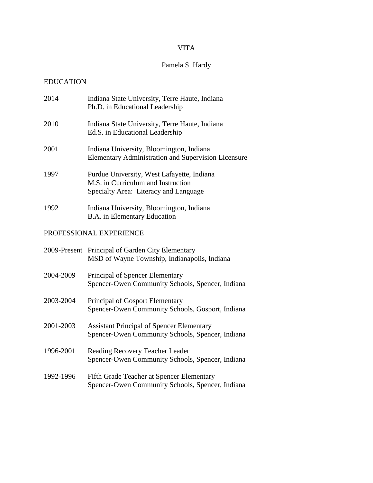# VITA

# Pamela S. Hardy

## EDUCATION

| 2014      | Indiana State University, Terre Haute, Indiana<br>Ph.D. in Educational Leadership                                         |  |  |  |
|-----------|---------------------------------------------------------------------------------------------------------------------------|--|--|--|
| 2010      | Indiana State University, Terre Haute, Indiana<br>Ed.S. in Educational Leadership                                         |  |  |  |
| 2001      | Indiana University, Bloomington, Indiana<br><b>Elementary Administration and Supervision Licensure</b>                    |  |  |  |
| 1997      | Purdue University, West Lafayette, Indiana<br>M.S. in Curriculum and Instruction<br>Specialty Area: Literacy and Language |  |  |  |
| 1992      | Indiana University, Bloomington, Indiana<br>B.A. in Elementary Education                                                  |  |  |  |
|           | PROFESSIONAL EXPERIENCE                                                                                                   |  |  |  |
|           | 2009-Present Principal of Garden City Elementary<br>MSD of Wayne Township, Indianapolis, Indiana                          |  |  |  |
| 2004-2009 | Principal of Spencer Elementary<br>Spencer-Owen Community Schools, Spencer, Indiana                                       |  |  |  |
| 2003-2004 | Principal of Gosport Elementary<br>Spencer-Owen Community Schools, Gosport, Indiana                                       |  |  |  |
| 2001-2003 | <b>Assistant Principal of Spencer Elementary</b><br>Spencer-Owen Community Schools, Spencer, Indiana                      |  |  |  |
| 1996-2001 | Reading Recovery Teacher Leader<br>Spencer-Owen Community Schools, Spencer, Indiana                                       |  |  |  |
| 1992-1996 | Fifth Grade Teacher at Spencer Elementary<br>Spencer-Owen Community Schools, Spencer, Indiana                             |  |  |  |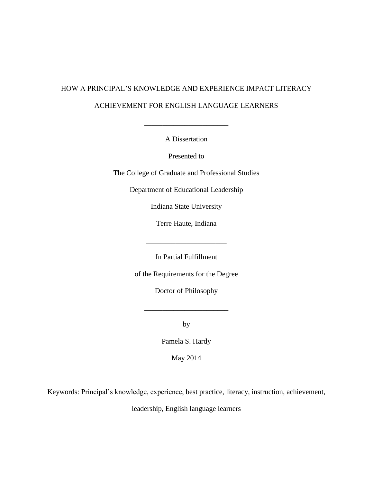# HOW A PRINCIPAL'S KNOWLEDGE AND EXPERIENCE IMPACT LITERACY ACHIEVEMENT FOR ENGLISH LANGUAGE LEARNERS

A Dissertation

 $\overline{\phantom{a}}$  , we can also the set of  $\overline{\phantom{a}}$ 

Presented to

The College of Graduate and Professional Studies

Department of Educational Leadership

Indiana State University

Terre Haute, Indiana

\_\_\_\_\_\_\_\_\_\_\_\_\_\_\_\_\_\_\_\_\_\_

In Partial Fulfillment

of the Requirements for the Degree

Doctor of Philosophy

\_\_\_\_\_\_\_\_\_\_\_\_\_\_\_\_\_\_\_\_\_\_\_

by

Pamela S. Hardy

May 2014

Keywords: Principal's knowledge, experience, best practice, literacy, instruction, achievement,

leadership, English language learners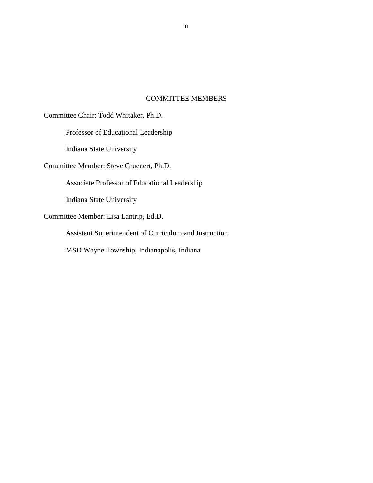## COMMITTEE MEMBERS

Committee Chair: Todd Whitaker, Ph.D.

Professor of Educational Leadership

Indiana State University

Committee Member: Steve Gruenert, Ph.D.

Associate Professor of Educational Leadership

Indiana State University

Committee Member: Lisa Lantrip, Ed.D.

Assistant Superintendent of Curriculum and Instruction

MSD Wayne Township, Indianapolis, Indiana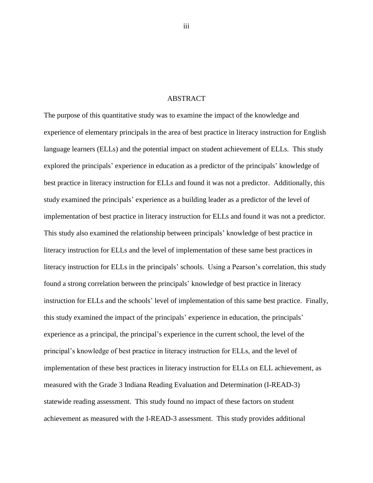#### ABSTRACT

The purpose of this quantitative study was to examine the impact of the knowledge and experience of elementary principals in the area of best practice in literacy instruction for English language learners (ELLs) and the potential impact on student achievement of ELLs. This study explored the principals' experience in education as a predictor of the principals' knowledge of best practice in literacy instruction for ELLs and found it was not a predictor. Additionally, this study examined the principals' experience as a building leader as a predictor of the level of implementation of best practice in literacy instruction for ELLs and found it was not a predictor. This study also examined the relationship between principals' knowledge of best practice in literacy instruction for ELLs and the level of implementation of these same best practices in literacy instruction for ELLs in the principals' schools. Using a Pearson's correlation, this study found a strong correlation between the principals' knowledge of best practice in literacy instruction for ELLs and the schools' level of implementation of this same best practice. Finally, this study examined the impact of the principals' experience in education, the principals' experience as a principal, the principal's experience in the current school, the level of the principal's knowledge of best practice in literacy instruction for ELLs, and the level of implementation of these best practices in literacy instruction for ELLs on ELL achievement, as measured with the Grade 3 Indiana Reading Evaluation and Determination (I-READ-3) statewide reading assessment. This study found no impact of these factors on student achievement as measured with the I-READ-3 assessment. This study provides additional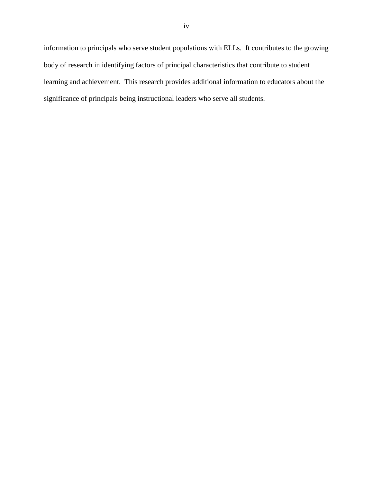information to principals who serve student populations with ELLs. It contributes to the growing body of research in identifying factors of principal characteristics that contribute to student learning and achievement. This research provides additional information to educators about the significance of principals being instructional leaders who serve all students.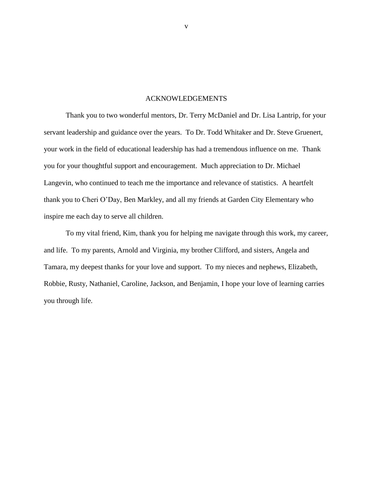#### ACKNOWLEDGEMENTS

Thank you to two wonderful mentors, Dr. Terry McDaniel and Dr. Lisa Lantrip, for your servant leadership and guidance over the years. To Dr. Todd Whitaker and Dr. Steve Gruenert, your work in the field of educational leadership has had a tremendous influence on me. Thank you for your thoughtful support and encouragement. Much appreciation to Dr. Michael Langevin, who continued to teach me the importance and relevance of statistics. A heartfelt thank you to Cheri O'Day, Ben Markley, and all my friends at Garden City Elementary who inspire me each day to serve all children.

To my vital friend, Kim, thank you for helping me navigate through this work, my career, and life. To my parents, Arnold and Virginia, my brother Clifford, and sisters, Angela and Tamara, my deepest thanks for your love and support. To my nieces and nephews, Elizabeth, Robbie, Rusty, Nathaniel, Caroline, Jackson, and Benjamin, I hope your love of learning carries you through life.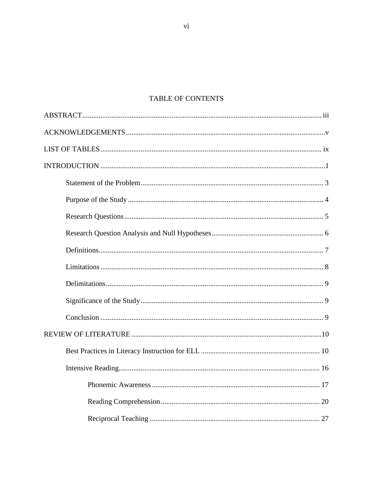# TABLE OF CONTENTS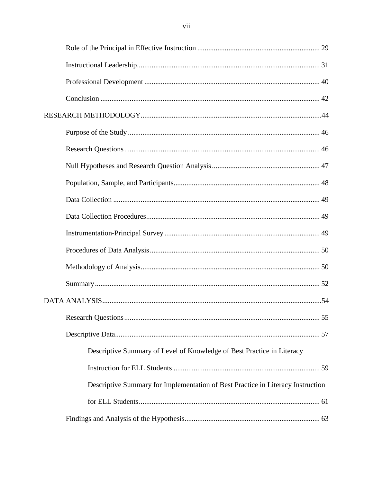| Descriptive Summary of Level of Knowledge of Best Practice in Literacy          |  |
|---------------------------------------------------------------------------------|--|
|                                                                                 |  |
| Descriptive Summary for Implementation of Best Practice in Literacy Instruction |  |
|                                                                                 |  |
|                                                                                 |  |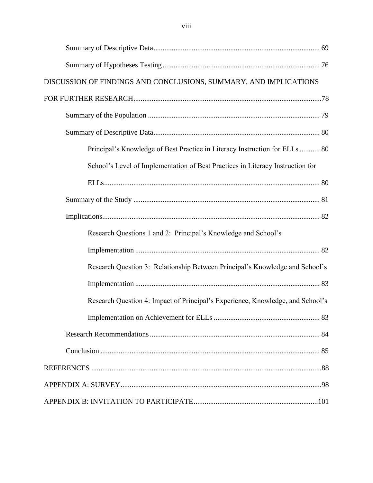| DISCUSSION OF FINDINGS AND CONCLUSIONS, SUMMARY, AND IMPLICATIONS              |  |
|--------------------------------------------------------------------------------|--|
|                                                                                |  |
|                                                                                |  |
|                                                                                |  |
| Principal's Knowledge of Best Practice in Literacy Instruction for ELLs  80    |  |
| School's Level of Implementation of Best Practices in Literacy Instruction for |  |
|                                                                                |  |
|                                                                                |  |
|                                                                                |  |
| Research Questions 1 and 2: Principal's Knowledge and School's                 |  |
|                                                                                |  |
| Research Question 3: Relationship Between Principal's Knowledge and School's   |  |
|                                                                                |  |
| Research Question 4: Impact of Principal's Experience, Knowledge, and School's |  |
|                                                                                |  |
|                                                                                |  |
|                                                                                |  |
|                                                                                |  |
|                                                                                |  |
|                                                                                |  |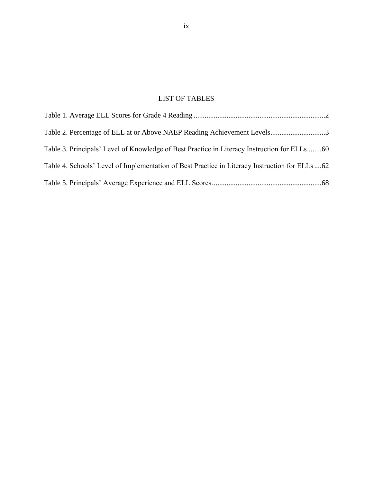# LIST OF TABLES

| Table 4. Schools' Level of Implementation of Best Practice in Literacy Instruction for ELLs62 |  |
|-----------------------------------------------------------------------------------------------|--|
|                                                                                               |  |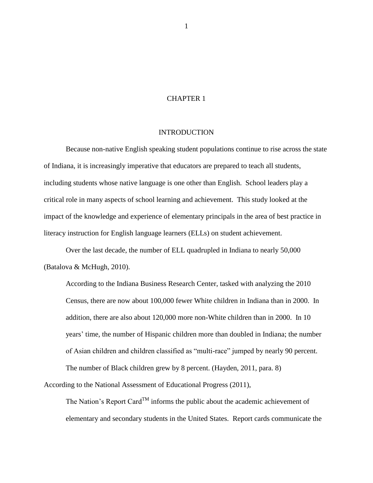### CHAPTER 1

#### INTRODUCTION

Because non-native English speaking student populations continue to rise across the state of Indiana, it is increasingly imperative that educators are prepared to teach all students, including students whose native language is one other than English. School leaders play a critical role in many aspects of school learning and achievement. This study looked at the impact of the knowledge and experience of elementary principals in the area of best practice in literacy instruction for English language learners (ELLs) on student achievement.

Over the last decade, the number of ELL quadrupled in Indiana to nearly 50,000 (Batalova & McHugh, 2010).

According to the Indiana Business Research Center, tasked with analyzing the 2010 Census, there are now about 100,000 fewer White children in Indiana than in 2000. In addition, there are also about 120,000 more non-White children than in 2000. In 10 years' time, the number of Hispanic children more than doubled in Indiana; the number of Asian children and children classified as "multi-race" jumped by nearly 90 percent. The number of Black children grew by 8 percent. (Hayden, 2011, para. 8)

According to the National Assessment of Educational Progress (2011),

The Nation's Report Card<sup>TM</sup> informs the public about the academic achievement of elementary and secondary students in the United States. Report cards communicate the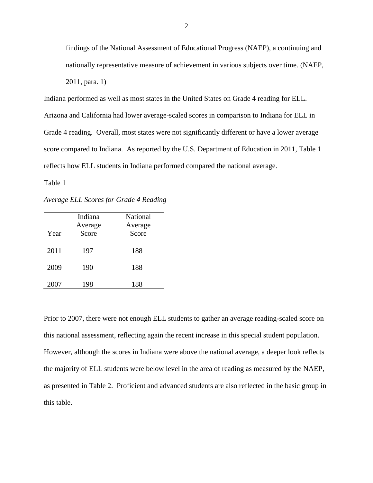findings of the National Assessment of Educational Progress (NAEP), a continuing and nationally representative measure of achievement in various subjects over time. (NAEP, 2011, para. 1)

Indiana performed as well as most states in the United States on Grade 4 reading for ELL. Arizona and California had lower average-scaled scores in comparison to Indiana for ELL in Grade 4 reading. Overall, most states were not significantly different or have a lower average score compared to Indiana. As reported by the U.S. Department of Education in 2011, Table 1 reflects how ELL students in Indiana performed compared the national average.

<span id="page-11-0"></span>Table 1

*Average ELL Scores for Grade 4 Reading*

|      | Indiana | National |
|------|---------|----------|
|      | Average | Average  |
| Year | Score   | Score    |
| 2011 | 197     | 188      |
| 2009 | 190     | 188      |
| 2007 | 198     | 188      |

Prior to 2007, there were not enough ELL students to gather an average reading-scaled score on this national assessment, reflecting again the recent increase in this special student population. However, although the scores in Indiana were above the national average, a deeper look reflects the majority of ELL students were below level in the area of reading as measured by the NAEP, as presented in Table 2. Proficient and advanced students are also reflected in the basic group in this table.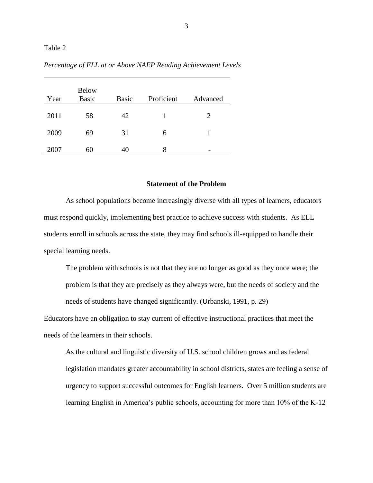#### <span id="page-12-0"></span>Table 2

| Year | <b>Below</b><br><b>Basic</b> | <b>Basic</b> | Proficient | Advanced |
|------|------------------------------|--------------|------------|----------|
| 2011 | 58                           | 42           |            | 2        |
| 2009 | 69                           | 31           | 6          |          |
| 2007 | 60                           | 40           | 8          |          |

*Percentage of ELL at or Above NAEP Reading Achievement Levels*

#### **Statement of the Problem**

As school populations become increasingly diverse with all types of learners, educators must respond quickly, implementing best practice to achieve success with students. As ELL students enroll in schools across the state, they may find schools ill-equipped to handle their special learning needs.

The problem with schools is not that they are no longer as good as they once were; the problem is that they are precisely as they always were, but the needs of society and the needs of students have changed significantly. (Urbanski, 1991, p. 29)

Educators have an obligation to stay current of effective instructional practices that meet the needs of the learners in their schools.

As the cultural and linguistic diversity of U.S. school children grows and as federal legislation mandates greater accountability in school districts, states are feeling a sense of urgency to support successful outcomes for English learners. Over 5 million students are learning English in America's public schools, accounting for more than 10% of the K-12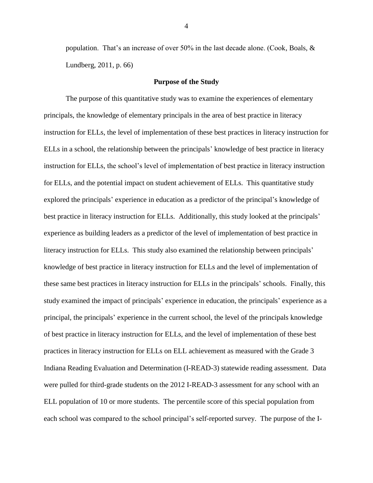population. That's an increase of over 50% in the last decade alone. (Cook, Boals, & Lundberg, 2011, p. 66)

#### **Purpose of the Study**

The purpose of this quantitative study was to examine the experiences of elementary principals, the knowledge of elementary principals in the area of best practice in literacy instruction for ELLs, the level of implementation of these best practices in literacy instruction for ELLs in a school, the relationship between the principals' knowledge of best practice in literacy instruction for ELLs, the school's level of implementation of best practice in literacy instruction for ELLs, and the potential impact on student achievement of ELLs. This quantitative study explored the principals' experience in education as a predictor of the principal's knowledge of best practice in literacy instruction for ELLs. Additionally, this study looked at the principals' experience as building leaders as a predictor of the level of implementation of best practice in literacy instruction for ELLs. This study also examined the relationship between principals' knowledge of best practice in literacy instruction for ELLs and the level of implementation of these same best practices in literacy instruction for ELLs in the principals' schools. Finally, this study examined the impact of principals' experience in education, the principals' experience as a principal, the principals' experience in the current school, the level of the principals knowledge of best practice in literacy instruction for ELLs, and the level of implementation of these best practices in literacy instruction for ELLs on ELL achievement as measured with the Grade 3 Indiana Reading Evaluation and Determination (I-READ-3) statewide reading assessment. Data were pulled for third-grade students on the 2012 I-READ-3 assessment for any school with an ELL population of 10 or more students. The percentile score of this special population from each school was compared to the school principal's self-reported survey. The purpose of the I-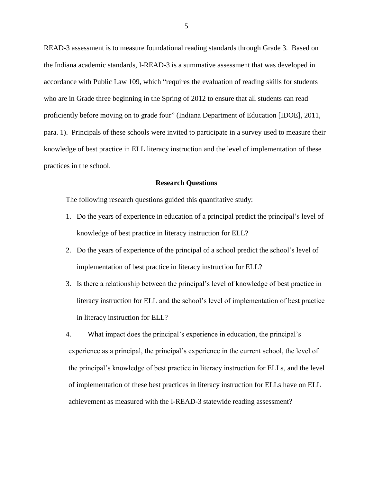READ-3 assessment is to measure foundational reading standards through Grade 3. Based on the Indiana academic standards, I-READ-3 is a summative assessment that was developed in accordance with Public Law 109, which "requires the evaluation of reading skills for students who are in Grade three beginning in the Spring of 2012 to ensure that all students can read proficiently before moving on to grade four" (Indiana Department of Education [IDOE], 2011, para. 1). Principals of these schools were invited to participate in a survey used to measure their knowledge of best practice in ELL literacy instruction and the level of implementation of these practices in the school.

#### **Research Questions**

The following research questions guided this quantitative study:

- 1. Do the years of experience in education of a principal predict the principal's level of knowledge of best practice in literacy instruction for ELL?
- 2. Do the years of experience of the principal of a school predict the school's level of implementation of best practice in literacy instruction for ELL?
- 3. Is there a relationship between the principal's level of knowledge of best practice in literacy instruction for ELL and the school's level of implementation of best practice in literacy instruction for ELL?

4. What impact does the principal's experience in education, the principal's experience as a principal, the principal's experience in the current school, the level of the principal's knowledge of best practice in literacy instruction for ELLs, and the level of implementation of these best practices in literacy instruction for ELLs have on ELL achievement as measured with the I-READ-3 statewide reading assessment?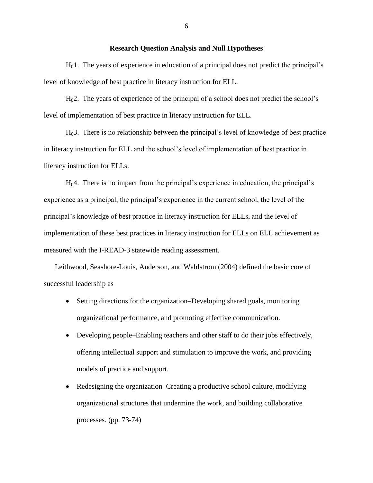#### **Research Question Analysis and Null Hypotheses**

 $H<sub>0</sub>1$ . The years of experience in education of a principal does not predict the principal's level of knowledge of best practice in literacy instruction for ELL.

H02. The years of experience of the principal of a school does not predict the school's level of implementation of best practice in literacy instruction for ELL.

H03. There is no relationship between the principal's level of knowledge of best practice in literacy instruction for ELL and the school's level of implementation of best practice in literacy instruction for ELLs.

H04. There is no impact from the principal's experience in education, the principal's experience as a principal, the principal's experience in the current school, the level of the principal's knowledge of best practice in literacy instruction for ELLs, and the level of implementation of these best practices in literacy instruction for ELLs on ELL achievement as measured with the I-READ-3 statewide reading assessment.

Leithwood, Seashore-Louis, Anderson, and Wahlstrom (2004) defined the basic core of successful leadership as

- Setting directions for the organization–Developing shared goals, monitoring organizational performance, and promoting effective communication.
- Developing people–Enabling teachers and other staff to do their jobs effectively, offering intellectual support and stimulation to improve the work, and providing models of practice and support.
- Redesigning the organization–Creating a productive school culture, modifying organizational structures that undermine the work, and building collaborative processes. (pp. 73-74)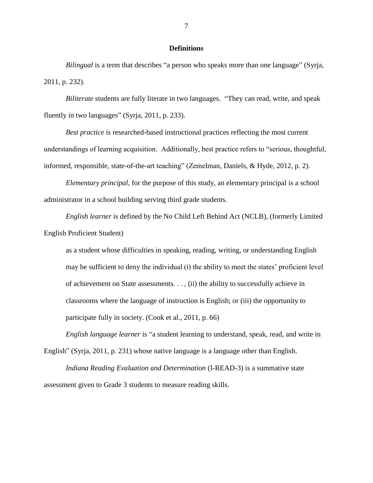### **Definitions**

*Bilingual* is a term that describes "a person who speaks more than one language" (Syrja, 2011, p. 232).

*Biliterate* students are fully literate in two languages. "They can read, write, and speak fluently in two languages" (Syrja, 2011, p. 233).

*Best practice* is researched-based instructional practices reflecting the most current understandings of learning acquisition. Additionally, best practice refers to "serious, thoughtful, informed, responsible, state-of-the-art teaching" (Zemelman, Daniels, & Hyde, 2012, p. 2).

*Elementary principal*, for the purpose of this study, an elementary principal is a school administrator in a school building serving third grade students.

*English learner* is defined by the No Child Left Behind Act (NCLB), (formerly Limited English Proficient Student)

as a student whose difficulties in speaking, reading, writing, or understanding English may be sufficient to deny the individual (i) the ability to meet the states' proficient level of achievement on State assessments. . . , (ii) the ability to successfully achieve in classrooms where the language of instruction is English; or (iii) the opportunity to participate fully in society. (Cook et al., 2011, p. 66)

*English language learner* is "a student learning to understand, speak, read, and write in English" (Syrja, 2011, p. 231) whose native language is a language other than English.

*Indiana Reading Evaluation and Determination* (I-READ-3) is a summative state assessment given to Grade 3 students to measure reading skills.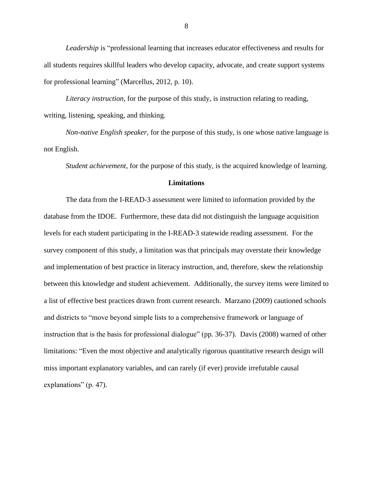*Leadership* is "professional learning that increases educator effectiveness and results for all students requires skillful leaders who develop capacity, advocate, and create support systems for professional learning" (Marcellus, 2012, p. 10).

*Literacy instruction*, for the purpose of this study, is instruction relating to reading, writing, listening, speaking, and thinking.

*Non-native English speaker*, for the purpose of this study, is one whose native language is not English.

*Student achievement*, for the purpose of this study, is the acquired knowledge of learning.

## **Limitations**

The data from the I-READ-3 assessment were limited to information provided by the database from the IDOE. Furthermore, these data did not distinguish the language acquisition levels for each student participating in the I-READ-3 statewide reading assessment. For the survey component of this study, a limitation was that principals may overstate their knowledge and implementation of best practice in literacy instruction, and, therefore, skew the relationship between this knowledge and student achievement. Additionally, the survey items were limited to a list of effective best practices drawn from current research. Marzano (2009) cautioned schools and districts to "move beyond simple lists to a comprehensive framework or language of instruction that is the basis for professional dialogue" (pp. 36-37). Davis (2008) warned of other limitations: "Even the most objective and analytically rigorous quantitative research design will miss important explanatory variables, and can rarely (if ever) provide irrefutable causal explanations" (p. 47).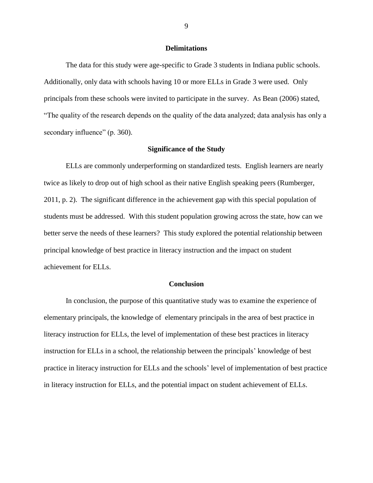#### **Delimitations**

The data for this study were age-specific to Grade 3 students in Indiana public schools. Additionally, only data with schools having 10 or more ELLs in Grade 3 were used. Only principals from these schools were invited to participate in the survey. As Bean (2006) stated, "The quality of the research depends on the quality of the data analyzed; data analysis has only a secondary influence" (p. 360).

#### **Significance of the Study**

ELLs are commonly underperforming on standardized tests. English learners are nearly twice as likely to drop out of high school as their native English speaking peers (Rumberger, 2011, p. 2). The significant difference in the achievement gap with this special population of students must be addressed. With this student population growing across the state, how can we better serve the needs of these learners? This study explored the potential relationship between principal knowledge of best practice in literacy instruction and the impact on student achievement for ELLs.

#### **Conclusion**

In conclusion, the purpose of this quantitative study was to examine the experience of elementary principals, the knowledge of elementary principals in the area of best practice in literacy instruction for ELLs, the level of implementation of these best practices in literacy instruction for ELLs in a school, the relationship between the principals' knowledge of best practice in literacy instruction for ELLs and the schools' level of implementation of best practice in literacy instruction for ELLs, and the potential impact on student achievement of ELLs.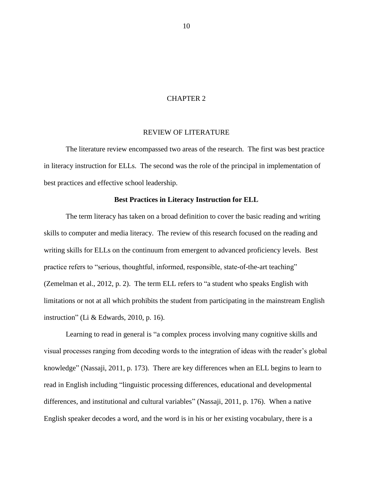#### CHAPTER 2

#### REVIEW OF LITERATURE

The literature review encompassed two areas of the research. The first was best practice in literacy instruction for ELLs. The second was the role of the principal in implementation of best practices and effective school leadership.

#### **Best Practices in Literacy Instruction for ELL**

The term literacy has taken on a broad definition to cover the basic reading and writing skills to computer and media literacy. The review of this research focused on the reading and writing skills for ELLs on the continuum from emergent to advanced proficiency levels. Best practice refers to "serious, thoughtful, informed, responsible, state-of-the-art teaching" (Zemelman et al., 2012, p. 2). The term ELL refers to "a student who speaks English with limitations or not at all which prohibits the student from participating in the mainstream English instruction" (Li & Edwards, 2010, p. 16).

Learning to read in general is "a complex process involving many cognitive skills and visual processes ranging from decoding words to the integration of ideas with the reader's global knowledge" (Nassaji, 2011, p. 173). There are key differences when an ELL begins to learn to read in English including "linguistic processing differences, educational and developmental differences, and institutional and cultural variables" (Nassaji, 2011, p. 176). When a native English speaker decodes a word, and the word is in his or her existing vocabulary, there is a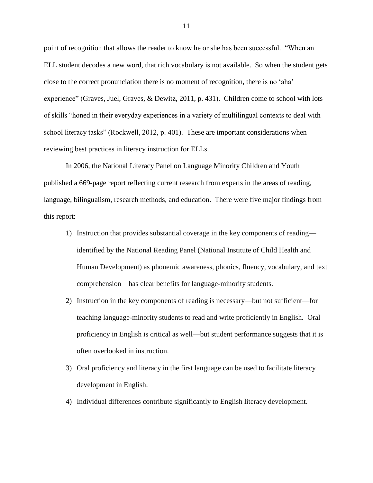point of recognition that allows the reader to know he or she has been successful. "When an ELL student decodes a new word, that rich vocabulary is not available. So when the student gets close to the correct pronunciation there is no moment of recognition, there is no 'aha' experience" (Graves, Juel, Graves, & Dewitz, 2011, p. 431). Children come to school with lots of skills "honed in their everyday experiences in a variety of multilingual contexts to deal with school literacy tasks" (Rockwell, 2012, p. 401). These are important considerations when reviewing best practices in literacy instruction for ELLs.

In 2006, the National Literacy Panel on Language Minority Children and Youth published a 669-page report reflecting current research from experts in the areas of reading, language, bilingualism, research methods, and education. There were five major findings from this report:

- 1) Instruction that provides substantial coverage in the key components of reading identified by the National Reading Panel (National Institute of Child Health and Human Development) as phonemic awareness, phonics, fluency, vocabulary, and text comprehension—has clear benefits for language-minority students.
- 2) Instruction in the key components of reading is necessary—but not sufficient—for teaching language-minority students to read and write proficiently in English. Oral proficiency in English is critical as well—but student performance suggests that it is often overlooked in instruction.
- 3) Oral proficiency and literacy in the first language can be used to facilitate literacy development in English.
- 4) Individual differences contribute significantly to English literacy development.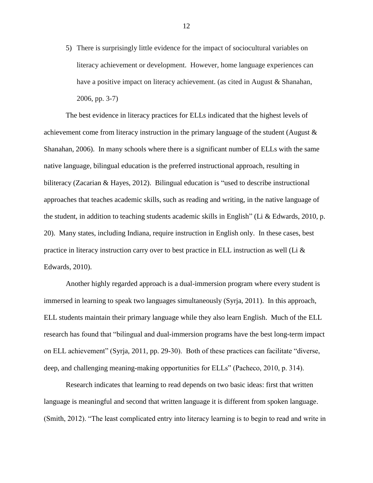5) There is surprisingly little evidence for the impact of sociocultural variables on literacy achievement or development. However, home language experiences can have a positive impact on literacy achievement. (as cited in August & Shanahan, 2006, pp. 3-7)

The best evidence in literacy practices for ELLs indicated that the highest levels of achievement come from literacy instruction in the primary language of the student (August & Shanahan, 2006). In many schools where there is a significant number of ELLs with the same native language, bilingual education is the preferred instructional approach, resulting in biliteracy (Zacarian & Hayes, 2012). Bilingual education is "used to describe instructional approaches that teaches academic skills, such as reading and writing, in the native language of the student, in addition to teaching students academic skills in English" (Li & Edwards, 2010, p. 20). Many states, including Indiana, require instruction in English only. In these cases, best practice in literacy instruction carry over to best practice in ELL instruction as well (Li  $\&$ Edwards, 2010).

Another highly regarded approach is a dual-immersion program where every student is immersed in learning to speak two languages simultaneously (Syrja, 2011). In this approach, ELL students maintain their primary language while they also learn English. Much of the ELL research has found that "bilingual and dual-immersion programs have the best long-term impact on ELL achievement" (Syrja, 2011, pp. 29-30). Both of these practices can facilitate "diverse, deep, and challenging meaning-making opportunities for ELLs" (Pacheco, 2010, p. 314).

Research indicates that learning to read depends on two basic ideas: first that written language is meaningful and second that written language it is different from spoken language. (Smith, 2012). "The least complicated entry into literacy learning is to begin to read and write in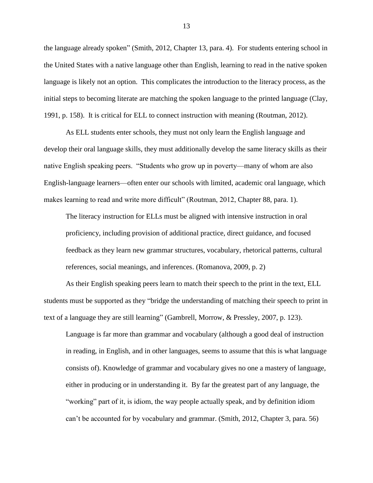the language already spoken" (Smith, 2012, Chapter 13, para. 4). For students entering school in the United States with a native language other than English, learning to read in the native spoken language is likely not an option. This complicates the introduction to the literacy process, as the initial steps to becoming literate are matching the spoken language to the printed language (Clay, 1991, p. 158). It is critical for ELL to connect instruction with meaning (Routman, 2012).

As ELL students enter schools, they must not only learn the English language and develop their oral language skills, they must additionally develop the same literacy skills as their native English speaking peers. "Students who grow up in poverty—many of whom are also English-language learners—often enter our schools with limited, academic oral language, which makes learning to read and write more difficult" (Routman, 2012, Chapter 88, para. 1).

The literacy instruction for ELLs must be aligned with intensive instruction in oral proficiency, including provision of additional practice, direct guidance, and focused feedback as they learn new grammar structures, vocabulary, rhetorical patterns, cultural references, social meanings, and inferences. (Romanova, 2009, p. 2)

As their English speaking peers learn to match their speech to the print in the text, ELL students must be supported as they "bridge the understanding of matching their speech to print in text of a language they are still learning" (Gambrell, Morrow, & Pressley, 2007, p. 123).

Language is far more than grammar and vocabulary (although a good deal of instruction in reading, in English, and in other languages, seems to assume that this is what language consists of). Knowledge of grammar and vocabulary gives no one a mastery of language, either in producing or in understanding it. By far the greatest part of any language, the "working" part of it, is idiom, the way people actually speak, and by definition idiom can't be accounted for by vocabulary and grammar. (Smith, 2012, Chapter 3, para. 56)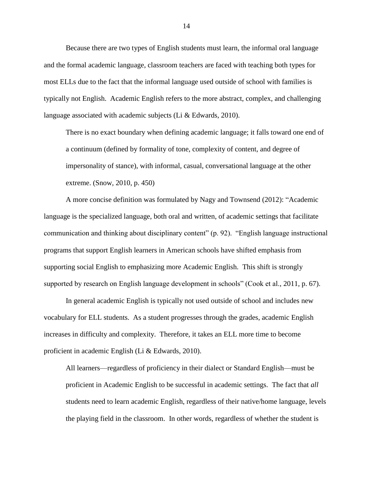Because there are two types of English students must learn, the informal oral language and the formal academic language, classroom teachers are faced with teaching both types for most ELLs due to the fact that the informal language used outside of school with families is typically not English. Academic English refers to the more abstract, complex, and challenging language associated with academic subjects (Li & Edwards, 2010).

There is no exact boundary when defining academic language; it falls toward one end of a continuum (defined by formality of tone, complexity of content, and degree of impersonality of stance), with informal, casual, conversational language at the other extreme. (Snow, 2010, p. 450)

A more concise definition was formulated by Nagy and Townsend (2012): "Academic language is the specialized language, both oral and written, of academic settings that facilitate communication and thinking about disciplinary content" (p. 92). "English language instructional programs that support English learners in American schools have shifted emphasis from supporting social English to emphasizing more Academic English. This shift is strongly supported by research on English language development in schools" (Cook et al., 2011, p. 67).

In general academic English is typically not used outside of school and includes new vocabulary for ELL students. As a student progresses through the grades, academic English increases in difficulty and complexity. Therefore, it takes an ELL more time to become proficient in academic English (Li & Edwards, 2010).

All learners—regardless of proficiency in their dialect or Standard English—must be proficient in Academic English to be successful in academic settings. The fact that *all*  students need to learn academic English, regardless of their native/home language, levels the playing field in the classroom. In other words, regardless of whether the student is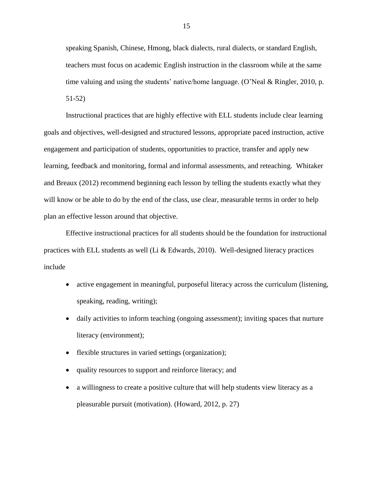speaking Spanish, Chinese, Hmong, black dialects, rural dialects, or standard English, teachers must focus on academic English instruction in the classroom while at the same time valuing and using the students' native/home language. (O'Neal & Ringler, 2010, p. 51-52)

Instructional practices that are highly effective with ELL students include clear learning goals and objectives, well-designed and structured lessons, appropriate paced instruction, active engagement and participation of students, opportunities to practice, transfer and apply new learning, feedback and monitoring, formal and informal assessments, and reteaching. Whitaker and Breaux (2012) recommend beginning each lesson by telling the students exactly what they will know or be able to do by the end of the class, use clear, measurable terms in order to help plan an effective lesson around that objective.

Effective instructional practices for all students should be the foundation for instructional practices with ELL students as well (Li & Edwards, 2010). Well-designed literacy practices include

- active engagement in meaningful, purposeful literacy across the curriculum (listening, speaking, reading, writing);
- daily activities to inform teaching (ongoing assessment); inviting spaces that nurture literacy (environment);
- flexible structures in varied settings (organization);
- quality resources to support and reinforce literacy; and
- a willingness to create a positive culture that will help students view literacy as a pleasurable pursuit (motivation). (Howard, 2012, p. 27)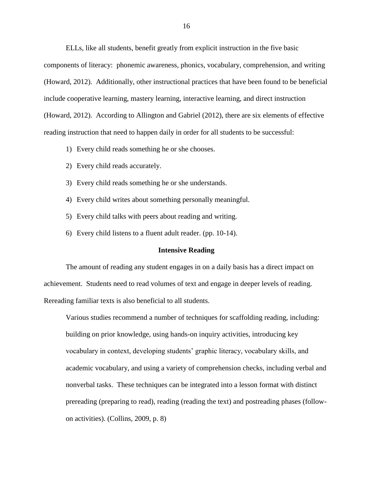ELLs, like all students, benefit greatly from explicit instruction in the five basic components of literacy: phonemic awareness, phonics, vocabulary, comprehension, and writing (Howard, 2012). Additionally, other instructional practices that have been found to be beneficial include cooperative learning, mastery learning, interactive learning, and direct instruction (Howard, 2012). According to Allington and Gabriel (2012), there are six elements of effective reading instruction that need to happen daily in order for all students to be successful:

- 1) Every child reads something he or she chooses.
- 2) Every child reads accurately.
- 3) Every child reads something he or she understands.
- 4) Every child writes about something personally meaningful.
- 5) Every child talks with peers about reading and writing.
- 6) Every child listens to a fluent adult reader. (pp. 10-14).

#### **Intensive Reading**

The amount of reading any student engages in on a daily basis has a direct impact on achievement. Students need to read volumes of text and engage in deeper levels of reading. Rereading familiar texts is also beneficial to all students.

Various studies recommend a number of techniques for scaffolding reading, including: building on prior knowledge, using hands-on inquiry activities, introducing key vocabulary in context, developing students' graphic literacy, vocabulary skills, and academic vocabulary, and using a variety of comprehension checks, including verbal and nonverbal tasks. These techniques can be integrated into a lesson format with distinct prereading (preparing to read), reading (reading the text) and postreading phases (followon activities). (Collins, 2009, p. 8)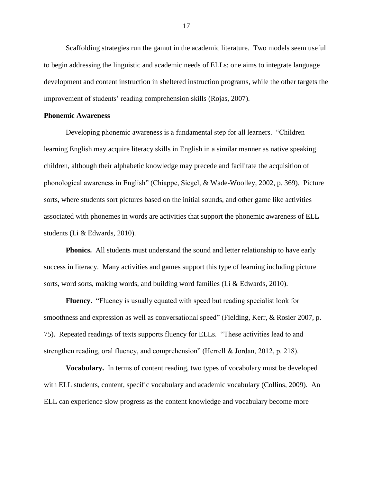Scaffolding strategies run the gamut in the academic literature. Two models seem useful to begin addressing the linguistic and academic needs of ELLs: one aims to integrate language development and content instruction in sheltered instruction programs, while the other targets the improvement of students' reading comprehension skills (Rojas, 2007).

#### **Phonemic Awareness**

Developing phonemic awareness is a fundamental step for all learners. "Children learning English may acquire literacy skills in English in a similar manner as native speaking children, although their alphabetic knowledge may precede and facilitate the acquisition of phonological awareness in English" (Chiappe, Siegel, & Wade-Woolley, 2002, p. 369). Picture sorts, where students sort pictures based on the initial sounds, and other game like activities associated with phonemes in words are activities that support the phonemic awareness of ELL students (Li & Edwards, 2010).

**Phonics.** All students must understand the sound and letter relationship to have early success in literacy. Many activities and games support this type of learning including picture sorts, word sorts, making words, and building word families (Li & Edwards, 2010).

**Fluency.** "Fluency is usually equated with speed but reading specialist look for smoothness and expression as well as conversational speed" (Fielding, Kerr, & Rosier 2007, p. 75). Repeated readings of texts supports fluency for ELLs. "These activities lead to and strengthen reading, oral fluency, and comprehension" (Herrell & Jordan, 2012, p. 218).

**Vocabulary.** In terms of content reading, two types of vocabulary must be developed with ELL students, content, specific vocabulary and academic vocabulary (Collins, 2009). An ELL can experience slow progress as the content knowledge and vocabulary become more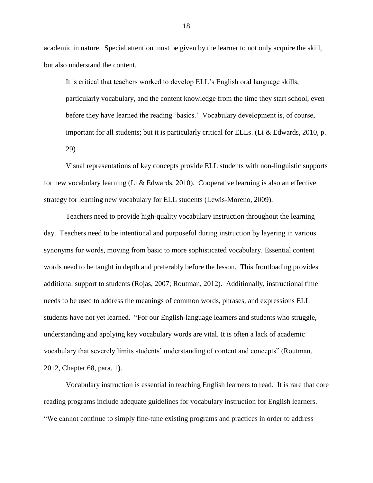academic in nature. Special attention must be given by the learner to not only acquire the skill, but also understand the content.

It is critical that teachers worked to develop ELL's English oral language skills, particularly vocabulary, and the content knowledge from the time they start school, even before they have learned the reading 'basics.' Vocabulary development is, of course, important for all students; but it is particularly critical for ELLs. (Li & Edwards, 2010, p. 29)

Visual representations of key concepts provide ELL students with non-linguistic supports for new vocabulary learning (Li & Edwards, 2010). Cooperative learning is also an effective strategy for learning new vocabulary for ELL students (Lewis-Moreno, 2009).

Teachers need to provide high-quality vocabulary instruction throughout the learning day. Teachers need to be intentional and purposeful during instruction by layering in various synonyms for words, moving from basic to more sophisticated vocabulary. Essential content words need to be taught in depth and preferably before the lesson. This frontloading provides additional support to students (Rojas, 2007; Routman, 2012). Additionally, instructional time needs to be used to address the meanings of common words, phrases, and expressions ELL students have not yet learned. "For our English-language learners and students who struggle, understanding and applying key vocabulary words are vital. It is often a lack of academic vocabulary that severely limits students' understanding of content and concepts" (Routman, 2012, Chapter 68, para. 1).

Vocabulary instruction is essential in teaching English learners to read. It is rare that core reading programs include adequate guidelines for vocabulary instruction for English learners. "We cannot continue to simply fine-tune existing programs and practices in order to address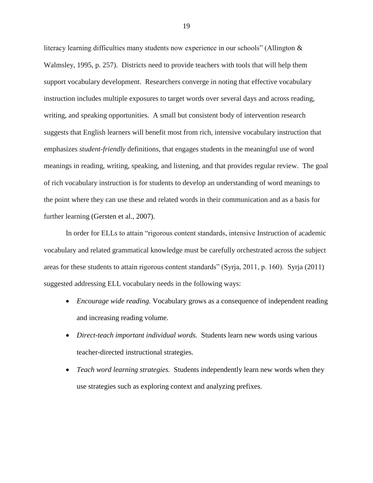literacy learning difficulties many students now experience in our schools" (Allington & Walmsley, 1995, p. 257). Districts need to provide teachers with tools that will help them support vocabulary development. Researchers converge in noting that effective vocabulary instruction includes multiple exposures to target words over several days and across reading, writing, and speaking opportunities. A small but consistent body of intervention research suggests that English learners will benefit most from rich, intensive vocabulary instruction that emphasizes *student-friendly* definitions, that engages students in the meaningful use of word meanings in reading, writing, speaking, and listening, and that provides regular review. The goal of rich vocabulary instruction is for students to develop an understanding of word meanings to the point where they can use these and related words in their communication and as a basis for further learning (Gersten et al., 2007).

In order for ELLs to attain "rigorous content standards, intensive Instruction of academic vocabulary and related grammatical knowledge must be carefully orchestrated across the subject areas for these students to attain rigorous content standards" (Syrja, 2011, p. 160). Syrja (2011) suggested addressing ELL vocabulary needs in the following ways:

- *Encourage wide reading.* Vocabulary grows as a consequence of independent reading and increasing reading volume.
- *Direct-teach important individual words.* Students learn new words using various teacher-directed instructional strategies.
- *Teach word learning strategies.* Students independently learn new words when they use strategies such as exploring context and analyzing prefixes.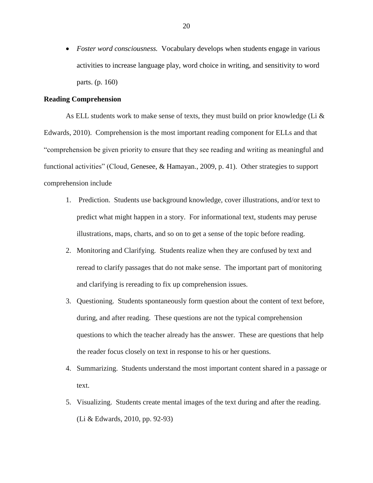*Foster word consciousness.* Vocabulary develops when students engage in various activities to increase language play, word choice in writing, and sensitivity to word parts. (p. 160)

#### **Reading Comprehension**

As ELL students work to make sense of texts, they must build on prior knowledge (Li & Edwards, 2010). Comprehension is the most important reading component for ELLs and that "comprehension be given priority to ensure that they see reading and writing as meaningful and functional activities" (Cloud, Genesee, & Hamayan., 2009, p. 41). Other strategies to support comprehension include

- 1. Prediction. Students use background knowledge, cover illustrations, and/or text to predict what might happen in a story. For informational text, students may peruse illustrations, maps, charts, and so on to get a sense of the topic before reading.
- 2. Monitoring and Clarifying. Students realize when they are confused by text and reread to clarify passages that do not make sense. The important part of monitoring and clarifying is rereading to fix up comprehension issues.
- 3. Questioning. Students spontaneously form question about the content of text before, during, and after reading. These questions are not the typical comprehension questions to which the teacher already has the answer. These are questions that help the reader focus closely on text in response to his or her questions.
- 4. Summarizing. Students understand the most important content shared in a passage or text.
- 5. Visualizing. Students create mental images of the text during and after the reading. (Li & Edwards, 2010, pp. 92-93)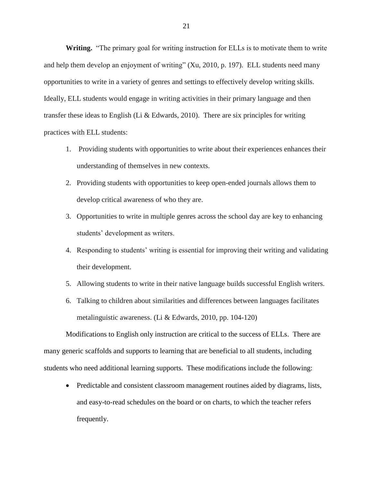**Writing.** "The primary goal for writing instruction for ELLs is to motivate them to write and help them develop an enjoyment of writing" (Xu, 2010, p. 197). ELL students need many opportunities to write in a variety of genres and settings to effectively develop writing skills. Ideally, ELL students would engage in writing activities in their primary language and then transfer these ideas to English (Li & Edwards, 2010). There are six principles for writing practices with ELL students:

- 1. Providing students with opportunities to write about their experiences enhances their understanding of themselves in new contexts.
- 2. Providing students with opportunities to keep open-ended journals allows them to develop critical awareness of who they are.
- 3. Opportunities to write in multiple genres across the school day are key to enhancing students' development as writers.
- 4. Responding to students' writing is essential for improving their writing and validating their development.
- 5. Allowing students to write in their native language builds successful English writers.
- 6. Talking to children about similarities and differences between languages facilitates metalinguistic awareness. (Li & Edwards, 2010, pp. 104-120)

Modifications to English only instruction are critical to the success of ELLs. There are many generic scaffolds and supports to learning that are beneficial to all students, including students who need additional learning supports. These modifications include the following:

• Predictable and consistent classroom management routines aided by diagrams, lists, and easy-to-read schedules on the board or on charts, to which the teacher refers frequently.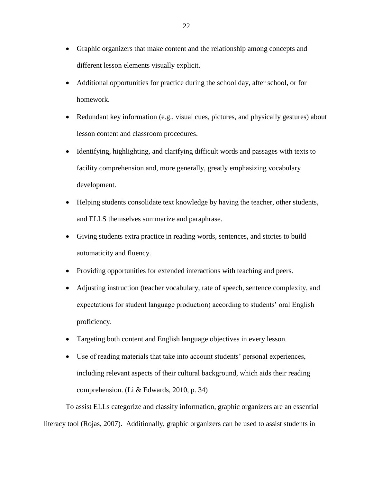- Graphic organizers that make content and the relationship among concepts and different lesson elements visually explicit.
- Additional opportunities for practice during the school day, after school, or for homework.
- Redundant key information (e.g., visual cues, pictures, and physically gestures) about lesson content and classroom procedures.
- Identifying, highlighting, and clarifying difficult words and passages with texts to facility comprehension and, more generally, greatly emphasizing vocabulary development.
- Helping students consolidate text knowledge by having the teacher, other students, and ELLS themselves summarize and paraphrase.
- Giving students extra practice in reading words, sentences, and stories to build automaticity and fluency.
- Providing opportunities for extended interactions with teaching and peers.
- Adjusting instruction (teacher vocabulary, rate of speech, sentence complexity, and expectations for student language production) according to students' oral English proficiency.
- Targeting both content and English language objectives in every lesson.
- Use of reading materials that take into account students' personal experiences, including relevant aspects of their cultural background, which aids their reading comprehension. (Li & Edwards, 2010, p. 34)

To assist ELLs categorize and classify information, graphic organizers are an essential literacy tool (Rojas, 2007). Additionally, graphic organizers can be used to assist students in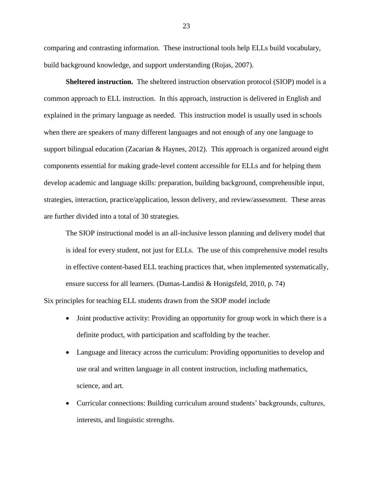comparing and contrasting information. These instructional tools help ELLs build vocabulary, build background knowledge, and support understanding (Rojas, 2007).

**Sheltered instruction.** The sheltered instruction observation protocol (SIOP) model is a common approach to ELL instruction. In this approach, instruction is delivered in English and explained in the primary language as needed. This instruction model is usually used in schools when there are speakers of many different languages and not enough of any one language to support bilingual education (Zacarian & Haynes, 2012). This approach is organized around eight components essential for making grade-level content accessible for ELLs and for helping them develop academic and language skills: preparation, building background, comprehensible input, strategies, interaction, practice/application, lesson delivery, and review/assessment. These areas are further divided into a total of 30 strategies.

The SIOP instructional model is an all-inclusive lesson planning and delivery model that is ideal for every student, not just for ELLs. The use of this comprehensive model results in effective content-based ELL teaching practices that, when implemented systematically, ensure success for all learners. (Dumas-Landisi & Honigsfeld, 2010, p. 74)

Six principles for teaching ELL students drawn from the SIOP model include

- Joint productive activity: Providing an opportunity for group work in which there is a definite product, with participation and scaffolding by the teacher.
- Language and literacy across the curriculum: Providing opportunities to develop and use oral and written language in all content instruction, including mathematics, science, and art.
- Curricular connections: Building curriculum around students' backgrounds, cultures, interests, and linguistic strengths.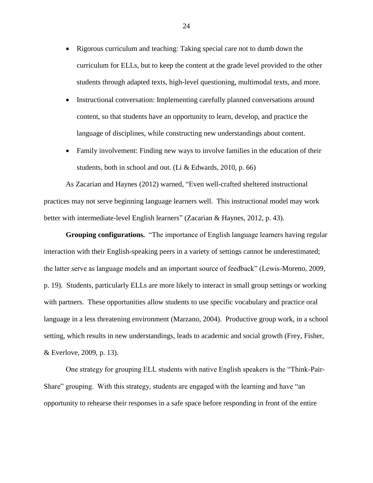- Rigorous curriculum and teaching: Taking special care not to dumb down the curriculum for ELLs, but to keep the content at the grade level provided to the other students through adapted texts, high-level questioning, multimodal texts, and more.
- Instructional conversation: Implementing carefully planned conversations around content, so that students have an opportunity to learn, develop, and practice the language of disciplines, while constructing new understandings about content.
- Family involvement: Finding new ways to involve families in the education of their students, both in school and out. (Li & Edwards, 2010, p. 66)

As Zacarian and Haynes (2012) warned, "Even well-crafted sheltered instructional practices may not serve beginning language learners well. This instructional model may work better with intermediate-level English learners" (Zacarian & Haynes, 2012, p. 43).

**Grouping configurations.** "The importance of English language learners having regular interaction with their English-speaking peers in a variety of settings cannot be underestimated; the latter serve as language models and an important source of feedback" (Lewis-Moreno, 2009, p. 19). Students, particularly ELLs are more likely to interact in small group settings or working with partners. These opportunities allow students to use specific vocabulary and practice oral language in a less threatening environment (Marzano, 2004). Productive group work, in a school setting, which results in new understandings, leads to academic and social growth (Frey, Fisher, & Everlove, 2009, p. 13).

One strategy for grouping ELL students with native English speakers is the "Think-Pair-Share" grouping. With this strategy, students are engaged with the learning and have "an opportunity to rehearse their responses in a safe space before responding in front of the entire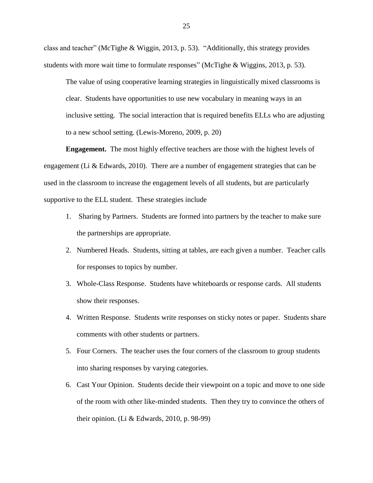class and teacher" (McTighe & Wiggin, 2013, p. 53). "Additionally, this strategy provides students with more wait time to formulate responses" (McTighe & Wiggins, 2013, p. 53).

The value of using cooperative learning strategies in linguistically mixed classrooms is clear. Students have opportunities to use new vocabulary in meaning ways in an inclusive setting. The social interaction that is required benefits ELLs who are adjusting to a new school setting. (Lewis-Moreno, 2009, p. 20)

**Engagement.** The most highly effective teachers are those with the highest levels of engagement (Li & Edwards, 2010). There are a number of engagement strategies that can be used in the classroom to increase the engagement levels of all students, but are particularly supportive to the ELL student. These strategies include

- 1. Sharing by Partners. Students are formed into partners by the teacher to make sure the partnerships are appropriate.
- 2. Numbered Heads. Students, sitting at tables, are each given a number. Teacher calls for responses to topics by number.
- 3. Whole-Class Response. Students have whiteboards or response cards. All students show their responses.
- 4. Written Response. Students write responses on sticky notes or paper. Students share comments with other students or partners.
- 5. Four Corners. The teacher uses the four corners of the classroom to group students into sharing responses by varying categories.
- 6. Cast Your Opinion. Students decide their viewpoint on a topic and move to one side of the room with other like-minded students. Then they try to convince the others of their opinion. (Li & Edwards, 2010, p. 98-99)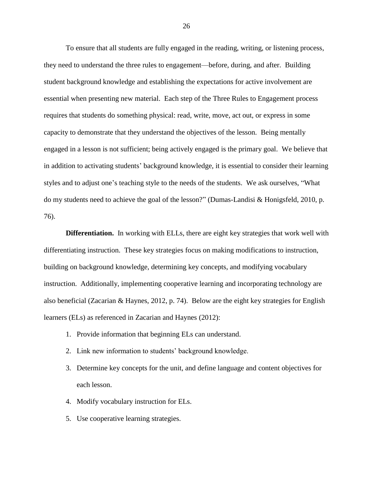To ensure that all students are fully engaged in the reading, writing, or listening process, they need to understand the three rules to engagement—before, during, and after. Building student background knowledge and establishing the expectations for active involvement are essential when presenting new material. Each step of the Three Rules to Engagement process requires that students do something physical: read, write, move, act out, or express in some capacity to demonstrate that they understand the objectives of the lesson. Being mentally engaged in a lesson is not sufficient; being actively engaged is the primary goal. We believe that in addition to activating students' background knowledge, it is essential to consider their learning styles and to adjust one's teaching style to the needs of the students. We ask ourselves, "What do my students need to achieve the goal of the lesson?" (Dumas-Landisi & Honigsfeld, 2010, p. 76).

**Differentiation.** In working with ELLs, there are eight key strategies that work well with differentiating instruction. These key strategies focus on making modifications to instruction, building on background knowledge, determining key concepts, and modifying vocabulary instruction. Additionally, implementing cooperative learning and incorporating technology are also beneficial (Zacarian & Haynes, 2012, p. 74). Below are the eight key strategies for English learners (ELs) as referenced in Zacarian and Haynes (2012):

- 1. Provide information that beginning ELs can understand.
- 2. Link new information to students' background knowledge.
- 3. Determine key concepts for the unit, and define language and content objectives for each lesson.
- 4. Modify vocabulary instruction for ELs.
- 5. Use cooperative learning strategies.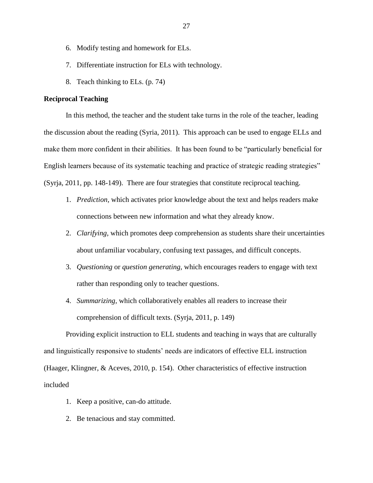- 6. Modify testing and homework for ELs.
- 7. Differentiate instruction for ELs with technology.
- 8. Teach thinking to ELs. (p. 74)

# **Reciprocal Teaching**

In this method, the teacher and the student take turns in the role of the teacher, leading the discussion about the reading (Syria, 2011). This approach can be used to engage ELLs and make them more confident in their abilities. It has been found to be "particularly beneficial for English learners because of its systematic teaching and practice of strategic reading strategies" (Syrja, 2011, pp. 148-149). There are four strategies that constitute reciprocal teaching.

- 1. *Prediction,* which activates prior knowledge about the text and helps readers make connections between new information and what they already know.
- 2. *Clarifying,* which promotes deep comprehension as students share their uncertainties about unfamiliar vocabulary, confusing text passages, and difficult concepts.
- 3. *Questioning* or *question generating,* which encourages readers to engage with text rather than responding only to teacher questions.
- 4. *Summarizing,* which collaboratively enables all readers to increase their comprehension of difficult texts. (Syrja, 2011, p. 149)

Providing explicit instruction to ELL students and teaching in ways that are culturally and linguistically responsive to students' needs are indicators of effective ELL instruction (Haager, Klingner, & Aceves, 2010, p. 154). Other characteristics of effective instruction included

- 1. Keep a positive, can-do attitude.
- 2. Be tenacious and stay committed.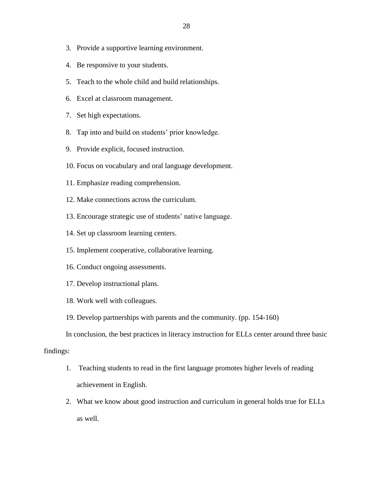- 3. Provide a supportive learning environment.
- 4. Be responsive to your students.
- 5. Teach to the whole child and build relationships.
- 6. Excel at classroom management.
- 7. Set high expectations.
- 8. Tap into and build on students' prior knowledge.
- 9. Provide explicit, focused instruction.
- 10. Focus on vocabulary and oral language development.
- 11. Emphasize reading comprehension.
- 12. Make connections across the curriculum.
- 13. Encourage strategic use of students' native language.
- 14. Set up classroom learning centers.
- 15. Implement cooperative, collaborative learning.
- 16. Conduct ongoing assessments.
- 17. Develop instructional plans.
- 18. Work well with colleagues.
- 19. Develop partnerships with parents and the community. (pp. 154-160)

In conclusion, the best practices in literacy instruction for ELLs center around three basic

# findings:

- 1. Teaching students to read in the first language promotes higher levels of reading achievement in English.
- 2. What we know about good instruction and curriculum in general holds true for ELLs as well.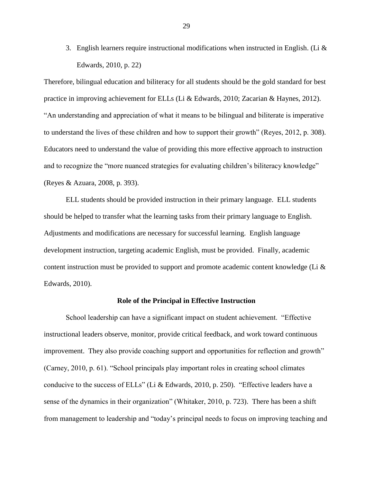3. English learners require instructional modifications when instructed in English. (Li  $\&$ Edwards, 2010, p. 22)

Therefore, bilingual education and biliteracy for all students should be the gold standard for best practice in improving achievement for ELLs (Li & Edwards, 2010; Zacarian & Haynes, 2012). "An understanding and appreciation of what it means to be bilingual and biliterate is imperative to understand the lives of these children and how to support their growth" (Reyes, 2012, p. 308). Educators need to understand the value of providing this more effective approach to instruction and to recognize the "more nuanced strategies for evaluating children's biliteracy knowledge" (Reyes & Azuara, 2008, p. 393).

ELL students should be provided instruction in their primary language. ELL students should be helped to transfer what the learning tasks from their primary language to English. Adjustments and modifications are necessary for successful learning. English language development instruction, targeting academic English, must be provided. Finally, academic content instruction must be provided to support and promote academic content knowledge (Li & Edwards, 2010).

## **Role of the Principal in Effective Instruction**

School leadership can have a significant impact on student achievement. "Effective instructional leaders observe, monitor, provide critical feedback, and work toward continuous improvement. They also provide coaching support and opportunities for reflection and growth" (Carney, 2010, p. 61). "School principals play important roles in creating school climates conducive to the success of ELLs" (Li & Edwards, 2010, p. 250). "Effective leaders have a sense of the dynamics in their organization" (Whitaker, 2010, p. 723). There has been a shift from management to leadership and "today's principal needs to focus on improving teaching and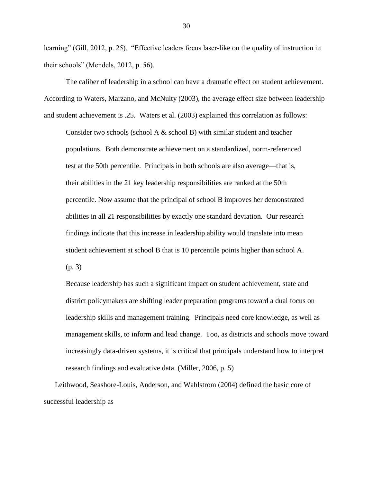learning" (Gill, 2012, p. 25). "Effective leaders focus laser-like on the quality of instruction in their schools" (Mendels, 2012, p. 56).

The caliber of leadership in a school can have a dramatic effect on student achievement. According to Waters, Marzano, and McNulty (2003), the average effect size between leadership and student achievement is .25. Waters et al. (2003) explained this correlation as follows:

Consider two schools (school A & school B) with similar student and teacher populations. Both demonstrate achievement on a standardized, norm-referenced test at the 50th percentile. Principals in both schools are also average—that is, their abilities in the 21 key leadership responsibilities are ranked at the 50th percentile. Now assume that the principal of school B improves her demonstrated abilities in all 21 responsibilities by exactly one standard deviation. Our research findings indicate that this increase in leadership ability would translate into mean student achievement at school B that is 10 percentile points higher than school A. (p. 3)

Because leadership has such a significant impact on student achievement, state and district policymakers are shifting leader preparation programs toward a dual focus on leadership skills and management training. Principals need core knowledge, as well as management skills, to inform and lead change. Too, as districts and schools move toward increasingly data-driven systems, it is critical that principals understand how to interpret research findings and evaluative data. (Miller, 2006, p. 5)

Leithwood, Seashore-Louis, Anderson, and Wahlstrom (2004) defined the basic core of successful leadership as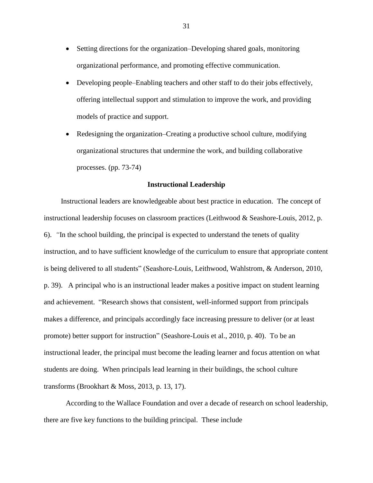- Setting directions for the organization–Developing shared goals, monitoring organizational performance, and promoting effective communication.
- Developing people–Enabling teachers and other staff to do their jobs effectively, offering intellectual support and stimulation to improve the work, and providing models of practice and support.
- Redesigning the organization–Creating a productive school culture, modifying organizational structures that undermine the work, and building collaborative processes. (pp. 73-74)

## **Instructional Leadership**

Instructional leaders are knowledgeable about best practice in education. The concept of instructional leadership focuses on classroom practices (Leithwood & Seashore-Louis, 2012, p. 6). *"*In the school building, the principal is expected to understand the tenets of quality instruction, and to have sufficient knowledge of the curriculum to ensure that appropriate content is being delivered to all students" (Seashore-Louis, Leithwood, Wahlstrom, & Anderson, 2010, p. 39). A principal who is an instructional leader makes a positive impact on student learning and achievement. "Research shows that consistent, well-informed support from principals makes a difference, and principals accordingly face increasing pressure to deliver (or at least promote) better support for instruction" (Seashore-Louis et al., 2010, p. 40). To be an instructional leader, the principal must become the leading learner and focus attention on what students are doing. When principals lead learning in their buildings, the school culture transforms (Brookhart & Moss, 2013, p. 13, 17).

According to the Wallace Foundation and over a decade of research on school leadership, there are five key functions to the building principal. These include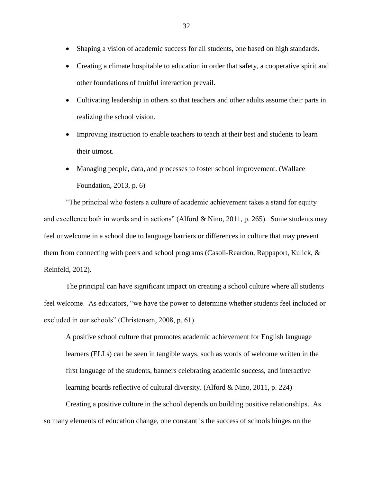- Shaping a vision of academic success for all students, one based on high standards.
- Creating a climate hospitable to education in order that safety, a cooperative spirit and other foundations of fruitful interaction prevail.
- Cultivating leadership in others so that teachers and other adults assume their parts in realizing the school vision.
- Improving instruction to enable teachers to teach at their best and students to learn their utmost.
- Managing people, data, and processes to foster school improvement. (Wallace Foundation, 2013, p. 6)

"The principal who fosters a culture of academic achievement takes a stand for equity and excellence both in words and in actions" (Alford & Nino, 2011, p. 265). Some students may feel unwelcome in a school due to language barriers or differences in culture that may prevent them from connecting with peers and school programs (Casoli-Reardon, Rappaport, Kulick, & Reinfeld, 2012).

The principal can have significant impact on creating a school culture where all students feel welcome. As educators, "we have the power to determine whether students feel included or excluded in our schools" (Christensen, 2008, p. 61).

A positive school culture that promotes academic achievement for English language learners (ELLs) can be seen in tangible ways, such as words of welcome written in the first language of the students, banners celebrating academic success, and interactive learning boards reflective of cultural diversity. (Alford & Nino, 2011, p. 224)

Creating a positive culture in the school depends on building positive relationships. As so many elements of education change, one constant is the success of schools hinges on the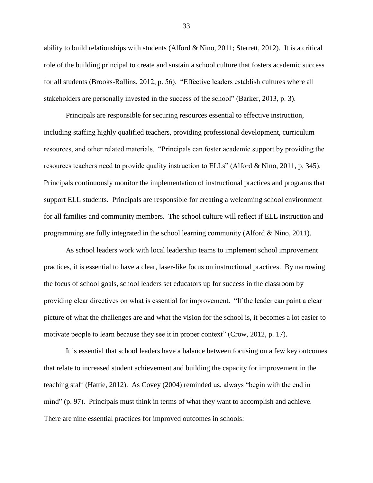ability to build relationships with students (Alford & Nino, 2011; Sterrett, 2012). It is a critical role of the building principal to create and sustain a school culture that fosters academic success for all students (Brooks-Rallins, 2012, p. 56). "Effective leaders establish cultures where all stakeholders are personally invested in the success of the school" (Barker, 2013, p. 3).

Principals are responsible for securing resources essential to effective instruction, including staffing highly qualified teachers, providing professional development, curriculum resources, and other related materials. "Principals can foster academic support by providing the resources teachers need to provide quality instruction to ELLs" (Alford & Nino, 2011, p. 345). Principals continuously monitor the implementation of instructional practices and programs that support ELL students. Principals are responsible for creating a welcoming school environment for all families and community members. The school culture will reflect if ELL instruction and programming are fully integrated in the school learning community (Alford & Nino, 2011).

As school leaders work with local leadership teams to implement school improvement practices, it is essential to have a clear, laser-like focus on instructional practices. By narrowing the focus of school goals, school leaders set educators up for success in the classroom by providing clear directives on what is essential for improvement. "If the leader can paint a clear picture of what the challenges are and what the vision for the school is, it becomes a lot easier to motivate people to learn because they see it in proper context" (Crow, 2012, p. 17).

It is essential that school leaders have a balance between focusing on a few key outcomes that relate to increased student achievement and building the capacity for improvement in the teaching staff (Hattie, 2012). As Covey (2004) reminded us, always "begin with the end in mind" (p. 97). Principals must think in terms of what they want to accomplish and achieve. There are nine essential practices for improved outcomes in schools: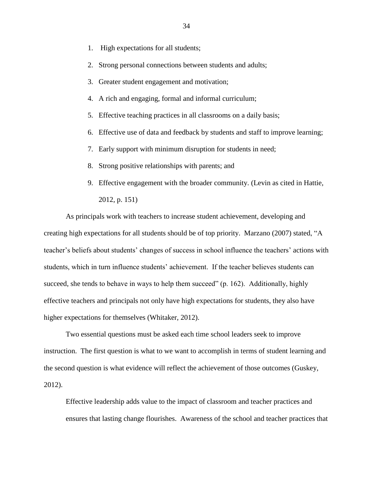- 1. High expectations for all students;
- 2. Strong personal connections between students and adults;
- 3. Greater student engagement and motivation;
- 4. A rich and engaging, formal and informal curriculum;
- 5. Effective teaching practices in all classrooms on a daily basis;
- 6. Effective use of data and feedback by students and staff to improve learning;
- 7. Early support with minimum disruption for students in need;
- 8. Strong positive relationships with parents; and
- 9. Effective engagement with the broader community. (Levin as cited in Hattie, 2012, p. 151)

As principals work with teachers to increase student achievement, developing and creating high expectations for all students should be of top priority. Marzano (2007) stated, "A teacher's beliefs about students' changes of success in school influence the teachers' actions with students, which in turn influence students' achievement. If the teacher believes students can succeed, she tends to behave in ways to help them succeed" (p. 162). Additionally, highly effective teachers and principals not only have high expectations for students, they also have higher expectations for themselves (Whitaker, 2012).

Two essential questions must be asked each time school leaders seek to improve instruction. The first question is what to we want to accomplish in terms of student learning and the second question is what evidence will reflect the achievement of those outcomes (Guskey, 2012).

Effective leadership adds value to the impact of classroom and teacher practices and ensures that lasting change flourishes. Awareness of the school and teacher practices that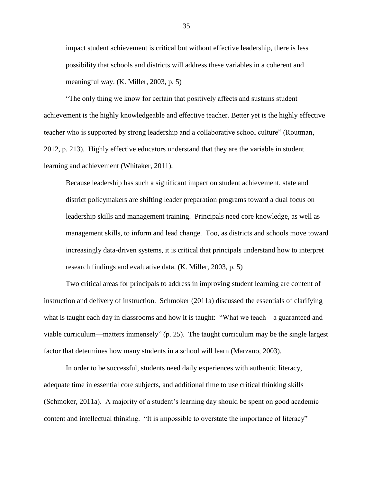impact student achievement is critical but without effective leadership, there is less possibility that schools and districts will address these variables in a coherent and meaningful way. (K. Miller, 2003, p. 5)

"The only thing we know for certain that positively affects and sustains student achievement is the highly knowledgeable and effective teacher. Better yet is the highly effective teacher who is supported by strong leadership and a collaborative school culture" (Routman, 2012, p. 213). Highly effective educators understand that they are the variable in student learning and achievement (Whitaker, 2011).

Because leadership has such a significant impact on student achievement, state and district policymakers are shifting leader preparation programs toward a dual focus on leadership skills and management training. Principals need core knowledge, as well as management skills, to inform and lead change. Too, as districts and schools move toward increasingly data-driven systems, it is critical that principals understand how to interpret research findings and evaluative data. (K. Miller, 2003, p. 5)

Two critical areas for principals to address in improving student learning are content of instruction and delivery of instruction. Schmoker (2011a) discussed the essentials of clarifying what is taught each day in classrooms and how it is taught: "What we teach—a guaranteed and viable curriculum—matters immensely" (p. 25). The taught curriculum may be the single largest factor that determines how many students in a school will learn (Marzano, 2003).

In order to be successful, students need daily experiences with authentic literacy, adequate time in essential core subjects, and additional time to use critical thinking skills (Schmoker, 2011a). A majority of a student's learning day should be spent on good academic content and intellectual thinking. "It is impossible to overstate the importance of literacy"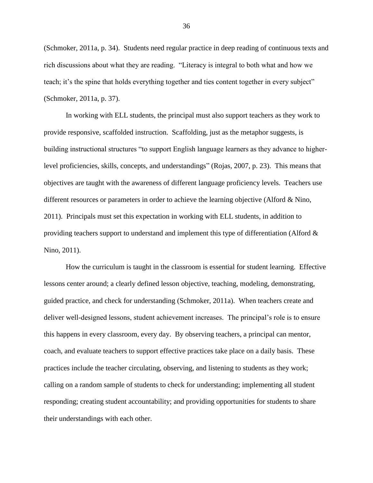(Schmoker, 2011a, p. 34). Students need regular practice in deep reading of continuous texts and rich discussions about what they are reading. "Literacy is integral to both what and how we teach; it's the spine that holds everything together and ties content together in every subject" (Schmoker, 2011a, p. 37).

In working with ELL students, the principal must also support teachers as they work to provide responsive, scaffolded instruction. Scaffolding, just as the metaphor suggests, is building instructional structures "to support English language learners as they advance to higherlevel proficiencies, skills, concepts, and understandings" (Rojas, 2007, p. 23). This means that objectives are taught with the awareness of different language proficiency levels. Teachers use different resources or parameters in order to achieve the learning objective (Alford & Nino, 2011). Principals must set this expectation in working with ELL students, in addition to providing teachers support to understand and implement this type of differentiation (Alford  $\&$ Nino, 2011).

How the curriculum is taught in the classroom is essential for student learning. Effective lessons center around; a clearly defined lesson objective, teaching, modeling, demonstrating, guided practice, and check for understanding (Schmoker, 2011a). When teachers create and deliver well-designed lessons, student achievement increases. The principal's role is to ensure this happens in every classroom, every day. By observing teachers, a principal can mentor, coach, and evaluate teachers to support effective practices take place on a daily basis. These practices include the teacher circulating, observing, and listening to students as they work; calling on a random sample of students to check for understanding; implementing all student responding; creating student accountability; and providing opportunities for students to share their understandings with each other.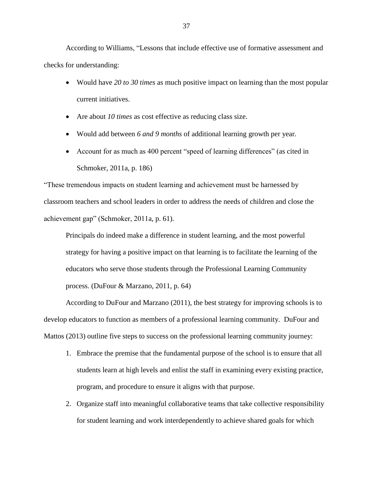According to Williams, "Lessons that include effective use of formative assessment and checks for understanding:

- Would have *20 to 30 times* as much positive impact on learning than the most popular current initiatives.
- Are about *10 times* as cost effective as reducing class size.
- Would add between *6 and 9 months* of additional learning growth per year.
- Account for as much as 400 percent "speed of learning differences" (as cited in Schmoker, 2011a, p. 186)

"These tremendous impacts on student learning and achievement must be harnessed by classroom teachers and school leaders in order to address the needs of children and close the achievement gap" (Schmoker, 2011a, p. 61).

Principals do indeed make a difference in student learning, and the most powerful strategy for having a positive impact on that learning is to facilitate the learning of the educators who serve those students through the Professional Learning Community process. (DuFour & Marzano, 2011, p. 64)

According to DuFour and Marzano (2011), the best strategy for improving schools is to develop educators to function as members of a professional learning community. DuFour and Mattos (2013) outline five steps to success on the professional learning community journey:

- 1. Embrace the premise that the fundamental purpose of the school is to ensure that all students learn at high levels and enlist the staff in examining every existing practice, program, and procedure to ensure it aligns with that purpose.
- 2. Organize staff into meaningful collaborative teams that take collective responsibility for student learning and work interdependently to achieve shared goals for which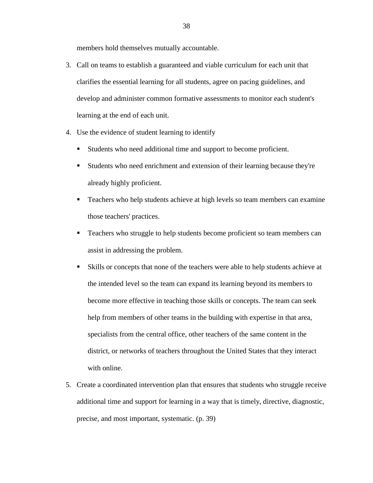members hold themselves mutually accountable.

- 3. Call on teams to establish a guaranteed and viable curriculum for each unit that clarifies the essential learning for all students, agree on pacing guidelines, and develop and administer common formative assessments to monitor each student's learning at the end of each unit.
- 4. Use the evidence of student learning to identify
	- Students who need additional time and support to become proficient.
	- Students who need enrichment and extension of their learning because they're already highly proficient.
	- Teachers who help students achieve at high levels so team members can examine those teachers' practices.
	- **Teachers who struggle to help students become proficient so team members can** assist in addressing the problem.
	- Skills or concepts that none of the teachers were able to help students achieve at the intended level so the team can expand its learning beyond its members to become more effective in teaching those skills or concepts. The team can seek help from members of other teams in the building with expertise in that area, specialists from the central office, other teachers of the same content in the district, or networks of teachers throughout the United States that they interact with online.
- 5. Create a coordinated intervention plan that ensures that students who struggle receive additional time and support for learning in a way that is timely, directive, diagnostic, precise, and most important, systematic. (p. 39)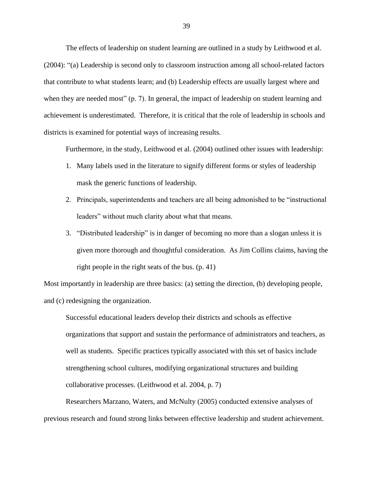The effects of leadership on student learning are outlined in a study by Leithwood et al. (2004): "(a) Leadership is second only to classroom instruction among all school-related factors that contribute to what students learn; and (b) Leadership effects are usually largest where and when they are needed most" (p. 7). In general, the impact of leadership on student learning and achievement is underestimated. Therefore, it is critical that the role of leadership in schools and districts is examined for potential ways of increasing results.

Furthermore, in the study, Leithwood et al. (2004) outlined other issues with leadership:

- 1. Many labels used in the literature to signify different forms or styles of leadership mask the generic functions of leadership.
- 2. Principals, superintendents and teachers are all being admonished to be "instructional leaders" without much clarity about what that means.
- 3. "Distributed leadership" is in danger of becoming no more than a slogan unless it is given more thorough and thoughtful consideration. As Jim Collins claims, having the right people in the right seats of the bus. (p. 41)

Most importantly in leadership are three basics: (a) setting the direction, (b) developing people, and (c) redesigning the organization.

Successful educational leaders develop their districts and schools as effective organizations that support and sustain the performance of administrators and teachers, as well as students. Specific practices typically associated with this set of basics include strengthening school cultures, modifying organizational structures and building collaborative processes. (Leithwood et al. 2004, p. 7)

Researchers Marzano, Waters, and McNulty (2005) conducted extensive analyses of previous research and found strong links between effective leadership and student achievement.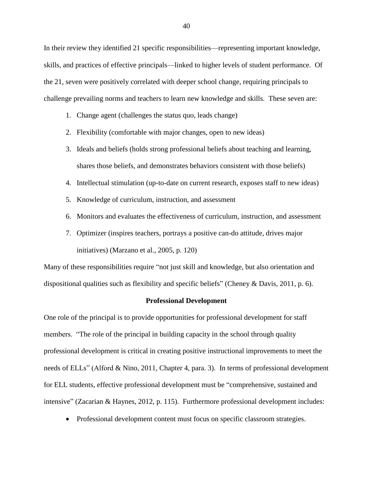In their review they identified 21 specific responsibilities—representing important knowledge, skills, and practices of effective principals—linked to higher levels of student performance. Of the 21, seven were positively correlated with deeper school change, requiring principals to challenge prevailing norms and teachers to learn new knowledge and skills. These seven are:

- 1. Change agent (challenges the status quo, leads change)
- 2. Flexibility (comfortable with major changes, open to new ideas)
- 3. Ideals and beliefs (holds strong professional beliefs about teaching and learning, shares those beliefs, and demonstrates behaviors consistent with those beliefs)
- 4. Intellectual stimulation (up-to-date on current research, exposes staff to new ideas)
- 5. Knowledge of curriculum, instruction, and assessment
- 6. Monitors and evaluates the effectiveness of curriculum, instruction, and assessment
- 7. Optimizer (inspires teachers, portrays a positive can-do attitude, drives major initiatives) (Marzano et al., 2005, p. 120)

Many of these responsibilities require "not just skill and knowledge, but also orientation and dispositional qualities such as flexibility and specific beliefs" (Cheney & Davis, 2011, p. 6).

## **Professional Development**

One role of the principal is to provide opportunities for professional development for staff members. "The role of the principal in building capacity in the school through quality professional development is critical in creating positive instructional improvements to meet the needs of ELLs" (Alford & Nino, 2011, Chapter 4, para. 3). In terms of professional development for ELL students, effective professional development must be "comprehensive, sustained and intensive" (Zacarian & Haynes, 2012, p. 115). Furthermore professional development includes:

• Professional development content must focus on specific classroom strategies.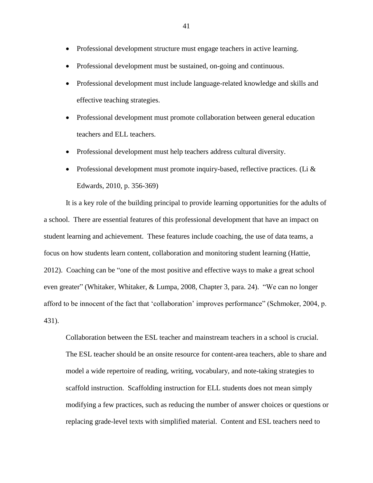- Professional development structure must engage teachers in active learning.
- Professional development must be sustained, on-going and continuous.
- Professional development must include language-related knowledge and skills and effective teaching strategies.
- Professional development must promote collaboration between general education teachers and ELL teachers.
- Professional development must help teachers address cultural diversity.
- Professional development must promote inquiry-based, reflective practices. (Li  $\&$ Edwards, 2010, p. 356-369)

It is a key role of the building principal to provide learning opportunities for the adults of a school. There are essential features of this professional development that have an impact on student learning and achievement. These features include coaching, the use of data teams, a focus on how students learn content, collaboration and monitoring student learning (Hattie, 2012). Coaching can be "one of the most positive and effective ways to make a great school even greater" (Whitaker, Whitaker, & Lumpa, 2008, Chapter 3, para. 24). "We can no longer afford to be innocent of the fact that 'collaboration' improves performance" (Schmoker, 2004, p. 431).

Collaboration between the ESL teacher and mainstream teachers in a school is crucial. The ESL teacher should be an onsite resource for content-area teachers, able to share and model a wide repertoire of reading, writing, vocabulary, and note-taking strategies to scaffold instruction. Scaffolding instruction for ELL students does not mean simply modifying a few practices, such as reducing the number of answer choices or questions or replacing grade-level texts with simplified material. Content and ESL teachers need to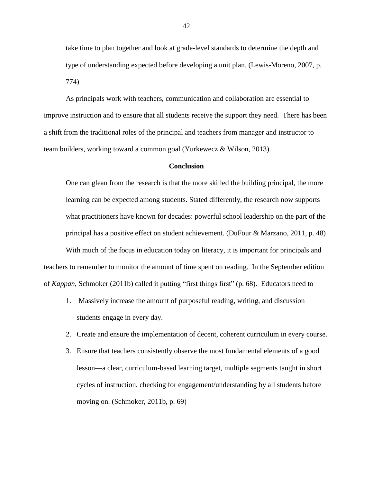take time to plan together and look at grade-level standards to determine the depth and type of understanding expected before developing a unit plan. (Lewis-Moreno, 2007, p. 774)

As principals work with teachers, communication and collaboration are essential to improve instruction and to ensure that all students receive the support they need. There has been a shift from the traditional roles of the principal and teachers from manager and instructor to team builders, working toward a common goal (Yurkewecz & Wilson, 2013).

# **Conclusion**

One can glean from the research is that the more skilled the building principal, the more learning can be expected among students. Stated differently, the research now supports what practitioners have known for decades: powerful school leadership on the part of the principal has a positive effect on student achievement. (DuFour & Marzano, 2011, p. 48) With much of the focus in education today on literacy, it is important for principals and teachers to remember to monitor the amount of time spent on reading. In the September edition of *Kappan*, Schmoker (2011b) called it putting "first things first" (p. 68). Educators need to

- 1. Massively increase the amount of purposeful reading, writing, and discussion students engage in every day.
- 2. Create and ensure the implementation of decent, coherent curriculum in every course.
- 3. Ensure that teachers consistently observe the most fundamental elements of a good lesson—a clear, curriculum-based learning target, multiple segments taught in short cycles of instruction, checking for engagement/understanding by all students before moving on. (Schmoker, 2011b, p. 69)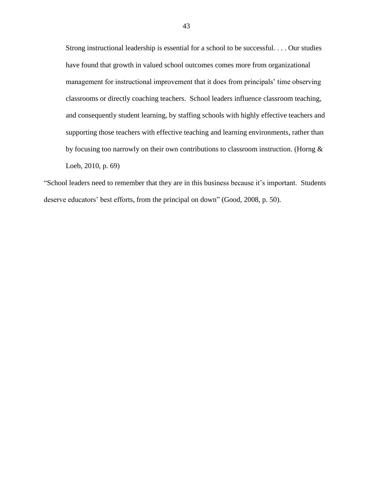Strong instructional leadership is essential for a school to be successful. . . . Our studies have found that growth in valued school outcomes comes more from organizational management for instructional improvement that it does from principals' time observing classrooms or directly coaching teachers. School leaders influence classroom teaching, and consequently student learning, by staffing schools with highly effective teachers and supporting those teachers with effective teaching and learning environments, rather than by focusing too narrowly on their own contributions to classroom instruction. (Horng & Loeb, 2010, p. 69)

"School leaders need to remember that they are in this business because it's important. Students deserve educators' best efforts, from the principal on down" (Good, 2008, p. 50).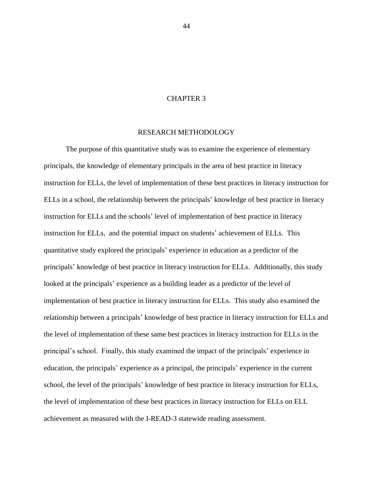# CHAPTER 3

# RESEARCH METHODOLOGY

The purpose of this quantitative study was to examine the experience of elementary principals, the knowledge of elementary principals in the area of best practice in literacy instruction for ELLs, the level of implementation of these best practices in literacy instruction for ELLs in a school, the relationship between the principals' knowledge of best practice in literacy instruction for ELLs and the schools' level of implementation of best practice in literacy instruction for ELLs, and the potential impact on students' achievement of ELLs. This quantitative study explored the principals' experience in education as a predictor of the principals' knowledge of best practice in literacy instruction for ELLs. Additionally, this study looked at the principals' experience as a building leader as a predictor of the level of implementation of best practice in literacy instruction for ELLs. This study also examined the relationship between a principals' knowledge of best practice in literacy instruction for ELLs and the level of implementation of these same best practices in literacy instruction for ELLs in the principal's school. Finally, this study examined the impact of the principals' experience in education, the principals' experience as a principal, the principals' experience in the current school, the level of the principals' knowledge of best practice in literacy instruction for ELLs, the level of implementation of these best practices in literacy instruction for ELLs on ELL achievement as measured with the I-READ-3 statewide reading assessment.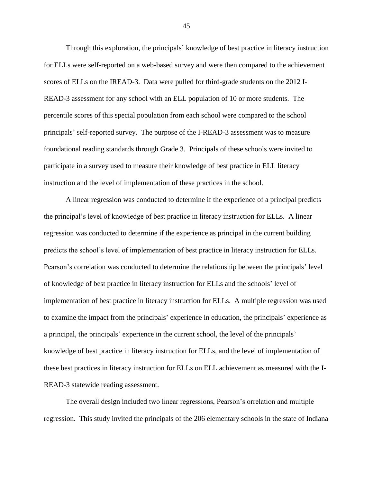Through this exploration, the principals' knowledge of best practice in literacy instruction for ELLs were self-reported on a web-based survey and were then compared to the achievement scores of ELLs on the IREAD-3. Data were pulled for third-grade students on the 2012 I-READ-3 assessment for any school with an ELL population of 10 or more students. The percentile scores of this special population from each school were compared to the school principals' self-reported survey. The purpose of the I-READ-3 assessment was to measure foundational reading standards through Grade 3. Principals of these schools were invited to participate in a survey used to measure their knowledge of best practice in ELL literacy instruction and the level of implementation of these practices in the school.

A linear regression was conducted to determine if the experience of a principal predicts the principal's level of knowledge of best practice in literacy instruction for ELLs. A linear regression was conducted to determine if the experience as principal in the current building predicts the school's level of implementation of best practice in literacy instruction for ELLs. Pearson's correlation was conducted to determine the relationship between the principals' level of knowledge of best practice in literacy instruction for ELLs and the schools' level of implementation of best practice in literacy instruction for ELLs. A multiple regression was used to examine the impact from the principals' experience in education, the principals' experience as a principal, the principals' experience in the current school, the level of the principals' knowledge of best practice in literacy instruction for ELLs, and the level of implementation of these best practices in literacy instruction for ELLs on ELL achievement as measured with the I-READ-3 statewide reading assessment.

The overall design included two linear regressions, Pearson's orrelation and multiple regression. This study invited the principals of the 206 elementary schools in the state of Indiana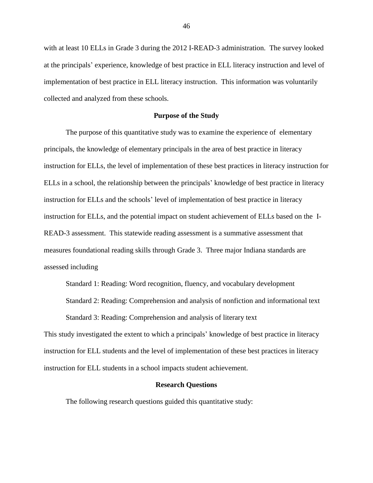with at least 10 ELLs in Grade 3 during the 2012 I-READ-3 administration. The survey looked at the principals' experience, knowledge of best practice in ELL literacy instruction and level of implementation of best practice in ELL literacy instruction. This information was voluntarily collected and analyzed from these schools.

# **Purpose of the Study**

The purpose of this quantitative study was to examine the experience of elementary principals, the knowledge of elementary principals in the area of best practice in literacy instruction for ELLs, the level of implementation of these best practices in literacy instruction for ELLs in a school, the relationship between the principals' knowledge of best practice in literacy instruction for ELLs and the schools' level of implementation of best practice in literacy instruction for ELLs, and the potential impact on student achievement of ELLs based on the I-READ-3 assessment. This statewide reading assessment is a summative assessment that measures foundational reading skills through Grade 3. Three major Indiana standards are assessed including

Standard 1: Reading: Word recognition, fluency, and vocabulary development Standard 2: Reading: Comprehension and analysis of nonfiction and informational text Standard 3: Reading: Comprehension and analysis of literary text

This study investigated the extent to which a principals' knowledge of best practice in literacy instruction for ELL students and the level of implementation of these best practices in literacy instruction for ELL students in a school impacts student achievement.

#### **Research Questions**

The following research questions guided this quantitative study: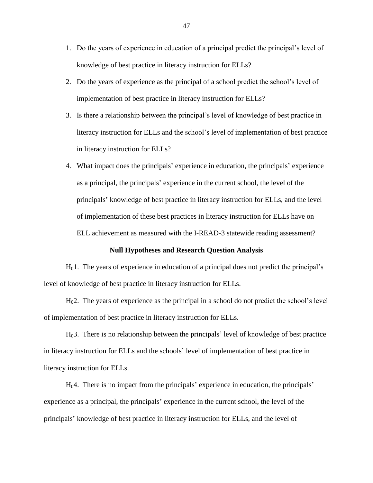- 1. Do the years of experience in education of a principal predict the principal's level of knowledge of best practice in literacy instruction for ELLs?
- 2. Do the years of experience as the principal of a school predict the school's level of implementation of best practice in literacy instruction for ELLs?
- 3. Is there a relationship between the principal's level of knowledge of best practice in literacy instruction for ELLs and the school's level of implementation of best practice in literacy instruction for ELLs?
- 4. What impact does the principals' experience in education, the principals' experience as a principal, the principals' experience in the current school, the level of the principals' knowledge of best practice in literacy instruction for ELLs, and the level of implementation of these best practices in literacy instruction for ELLs have on ELL achievement as measured with the I-READ-3 statewide reading assessment?

# **Null Hypotheses and Research Question Analysis**

 $H<sub>0</sub>1$ . The years of experience in education of a principal does not predict the principal's level of knowledge of best practice in literacy instruction for ELLs.

H02. The years of experience as the principal in a school do not predict the school's level of implementation of best practice in literacy instruction for ELLs.

H03. There is no relationship between the principals' level of knowledge of best practice in literacy instruction for ELLs and the schools' level of implementation of best practice in literacy instruction for ELLs.

H04. There is no impact from the principals' experience in education, the principals' experience as a principal, the principals' experience in the current school, the level of the principals' knowledge of best practice in literacy instruction for ELLs, and the level of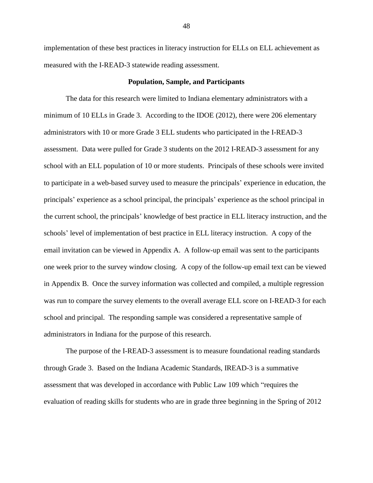implementation of these best practices in literacy instruction for ELLs on ELL achievement as measured with the I-READ-3 statewide reading assessment.

# **Population, Sample, and Participants**

The data for this research were limited to Indiana elementary administrators with a minimum of 10 ELLs in Grade 3. According to the IDOE (2012), there were 206 elementary administrators with 10 or more Grade 3 ELL students who participated in the I-READ-3 assessment. Data were pulled for Grade 3 students on the 2012 I-READ-3 assessment for any school with an ELL population of 10 or more students. Principals of these schools were invited to participate in a web-based survey used to measure the principals' experience in education, the principals' experience as a school principal, the principals' experience as the school principal in the current school, the principals' knowledge of best practice in ELL literacy instruction, and the schools' level of implementation of best practice in ELL literacy instruction. A copy of the email invitation can be viewed in Appendix A. A follow-up email was sent to the participants one week prior to the survey window closing. A copy of the follow-up email text can be viewed in Appendix B. Once the survey information was collected and compiled, a multiple regression was run to compare the survey elements to the overall average ELL score on I-READ-3 for each school and principal. The responding sample was considered a representative sample of administrators in Indiana for the purpose of this research.

The purpose of the I-READ-3 assessment is to measure foundational reading standards through Grade 3. Based on the Indiana Academic Standards, IREAD-3 is a summative assessment that was developed in accordance with Public Law 109 which "requires the evaluation of reading skills for students who are in grade three beginning in the Spring of 2012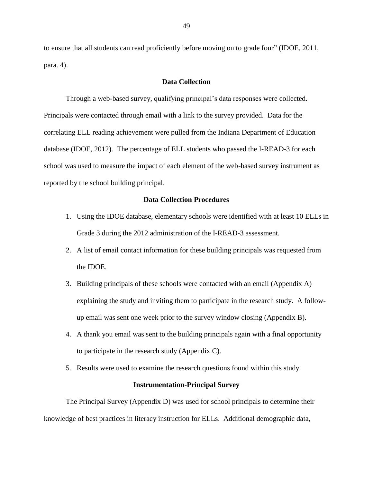to ensure that all students can read proficiently before moving on to grade four" (IDOE, 2011, para. 4).

# **Data Collection**

Through a web-based survey, qualifying principal's data responses were collected. Principals were contacted through email with a link to the survey provided. Data for the correlating ELL reading achievement were pulled from the Indiana Department of Education database (IDOE, 2012). The percentage of ELL students who passed the I-READ-3 for each school was used to measure the impact of each element of the web-based survey instrument as reported by the school building principal.

# **Data Collection Procedures**

- 1. Using the IDOE database, elementary schools were identified with at least 10 ELLs in Grade 3 during the 2012 administration of the I-READ-3 assessment.
- 2. A list of email contact information for these building principals was requested from the IDOE.
- 3. Building principals of these schools were contacted with an email (Appendix A) explaining the study and inviting them to participate in the research study. A followup email was sent one week prior to the survey window closing (Appendix B).
- 4. A thank you email was sent to the building principals again with a final opportunity to participate in the research study (Appendix C).
- 5. Results were used to examine the research questions found within this study.

# **Instrumentation-Principal Survey**

The Principal Survey (Appendix D) was used for school principals to determine their knowledge of best practices in literacy instruction for ELLs. Additional demographic data,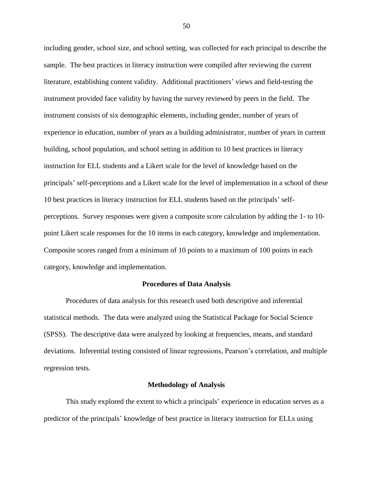including gender, school size, and school setting, was collected for each principal to describe the sample. The best practices in literacy instruction were compiled after reviewing the current literature, establishing content validity. Additional practitioners' views and field-testing the instrument provided face validity by having the survey reviewed by peers in the field. The instrument consists of six demographic elements, including gender, number of years of experience in education, number of years as a building administrator, number of years in current building, school population, and school setting in addition to 10 best practices in literacy instruction for ELL students and a Likert scale for the level of knowledge based on the principals' self-perceptions and a Likert scale for the level of implementation in a school of these 10 best practices in literacy instruction for ELL students based on the principals' selfperceptions. Survey responses were given a composite score calculation by adding the 1- to 10 point Likert scale responses for the 10 items in each category, knowledge and implementation. Composite scores ranged from a minimum of 10 points to a maximum of 100 points in each category, knowledge and implementation.

## **Procedures of Data Analysis**

Procedures of data analysis for this research used both descriptive and inferential statistical methods. The data were analyzed using the Statistical Package for Social Science (SPSS). The descriptive data were analyzed by looking at frequencies, means, and standard deviations. Inferential testing consisted of linear regressions, Pearson's correlation, and multiple regression tests.

#### **Methodology of Analysis**

This study explored the extent to which a principals' experience in education serves as a predictor of the principals' knowledge of best practice in literacy instruction for ELLs using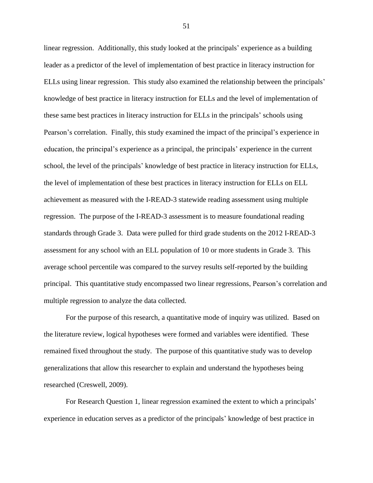linear regression. Additionally, this study looked at the principals' experience as a building leader as a predictor of the level of implementation of best practice in literacy instruction for ELLs using linear regression. This study also examined the relationship between the principals' knowledge of best practice in literacy instruction for ELLs and the level of implementation of these same best practices in literacy instruction for ELLs in the principals' schools using Pearson's correlation. Finally, this study examined the impact of the principal's experience in education, the principal's experience as a principal, the principals' experience in the current school, the level of the principals' knowledge of best practice in literacy instruction for ELLs, the level of implementation of these best practices in literacy instruction for ELLs on ELL achievement as measured with the I-READ-3 statewide reading assessment using multiple regression. The purpose of the I-READ-3 assessment is to measure foundational reading standards through Grade 3. Data were pulled for third grade students on the 2012 I-READ-3 assessment for any school with an ELL population of 10 or more students in Grade 3. This average school percentile was compared to the survey results self-reported by the building principal. This quantitative study encompassed two linear regressions, Pearson's correlation and multiple regression to analyze the data collected.

For the purpose of this research, a quantitative mode of inquiry was utilized. Based on the literature review, logical hypotheses were formed and variables were identified. These remained fixed throughout the study. The purpose of this quantitative study was to develop generalizations that allow this researcher to explain and understand the hypotheses being researched (Creswell, 2009).

For Research Question 1, linear regression examined the extent to which a principals' experience in education serves as a predictor of the principals' knowledge of best practice in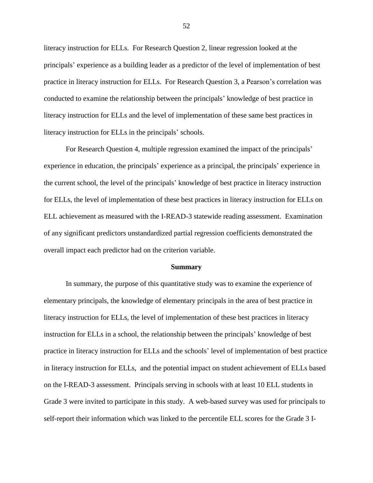literacy instruction for ELLs. For Research Question 2, linear regression looked at the principals' experience as a building leader as a predictor of the level of implementation of best practice in literacy instruction for ELLs. For Research Question 3, a Pearson's correlation was conducted to examine the relationship between the principals' knowledge of best practice in literacy instruction for ELLs and the level of implementation of these same best practices in literacy instruction for ELLs in the principals' schools.

For Research Question 4, multiple regression examined the impact of the principals' experience in education, the principals' experience as a principal, the principals' experience in the current school, the level of the principals' knowledge of best practice in literacy instruction for ELLs, the level of implementation of these best practices in literacy instruction for ELLs on ELL achievement as measured with the I-READ-3 statewide reading assessment. Examination of any significant predictors unstandardized partial regression coefficients demonstrated the overall impact each predictor had on the criterion variable.

#### **Summary**

In summary, the purpose of this quantitative study was to examine the experience of elementary principals, the knowledge of elementary principals in the area of best practice in literacy instruction for ELLs, the level of implementation of these best practices in literacy instruction for ELLs in a school, the relationship between the principals' knowledge of best practice in literacy instruction for ELLs and the schools' level of implementation of best practice in literacy instruction for ELLs, and the potential impact on student achievement of ELLs based on the I-READ-3 assessment. Principals serving in schools with at least 10 ELL students in Grade 3 were invited to participate in this study. A web-based survey was used for principals to self-report their information which was linked to the percentile ELL scores for the Grade 3 I-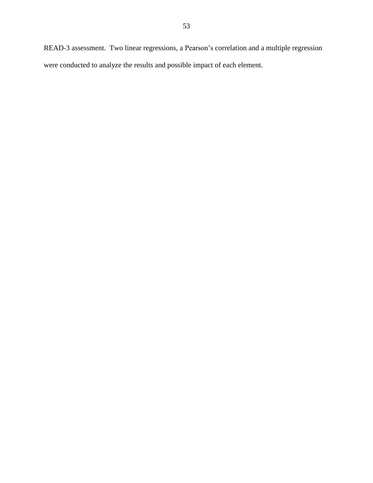READ-3 assessment. Two linear regressions, a Pearson's correlation and a multiple regression were conducted to analyze the results and possible impact of each element.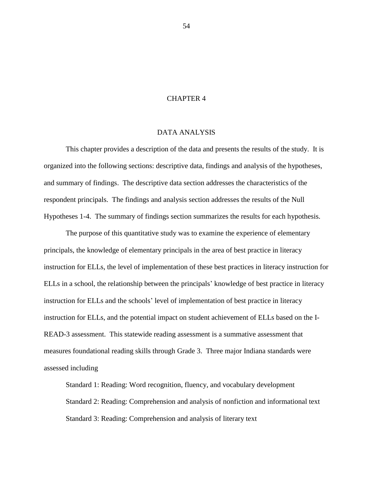# CHAPTER 4

# DATA ANALYSIS

This chapter provides a description of the data and presents the results of the study. It is organized into the following sections: descriptive data, findings and analysis of the hypotheses, and summary of findings. The descriptive data section addresses the characteristics of the respondent principals. The findings and analysis section addresses the results of the Null Hypotheses 1-4. The summary of findings section summarizes the results for each hypothesis.

The purpose of this quantitative study was to examine the experience of elementary principals, the knowledge of elementary principals in the area of best practice in literacy instruction for ELLs, the level of implementation of these best practices in literacy instruction for ELLs in a school, the relationship between the principals' knowledge of best practice in literacy instruction for ELLs and the schools' level of implementation of best practice in literacy instruction for ELLs, and the potential impact on student achievement of ELLs based on the I-READ-3 assessment. This statewide reading assessment is a summative assessment that measures foundational reading skills through Grade 3. Three major Indiana standards were assessed including

Standard 1: Reading: Word recognition, fluency, and vocabulary development Standard 2: Reading: Comprehension and analysis of nonfiction and informational text Standard 3: Reading: Comprehension and analysis of literary text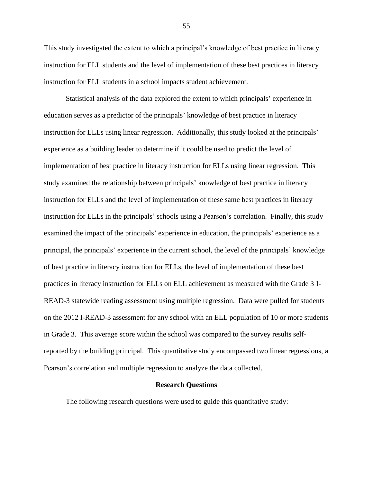This study investigated the extent to which a principal's knowledge of best practice in literacy instruction for ELL students and the level of implementation of these best practices in literacy instruction for ELL students in a school impacts student achievement.

Statistical analysis of the data explored the extent to which principals' experience in education serves as a predictor of the principals' knowledge of best practice in literacy instruction for ELLs using linear regression. Additionally, this study looked at the principals' experience as a building leader to determine if it could be used to predict the level of implementation of best practice in literacy instruction for ELLs using linear regression. This study examined the relationship between principals' knowledge of best practice in literacy instruction for ELLs and the level of implementation of these same best practices in literacy instruction for ELLs in the principals' schools using a Pearson's correlation. Finally, this study examined the impact of the principals' experience in education, the principals' experience as a principal, the principals' experience in the current school, the level of the principals' knowledge of best practice in literacy instruction for ELLs, the level of implementation of these best practices in literacy instruction for ELLs on ELL achievement as measured with the Grade 3 I-READ-3 statewide reading assessment using multiple regression. Data were pulled for students on the 2012 I-READ-3 assessment for any school with an ELL population of 10 or more students in Grade 3. This average score within the school was compared to the survey results selfreported by the building principal. This quantitative study encompassed two linear regressions, a Pearson's correlation and multiple regression to analyze the data collected.

#### **Research Questions**

The following research questions were used to guide this quantitative study: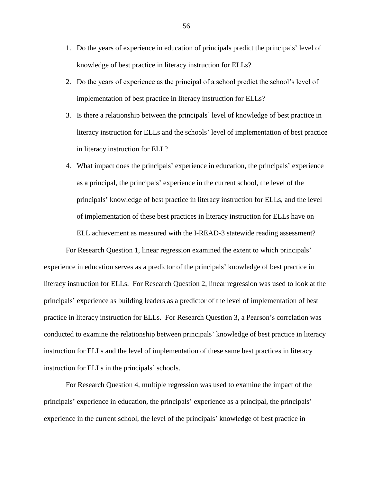- 1. Do the years of experience in education of principals predict the principals' level of knowledge of best practice in literacy instruction for ELLs?
- 2. Do the years of experience as the principal of a school predict the school's level of implementation of best practice in literacy instruction for ELLs?
- 3. Is there a relationship between the principals' level of knowledge of best practice in literacy instruction for ELLs and the schools' level of implementation of best practice in literacy instruction for ELL?
- 4. What impact does the principals' experience in education, the principals' experience as a principal, the principals' experience in the current school, the level of the principals' knowledge of best practice in literacy instruction for ELLs, and the level of implementation of these best practices in literacy instruction for ELLs have on ELL achievement as measured with the I-READ-3 statewide reading assessment?

For Research Question 1, linear regression examined the extent to which principals' experience in education serves as a predictor of the principals' knowledge of best practice in literacy instruction for ELLs. For Research Question 2, linear regression was used to look at the principals' experience as building leaders as a predictor of the level of implementation of best practice in literacy instruction for ELLs. For Research Question 3, a Pearson's correlation was conducted to examine the relationship between principals' knowledge of best practice in literacy instruction for ELLs and the level of implementation of these same best practices in literacy instruction for ELLs in the principals' schools.

For Research Question 4, multiple regression was used to examine the impact of the principals' experience in education, the principals' experience as a principal, the principals' experience in the current school, the level of the principals' knowledge of best practice in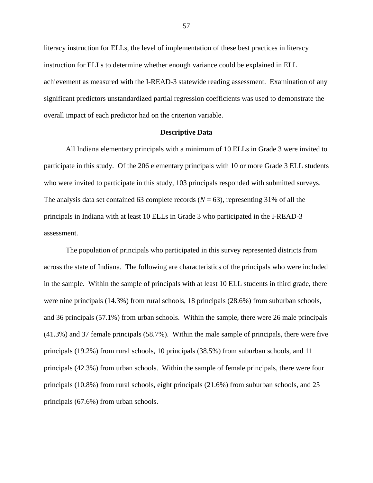literacy instruction for ELLs, the level of implementation of these best practices in literacy instruction for ELLs to determine whether enough variance could be explained in ELL achievement as measured with the I-READ-3 statewide reading assessment. Examination of any significant predictors unstandardized partial regression coefficients was used to demonstrate the overall impact of each predictor had on the criterion variable.

## **Descriptive Data**

All Indiana elementary principals with a minimum of 10 ELLs in Grade 3 were invited to participate in this study. Of the 206 elementary principals with 10 or more Grade 3 ELL students who were invited to participate in this study, 103 principals responded with submitted surveys. The analysis data set contained 63 complete records  $(N = 63)$ , representing 31% of all the principals in Indiana with at least 10 ELLs in Grade 3 who participated in the I-READ-3 assessment.

The population of principals who participated in this survey represented districts from across the state of Indiana. The following are characteristics of the principals who were included in the sample. Within the sample of principals with at least 10 ELL students in third grade, there were nine principals (14.3%) from rural schools, 18 principals (28.6%) from suburban schools, and 36 principals (57.1%) from urban schools. Within the sample, there were 26 male principals (41.3%) and 37 female principals (58.7%). Within the male sample of principals, there were five principals (19.2%) from rural schools, 10 principals (38.5%) from suburban schools, and 11 principals (42.3%) from urban schools. Within the sample of female principals, there were four principals (10.8%) from rural schools, eight principals (21.6%) from suburban schools, and 25 principals (67.6%) from urban schools.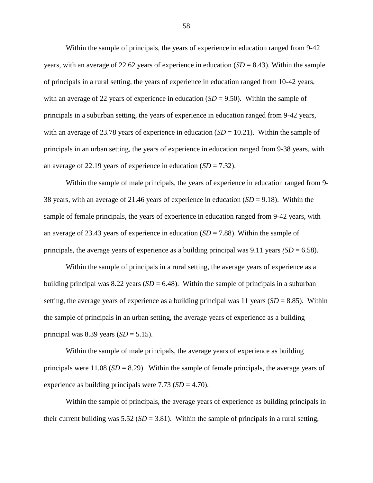Within the sample of principals, the years of experience in education ranged from 9-42 years, with an average of 22.62 years of experience in education (*SD* = 8.43). Within the sample of principals in a rural setting, the years of experience in education ranged from 10-42 years, with an average of 22 years of experience in education  $(SD = 9.50)$ . Within the sample of principals in a suburban setting, the years of experience in education ranged from 9-42 years, with an average of 23.78 years of experience in education  $(SD = 10.21)$ . Within the sample of principals in an urban setting, the years of experience in education ranged from 9-38 years, with an average of 22.19 years of experience in education  $(SD = 7.32)$ .

Within the sample of male principals, the years of experience in education ranged from 9- 38 years, with an average of 21.46 years of experience in education (*SD* = 9.18). Within the sample of female principals, the years of experience in education ranged from 9-42 years, with an average of 23.43 years of experience in education (*SD* = 7.88). Within the sample of principals, the average years of experience as a building principal was  $9.11$  years *(SD* = 6.58).

Within the sample of principals in a rural setting, the average years of experience as a building principal was 8.22 years  $(SD = 6.48)$ . Within the sample of principals in a suburban setting, the average years of experience as a building principal was 11 years  $(SD = 8.85)$ . Within the sample of principals in an urban setting, the average years of experience as a building principal was 8.39 years  $(SD = 5.15)$ .

Within the sample of male principals, the average years of experience as building principals were  $11.08$  ( $SD = 8.29$ ). Within the sample of female principals, the average years of experience as building principals were 7.73 (*SD* = 4.70).

Within the sample of principals, the average years of experience as building principals in their current building was  $5.52$  (*SD* = 3.81). Within the sample of principals in a rural setting,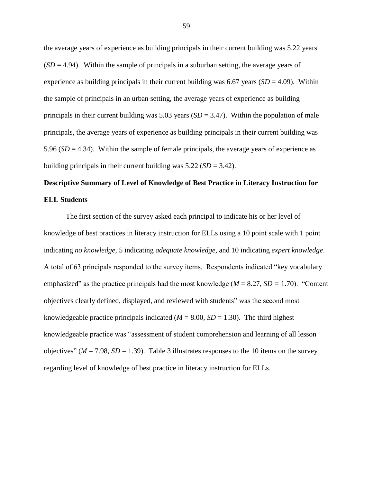the average years of experience as building principals in their current building was 5.22 years  $(SD = 4.94)$ . Within the sample of principals in a suburban setting, the average years of experience as building principals in their current building was  $6.67$  years  $(SD = 4.09)$ . Within the sample of principals in an urban setting, the average years of experience as building principals in their current building was 5.03 years (*SD* = 3.47). Within the population of male principals, the average years of experience as building principals in their current building was 5.96 (*SD* = 4.34). Within the sample of female principals, the average years of experience as building principals in their current building was 5.22 (*SD* = 3.42).

# **Descriptive Summary of Level of Knowledge of Best Practice in Literacy Instruction for ELL Students**

The first section of the survey asked each principal to indicate his or her level of knowledge of best practices in literacy instruction for ELLs using a 10 point scale with 1 point indicating *no knowledge*, 5 indicating *adequate knowledge*, and 10 indicating *expert knowledge*. A total of 63 principals responded to the survey items. Respondents indicated "key vocabulary emphasized" as the practice principals had the most knowledge (*M* = 8.27, *SD =* 1.70). "Content objectives clearly defined, displayed, and reviewed with students" was the second most knowledgeable practice principals indicated  $(M = 8.00, SD = 1.30)$ . The third highest knowledgeable practice was "assessment of student comprehension and learning of all lesson objectives" ( $M = 7.98$ ,  $SD = 1.39$ ). Table 3 illustrates responses to the 10 items on the survey regarding level of knowledge of best practice in literacy instruction for ELLs.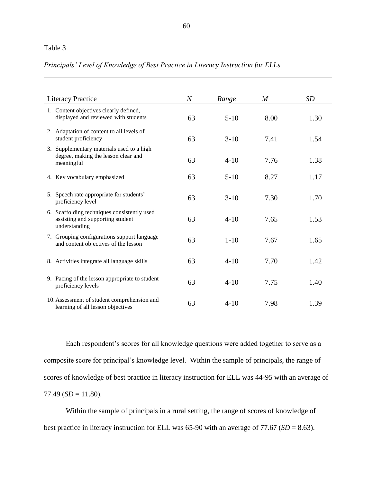# Table 3

# *Principals' Level of Knowledge of Best Practice in Literacy Instruction for ELLs*

| <b>Literacy Practice</b>                                                                         | $\overline{N}$ | Range    | M    | SD   |
|--------------------------------------------------------------------------------------------------|----------------|----------|------|------|
| 1. Content objectives clearly defined,<br>displayed and reviewed with students                   | 63             | $5-10$   | 8.00 | 1.30 |
| 2. Adaptation of content to all levels of<br>student proficiency                                 | 63             | $3-10$   | 7.41 | 1.54 |
| 3. Supplementary materials used to a high<br>degree, making the lesson clear and<br>meaningful   | 63             | $4 - 10$ | 7.76 | 1.38 |
| 4. Key vocabulary emphasized                                                                     | 63             | $5 - 10$ | 8.27 | 1.17 |
| 5. Speech rate appropriate for students'<br>proficiency level                                    | 63             | $3-10$   | 7.30 | 1.70 |
| 6. Scaffolding techniques consistently used<br>assisting and supporting student<br>understanding | 63             | $4 - 10$ | 7.65 | 1.53 |
| 7. Grouping configurations support language<br>and content objectives of the lesson              | 63             | $1 - 10$ | 7.67 | 1.65 |
| 8. Activities integrate all language skills                                                      | 63             | $4 - 10$ | 7.70 | 1.42 |
| 9. Pacing of the lesson appropriate to student<br>proficiency levels                             | 63             | $4 - 10$ | 7.75 | 1.40 |
| 10. Assessment of student comprehension and<br>learning of all lesson objectives                 | 63             | $4 - 10$ | 7.98 | 1.39 |

Each respondent's scores for all knowledge questions were added together to serve as a composite score for principal's knowledge level. Within the sample of principals, the range of scores of knowledge of best practice in literacy instruction for ELL was 44-95 with an average of  $77.49$  ( $SD = 11.80$ ).

Within the sample of principals in a rural setting, the range of scores of knowledge of best practice in literacy instruction for ELL was 65-90 with an average of 77.67 (*SD* = 8.63).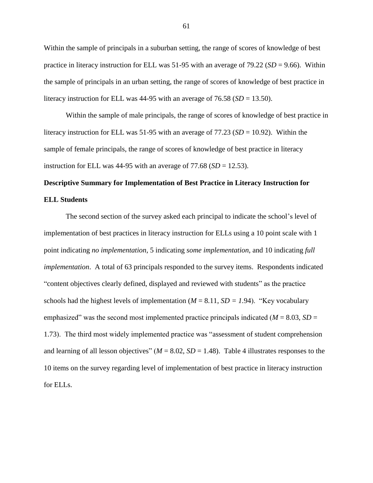Within the sample of principals in a suburban setting, the range of scores of knowledge of best practice in literacy instruction for ELL was 51-95 with an average of 79.22 (*SD* = 9.66). Within the sample of principals in an urban setting, the range of scores of knowledge of best practice in literacy instruction for ELL was  $44-95$  with an average of  $76.58$  ( $SD = 13.50$ ).

Within the sample of male principals, the range of scores of knowledge of best practice in literacy instruction for ELL was 51-95 with an average of  $77.23$  ( $SD = 10.92$ ). Within the sample of female principals, the range of scores of knowledge of best practice in literacy instruction for ELL was  $44-95$  with an average of  $77.68$  ( $SD = 12.53$ ).

# **Descriptive Summary for Implementation of Best Practice in Literacy Instruction for ELL Students**

The second section of the survey asked each principal to indicate the school's level of implementation of best practices in literacy instruction for ELLs using a 10 point scale with 1 point indicating *no implementation*, 5 indicating *some implementation*, and 10 indicating *full implementation*. A total of 63 principals responded to the survey items. Respondents indicated "content objectives clearly defined, displayed and reviewed with students" as the practice schools had the highest levels of implementation ( $M = 8.11$ ,  $SD = 1.94$ ). "Key vocabulary emphasized" was the second most implemented practice principals indicated  $(M = 8.03, SD =$ 1.73). The third most widely implemented practice was "assessment of student comprehension and learning of all lesson objectives"  $(M = 8.02, SD = 1.48)$ . Table 4 illustrates responses to the 10 items on the survey regarding level of implementation of best practice in literacy instruction for ELLs.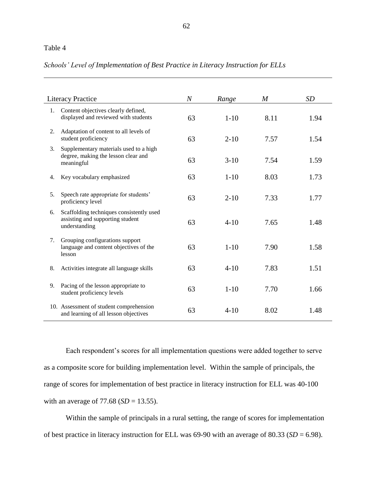# Table 4

# *Schools' Level of Implementation of Best Practice in Literacy Instruction for ELLs*

|    | <b>Literacy Practice</b>                                                                      | $\overline{N}$ | Range    | M    | SD   |
|----|-----------------------------------------------------------------------------------------------|----------------|----------|------|------|
| 1. | Content objectives clearly defined,<br>displayed and reviewed with students                   | 63             | $1 - 10$ | 8.11 | 1.94 |
| 2. | Adaptation of content to all levels of<br>student proficiency                                 | 63             | $2 - 10$ | 7.57 | 1.54 |
| 3. | Supplementary materials used to a high<br>degree, making the lesson clear and<br>meaningful   | 63             | $3-10$   | 7.54 | 1.59 |
| 4. | Key vocabulary emphasized                                                                     | 63             | $1 - 10$ | 8.03 | 1.73 |
| 5. | Speech rate appropriate for students'<br>proficiency level                                    | 63             | $2 - 10$ | 7.33 | 1.77 |
| 6. | Scaffolding techniques consistently used<br>assisting and supporting student<br>understanding | 63             | $4 - 10$ | 7.65 | 1.48 |
| 7. | Grouping configurations support<br>language and content objectives of the<br>lesson           | 63             | $1 - 10$ | 7.90 | 1.58 |
| 8. | Activities integrate all language skills                                                      | 63             | $4 - 10$ | 7.83 | 1.51 |
| 9. | Pacing of the lesson appropriate to<br>student proficiency levels                             | 63             | $1 - 10$ | 7.70 | 1.66 |
|    | 10. Assessment of student comprehension<br>and learning of all lesson objectives              | 63             | $4 - 10$ | 8.02 | 1.48 |

Each respondent's scores for all implementation questions were added together to serve as a composite score for building implementation level. Within the sample of principals, the range of scores for implementation of best practice in literacy instruction for ELL was 40-100 with an average of 77.68 (*SD* = 13.55).

Within the sample of principals in a rural setting, the range of scores for implementation of best practice in literacy instruction for ELL was 69-90 with an average of 80.33 (*SD* = 6.98).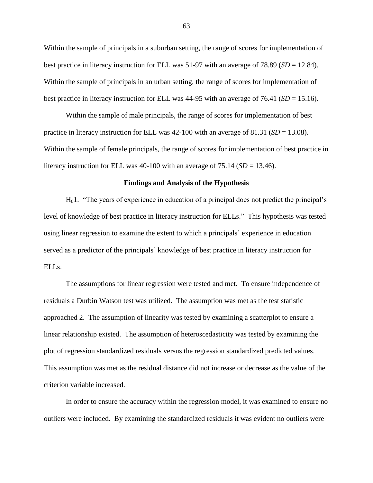Within the sample of principals in a suburban setting, the range of scores for implementation of best practice in literacy instruction for ELL was 51-97 with an average of 78.89 (*SD* = 12.84). Within the sample of principals in an urban setting, the range of scores for implementation of best practice in literacy instruction for ELL was 44-95 with an average of 76.41 (*SD* = 15.16).

Within the sample of male principals, the range of scores for implementation of best practice in literacy instruction for ELL was 42-100 with an average of 81.31 (*SD* = 13.08). Within the sample of female principals, the range of scores for implementation of best practice in literacy instruction for ELL was  $40-100$  with an average of  $75.14$  (*SD* = 13.46).

#### **Findings and Analysis of the Hypothesis**

H01. "The years of experience in education of a principal does not predict the principal's level of knowledge of best practice in literacy instruction for ELLs." This hypothesis was tested using linear regression to examine the extent to which a principals' experience in education served as a predictor of the principals' knowledge of best practice in literacy instruction for ELLs.

The assumptions for linear regression were tested and met. To ensure independence of residuals a Durbin Watson test was utilized. The assumption was met as the test statistic approached 2. The assumption of linearity was tested by examining a scatterplot to ensure a linear relationship existed. The assumption of heteroscedasticity was tested by examining the plot of regression standardized residuals versus the regression standardized predicted values. This assumption was met as the residual distance did not increase or decrease as the value of the criterion variable increased.

In order to ensure the accuracy within the regression model, it was examined to ensure no outliers were included. By examining the standardized residuals it was evident no outliers were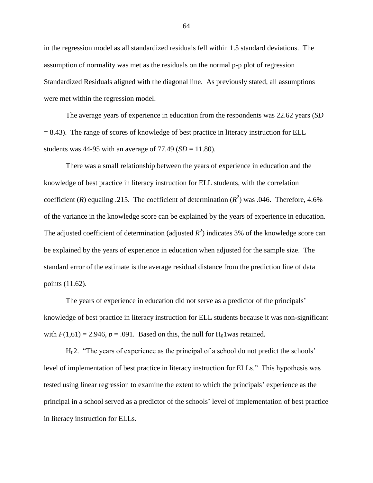in the regression model as all standardized residuals fell within 1.5 standard deviations. The assumption of normality was met as the residuals on the normal p-p plot of regression Standardized Residuals aligned with the diagonal line. As previously stated, all assumptions were met within the regression model.

The average years of experience in education from the respondents was 22.62 years (*SD*   $= 8.43$ ). The range of scores of knowledge of best practice in literacy instruction for ELL students was 44-95 with an average of  $77.49$  ( $SD = 11.80$ ).

There was a small relationship between the years of experience in education and the knowledge of best practice in literacy instruction for ELL students, with the correlation coefficient (*R*) equaling .215. The coefficient of determination ( $R^2$ ) was .046. Therefore, 4.6% of the variance in the knowledge score can be explained by the years of experience in education. The adjusted coefficient of determination (adjusted  $R^2$ ) indicates 3% of the knowledge score can be explained by the years of experience in education when adjusted for the sample size. The standard error of the estimate is the average residual distance from the prediction line of data points (11.62).

The years of experience in education did not serve as a predictor of the principals' knowledge of best practice in literacy instruction for ELL students because it was non-significant with  $F(1,61) = 2.946$ ,  $p = .091$ . Based on this, the null for H<sub>0</sub>1 was retained.

H02. "The years of experience as the principal of a school do not predict the schools' level of implementation of best practice in literacy instruction for ELLs." This hypothesis was tested using linear regression to examine the extent to which the principals' experience as the principal in a school served as a predictor of the schools' level of implementation of best practice in literacy instruction for ELLs.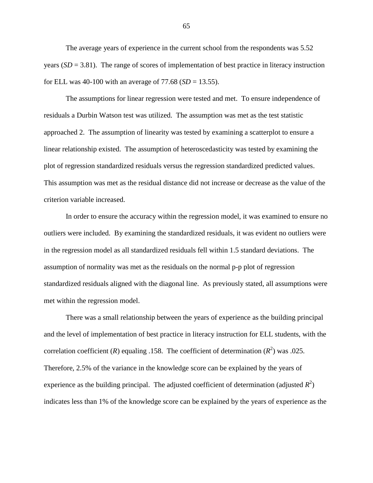The average years of experience in the current school from the respondents was 5.52 years  $(SD = 3.81)$ . The range of scores of implementation of best practice in literacy instruction for ELL was 40-100 with an average of  $77.68$  (*SD* = 13.55).

The assumptions for linear regression were tested and met. To ensure independence of residuals a Durbin Watson test was utilized. The assumption was met as the test statistic approached 2. The assumption of linearity was tested by examining a scatterplot to ensure a linear relationship existed. The assumption of heteroscedasticity was tested by examining the plot of regression standardized residuals versus the regression standardized predicted values. This assumption was met as the residual distance did not increase or decrease as the value of the criterion variable increased.

In order to ensure the accuracy within the regression model, it was examined to ensure no outliers were included. By examining the standardized residuals, it was evident no outliers were in the regression model as all standardized residuals fell within 1.5 standard deviations. The assumption of normality was met as the residuals on the normal p-p plot of regression standardized residuals aligned with the diagonal line. As previously stated, all assumptions were met within the regression model.

There was a small relationship between the years of experience as the building principal and the level of implementation of best practice in literacy instruction for ELL students, with the correlation coefficient (*R*) equaling .158. The coefficient of determination ( $R^2$ ) was .025. Therefore, 2.5% of the variance in the knowledge score can be explained by the years of experience as the building principal. The adjusted coefficient of determination (adjusted  $R^2$ ) indicates less than 1% of the knowledge score can be explained by the years of experience as the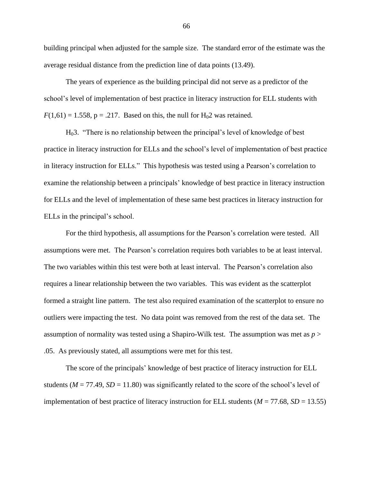building principal when adjusted for the sample size. The standard error of the estimate was the average residual distance from the prediction line of data points (13.49).

The years of experience as the building principal did not serve as a predictor of the school's level of implementation of best practice in literacy instruction for ELL students with  $F(1,61) = 1.558$ ,  $p = .217$ . Based on this, the null for H<sub>0</sub>2 was retained.

H03. "There is no relationship between the principal's level of knowledge of best practice in literacy instruction for ELLs and the school's level of implementation of best practice in literacy instruction for ELLs." This hypothesis was tested using a Pearson's correlation to examine the relationship between a principals' knowledge of best practice in literacy instruction for ELLs and the level of implementation of these same best practices in literacy instruction for ELLs in the principal's school.

For the third hypothesis, all assumptions for the Pearson's correlation were tested. All assumptions were met. The Pearson's correlation requires both variables to be at least interval. The two variables within this test were both at least interval. The Pearson's correlation also requires a linear relationship between the two variables. This was evident as the scatterplot formed a straight line pattern. The test also required examination of the scatterplot to ensure no outliers were impacting the test. No data point was removed from the rest of the data set. The assumption of normality was tested using a Shapiro-Wilk test. The assumption was met as *p* > .05. As previously stated, all assumptions were met for this test.

The score of the principals' knowledge of best practice of literacy instruction for ELL students ( $M = 77.49$ ,  $SD = 11.80$ ) was significantly related to the score of the school's level of implementation of best practice of literacy instruction for ELL students ( $M = 77.68$ ,  $SD = 13.55$ )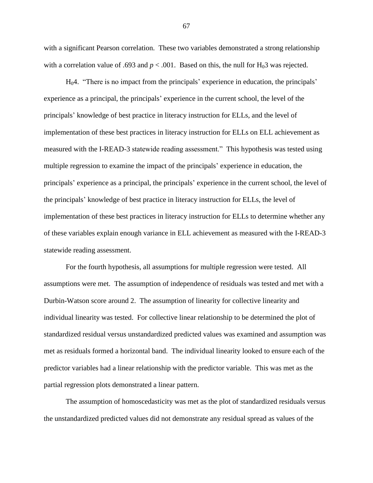with a significant Pearson correlation. These two variables demonstrated a strong relationship with a correlation value of .693 and  $p < .001$ . Based on this, the null for H<sub>0</sub>3 was rejected.

 $H<sub>0</sub>4$ . "There is no impact from the principals' experience in education, the principals' experience as a principal, the principals' experience in the current school, the level of the principals' knowledge of best practice in literacy instruction for ELLs, and the level of implementation of these best practices in literacy instruction for ELLs on ELL achievement as measured with the I-READ-3 statewide reading assessment." This hypothesis was tested using multiple regression to examine the impact of the principals' experience in education, the principals' experience as a principal, the principals' experience in the current school, the level of the principals' knowledge of best practice in literacy instruction for ELLs, the level of implementation of these best practices in literacy instruction for ELLs to determine whether any of these variables explain enough variance in ELL achievement as measured with the I-READ-3 statewide reading assessment.

For the fourth hypothesis, all assumptions for multiple regression were tested. All assumptions were met. The assumption of independence of residuals was tested and met with a Durbin-Watson score around 2. The assumption of linearity for collective linearity and individual linearity was tested. For collective linear relationship to be determined the plot of standardized residual versus unstandardized predicted values was examined and assumption was met as residuals formed a horizontal band. The individual linearity looked to ensure each of the predictor variables had a linear relationship with the predictor variable. This was met as the partial regression plots demonstrated a linear pattern.

The assumption of homoscedasticity was met as the plot of standardized residuals versus the unstandardized predicted values did not demonstrate any residual spread as values of the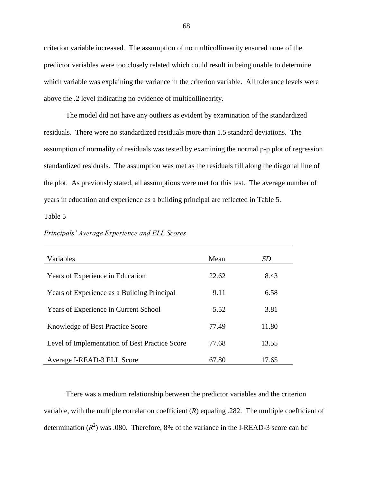criterion variable increased. The assumption of no multicollinearity ensured none of the predictor variables were too closely related which could result in being unable to determine which variable was explaining the variance in the criterion variable. All tolerance levels were above the .2 level indicating no evidence of multicollinearity.

The model did not have any outliers as evident by examination of the standardized residuals. There were no standardized residuals more than 1.5 standard deviations. The assumption of normality of residuals was tested by examining the normal p-p plot of regression standardized residuals. The assumption was met as the residuals fill along the diagonal line of the plot. As previously stated, all assumptions were met for this test. The average number of years in education and experience as a building principal are reflected in Table 5.

Table 5

| Variables                                      | Mean  | <i>SD</i> |
|------------------------------------------------|-------|-----------|
| Years of Experience in Education               | 22.62 | 8.43      |
| Years of Experience as a Building Principal    | 9.11  | 6.58      |
| Years of Experience in Current School          | 5.52  | 3.81      |
| <b>Knowledge of Best Practice Score</b>        | 77.49 | 11.80     |
| Level of Implementation of Best Practice Score | 77.68 | 13.55     |
| Average I-READ-3 ELL Score                     | 67.80 | 17.65     |

*Principals' Average Experience and ELL Scores*

There was a medium relationship between the predictor variables and the criterion variable, with the multiple correlation coefficient  $(R)$  equaling .282. The multiple coefficient of determination  $(R^2)$  was .080. Therefore, 8% of the variance in the I-READ-3 score can be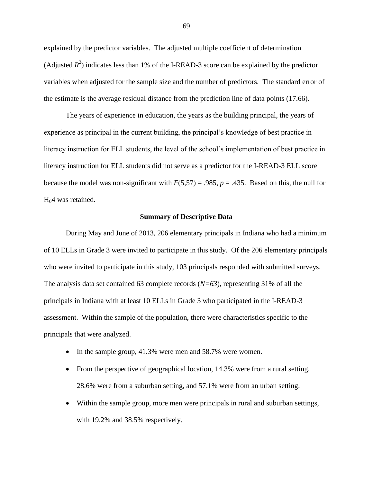explained by the predictor variables. The adjusted multiple coefficient of determination (Adjusted  $R^2$ ) indicates less than 1% of the I-READ-3 score can be explained by the predictor variables when adjusted for the sample size and the number of predictors. The standard error of the estimate is the average residual distance from the prediction line of data points (17.66).

The years of experience in education, the years as the building principal, the years of experience as principal in the current building, the principal's knowledge of best practice in literacy instruction for ELL students, the level of the school's implementation of best practice in literacy instruction for ELL students did not serve as a predictor for the I-READ-3 ELL score because the model was non-significant with  $F(5,57) = .985$ ,  $p = .435$ . Based on this, the null for  $H<sub>0</sub>4$  was retained.

#### **Summary of Descriptive Data**

During May and June of 2013, 206 elementary principals in Indiana who had a minimum of 10 ELLs in Grade 3 were invited to participate in this study. Of the 206 elementary principals who were invited to participate in this study, 103 principals responded with submitted surveys. The analysis data set contained 63 complete records (*N=63*), representing 31% of all the principals in Indiana with at least 10 ELLs in Grade 3 who participated in the I-READ-3 assessment. Within the sample of the population, there were characteristics specific to the principals that were analyzed.

- In the sample group, 41.3% were men and 58.7% were women.
- From the perspective of geographical location, 14.3% were from a rural setting, 28.6% were from a suburban setting, and 57.1% were from an urban setting.
- Within the sample group, more men were principals in rural and suburban settings, with 19.2% and 38.5% respectively.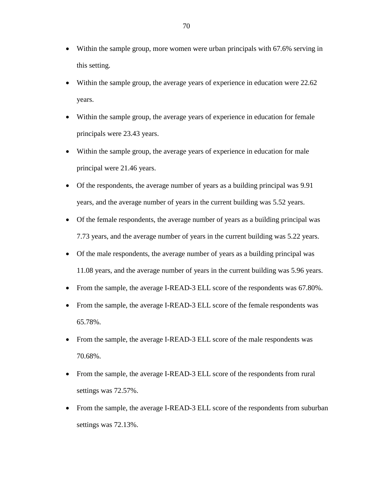- Within the sample group, more women were urban principals with 67.6% serving in this setting.
- Within the sample group, the average years of experience in education were 22.62 years.
- Within the sample group, the average years of experience in education for female principals were 23.43 years.
- Within the sample group, the average years of experience in education for male principal were 21.46 years.
- Of the respondents, the average number of years as a building principal was 9.91 years, and the average number of years in the current building was 5.52 years.
- Of the female respondents, the average number of years as a building principal was 7.73 years, and the average number of years in the current building was 5.22 years.
- Of the male respondents, the average number of years as a building principal was 11.08 years, and the average number of years in the current building was 5.96 years.
- From the sample, the average I-READ-3 ELL score of the respondents was 67.80%.
- From the sample, the average I-READ-3 ELL score of the female respondents was 65.78%.
- From the sample, the average I-READ-3 ELL score of the male respondents was 70.68%.
- From the sample, the average I-READ-3 ELL score of the respondents from rural settings was 72.57%.
- From the sample, the average I-READ-3 ELL score of the respondents from suburban settings was 72.13%.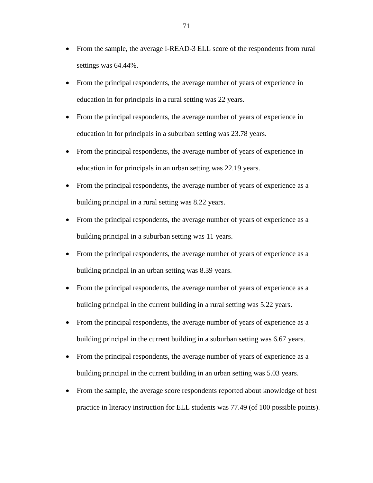- From the sample, the average I-READ-3 ELL score of the respondents from rural settings was 64.44%.
- From the principal respondents, the average number of years of experience in education in for principals in a rural setting was 22 years.
- From the principal respondents, the average number of years of experience in education in for principals in a suburban setting was 23.78 years.
- From the principal respondents, the average number of years of experience in education in for principals in an urban setting was 22.19 years.
- From the principal respondents, the average number of years of experience as a building principal in a rural setting was 8.22 years.
- From the principal respondents, the average number of years of experience as a building principal in a suburban setting was 11 years.
- From the principal respondents, the average number of years of experience as a building principal in an urban setting was 8.39 years.
- From the principal respondents, the average number of years of experience as a building principal in the current building in a rural setting was 5.22 years.
- From the principal respondents, the average number of years of experience as a building principal in the current building in a suburban setting was 6.67 years.
- From the principal respondents, the average number of years of experience as a building principal in the current building in an urban setting was 5.03 years.
- From the sample, the average score respondents reported about knowledge of best practice in literacy instruction for ELL students was 77.49 (of 100 possible points).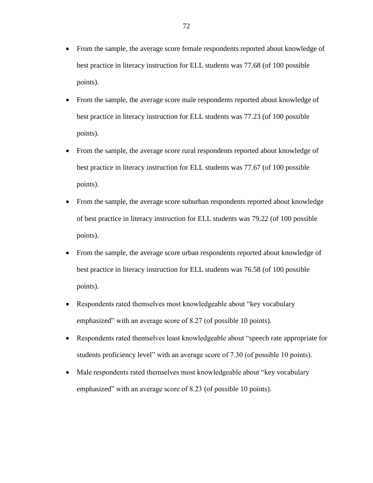- From the sample, the average score female respondents reported about knowledge of best practice in literacy instruction for ELL students was 77.68 (of 100 possible points).
- From the sample, the average score male respondents reported about knowledge of best practice in literacy instruction for ELL students was 77.23 (of 100 possible points).
- From the sample, the average score rural respondents reported about knowledge of best practice in literacy instruction for ELL students was 77.67 (of 100 possible points).
- From the sample, the average score suburban respondents reported about knowledge of best practice in literacy instruction for ELL students was 79.22 (of 100 possible points).
- From the sample, the average score urban respondents reported about knowledge of best practice in literacy instruction for ELL students was 76.58 (of 100 possible points).
- Respondents rated themselves most knowledgeable about "key vocabulary emphasized" with an average score of 8.27 (of possible 10 points).
- Respondents rated themselves least knowledgeable about "speech rate appropriate for students proficiency level" with an average score of 7.30 (of possible 10 points).
- Male respondents rated themselves most knowledgeable about "key vocabulary" emphasized" with an average score of 8.23 (of possible 10 points).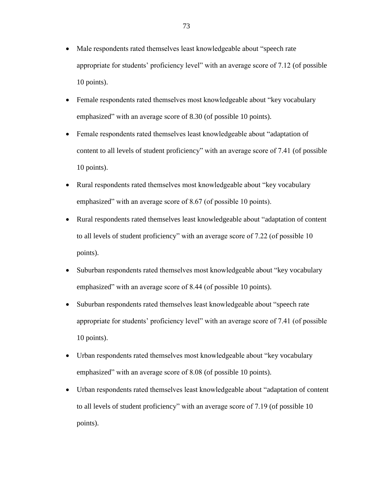- Male respondents rated themselves least knowledgeable about "speech rate appropriate for students' proficiency level" with an average score of 7.12 (of possible 10 points).
- Female respondents rated themselves most knowledgeable about "key vocabulary" emphasized" with an average score of 8.30 (of possible 10 points).
- Female respondents rated themselves least knowledgeable about "adaptation of content to all levels of student proficiency" with an average score of 7.41 (of possible 10 points).
- Rural respondents rated themselves most knowledgeable about "key vocabulary" emphasized" with an average score of 8.67 (of possible 10 points).
- Rural respondents rated themselves least knowledgeable about "adaptation of content to all levels of student proficiency" with an average score of 7.22 (of possible 10 points).
- Suburban respondents rated themselves most knowledgeable about "key vocabulary emphasized" with an average score of 8.44 (of possible 10 points).
- Suburban respondents rated themselves least knowledgeable about "speech rate appropriate for students' proficiency level" with an average score of 7.41 (of possible 10 points).
- Urban respondents rated themselves most knowledgeable about "key vocabulary emphasized" with an average score of 8.08 (of possible 10 points).
- Urban respondents rated themselves least knowledgeable about "adaptation of content to all levels of student proficiency" with an average score of 7.19 (of possible 10 points).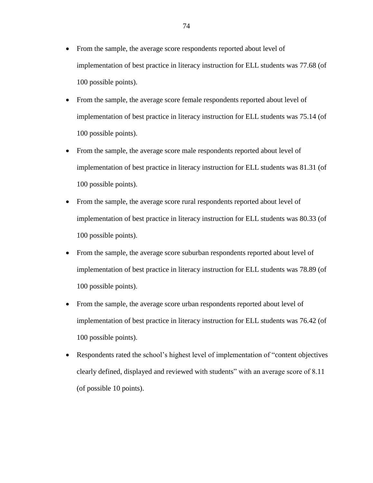- From the sample, the average score respondents reported about level of implementation of best practice in literacy instruction for ELL students was 77.68 (of 100 possible points).
- From the sample, the average score female respondents reported about level of implementation of best practice in literacy instruction for ELL students was 75.14 (of 100 possible points).
- From the sample, the average score male respondents reported about level of implementation of best practice in literacy instruction for ELL students was 81.31 (of 100 possible points).
- From the sample, the average score rural respondents reported about level of implementation of best practice in literacy instruction for ELL students was 80.33 (of 100 possible points).
- From the sample, the average score suburban respondents reported about level of implementation of best practice in literacy instruction for ELL students was 78.89 (of 100 possible points).
- From the sample, the average score urban respondents reported about level of implementation of best practice in literacy instruction for ELL students was 76.42 (of 100 possible points).
- Respondents rated the school's highest level of implementation of "content objectives clearly defined, displayed and reviewed with students" with an average score of 8.11 (of possible 10 points).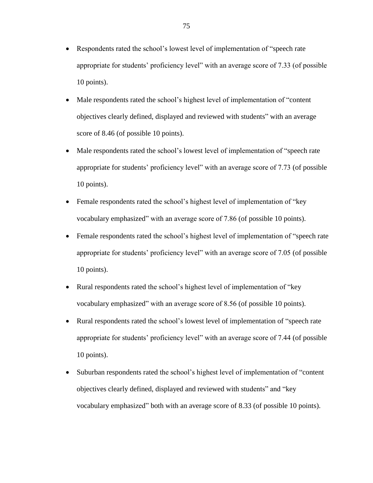- Respondents rated the school's lowest level of implementation of "speech rate appropriate for students' proficiency level" with an average score of 7.33 (of possible 10 points).
- Male respondents rated the school's highest level of implementation of "content" objectives clearly defined, displayed and reviewed with students" with an average score of 8.46 (of possible 10 points).
- Male respondents rated the school's lowest level of implementation of "speech rate appropriate for students' proficiency level" with an average score of 7.73 (of possible 10 points).
- Female respondents rated the school's highest level of implementation of "key" vocabulary emphasized" with an average score of 7.86 (of possible 10 points).
- Female respondents rated the school's highest level of implementation of "speech rate" appropriate for students' proficiency level" with an average score of 7.05 (of possible 10 points).
- Rural respondents rated the school's highest level of implementation of "key vocabulary emphasized" with an average score of 8.56 (of possible 10 points).
- Rural respondents rated the school's lowest level of implementation of "speech rate appropriate for students' proficiency level" with an average score of 7.44 (of possible 10 points).
- Suburban respondents rated the school's highest level of implementation of "content" objectives clearly defined, displayed and reviewed with students" and "key vocabulary emphasized" both with an average score of 8.33 (of possible 10 points).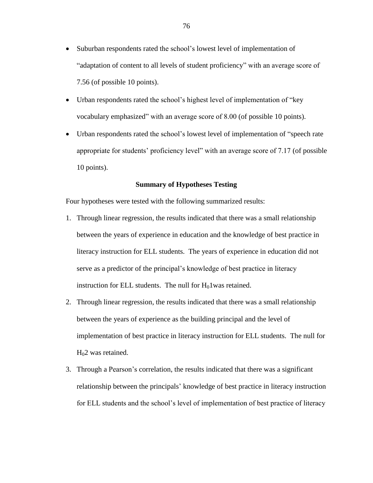- Suburban respondents rated the school's lowest level of implementation of "adaptation of content to all levels of student proficiency" with an average score of 7.56 (of possible 10 points).
- Urban respondents rated the school's highest level of implementation of "key vocabulary emphasized" with an average score of 8.00 (of possible 10 points).
- Urban respondents rated the school's lowest level of implementation of "speech rate appropriate for students' proficiency level" with an average score of 7.17 (of possible 10 points).

# **Summary of Hypotheses Testing**

Four hypotheses were tested with the following summarized results:

- 1. Through linear regression, the results indicated that there was a small relationship between the years of experience in education and the knowledge of best practice in literacy instruction for ELL students. The years of experience in education did not serve as a predictor of the principal's knowledge of best practice in literacy instruction for ELL students. The null for  $H_01$  was retained.
- 2. Through linear regression, the results indicated that there was a small relationship between the years of experience as the building principal and the level of implementation of best practice in literacy instruction for ELL students. The null for H<sub>0</sub>2 was retained.
- 3. Through a Pearson's correlation, the results indicated that there was a significant relationship between the principals' knowledge of best practice in literacy instruction for ELL students and the school's level of implementation of best practice of literacy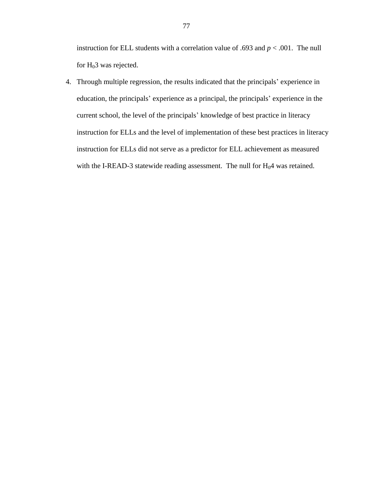instruction for ELL students with a correlation value of .693 and *p* < .001. The null for  $H_0$ 3 was rejected.

4. Through multiple regression, the results indicated that the principals' experience in education, the principals' experience as a principal, the principals' experience in the current school, the level of the principals' knowledge of best practice in literacy instruction for ELLs and the level of implementation of these best practices in literacy instruction for ELLs did not serve as a predictor for ELL achievement as measured with the I-READ-3 statewide reading assessment. The null for  $H_0$ 4 was retained.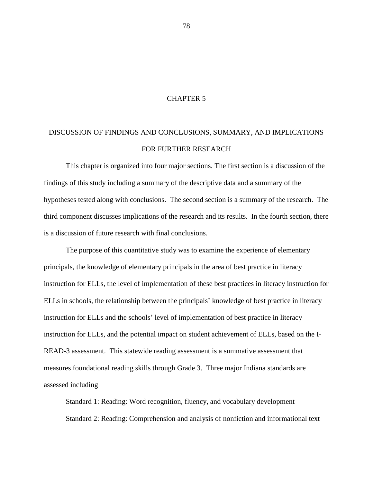# CHAPTER 5

# DISCUSSION OF FINDINGS AND CONCLUSIONS, SUMMARY, AND IMPLICATIONS FOR FURTHER RESEARCH

This chapter is organized into four major sections. The first section is a discussion of the findings of this study including a summary of the descriptive data and a summary of the hypotheses tested along with conclusions. The second section is a summary of the research. The third component discusses implications of the research and its results. In the fourth section, there is a discussion of future research with final conclusions.

The purpose of this quantitative study was to examine the experience of elementary principals, the knowledge of elementary principals in the area of best practice in literacy instruction for ELLs, the level of implementation of these best practices in literacy instruction for ELLs in schools, the relationship between the principals' knowledge of best practice in literacy instruction for ELLs and the schools' level of implementation of best practice in literacy instruction for ELLs, and the potential impact on student achievement of ELLs, based on the I-READ-3 assessment. This statewide reading assessment is a summative assessment that measures foundational reading skills through Grade 3. Three major Indiana standards are assessed including

Standard 1: Reading: Word recognition, fluency, and vocabulary development Standard 2: Reading: Comprehension and analysis of nonfiction and informational text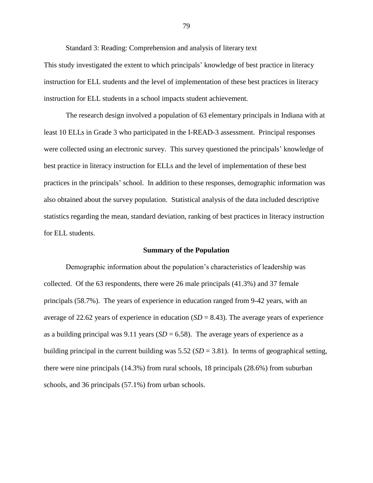Standard 3: Reading: Comprehension and analysis of literary text

This study investigated the extent to which principals' knowledge of best practice in literacy instruction for ELL students and the level of implementation of these best practices in literacy instruction for ELL students in a school impacts student achievement.

The research design involved a population of 63 elementary principals in Indiana with at least 10 ELLs in Grade 3 who participated in the I-READ-3 assessment. Principal responses were collected using an electronic survey. This survey questioned the principals' knowledge of best practice in literacy instruction for ELLs and the level of implementation of these best practices in the principals' school. In addition to these responses, demographic information was also obtained about the survey population. Statistical analysis of the data included descriptive statistics regarding the mean, standard deviation, ranking of best practices in literacy instruction for ELL students.

#### **Summary of the Population**

Demographic information about the population's characteristics of leadership was collected. Of the 63 respondents, there were 26 male principals (41.3%) and 37 female principals (58.7%). The years of experience in education ranged from 9-42 years, with an average of 22.62 years of experience in education (*SD* = 8.43). The average years of experience as a building principal was  $9.11$  years ( $SD = 6.58$ ). The average years of experience as a building principal in the current building was 5.52 (*SD* = 3.81). In terms of geographical setting, there were nine principals (14.3%) from rural schools, 18 principals (28.6%) from suburban schools, and 36 principals (57.1%) from urban schools.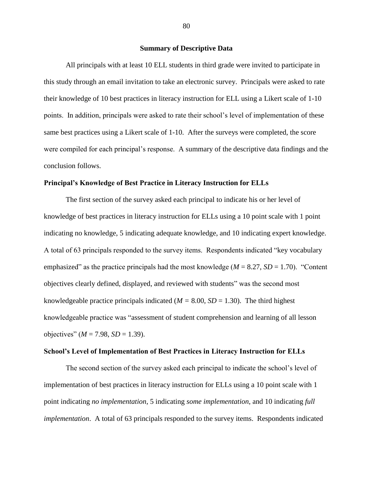#### **Summary of Descriptive Data**

All principals with at least 10 ELL students in third grade were invited to participate in this study through an email invitation to take an electronic survey. Principals were asked to rate their knowledge of 10 best practices in literacy instruction for ELL using a Likert scale of 1-10 points. In addition, principals were asked to rate their school's level of implementation of these same best practices using a Likert scale of 1-10. After the surveys were completed, the score were compiled for each principal's response. A summary of the descriptive data findings and the conclusion follows.

#### **Principal's Knowledge of Best Practice in Literacy Instruction for ELLs**

The first section of the survey asked each principal to indicate his or her level of knowledge of best practices in literacy instruction for ELLs using a 10 point scale with 1 point indicating no knowledge, 5 indicating adequate knowledge, and 10 indicating expert knowledge. A total of 63 principals responded to the survey items. Respondents indicated "key vocabulary emphasized" as the practice principals had the most knowledge (*M* = 8.27, *SD* = 1.70). "Content objectives clearly defined, displayed, and reviewed with students" was the second most knowledgeable practice principals indicated  $(M = 8.00, SD = 1.30)$ . The third highest knowledgeable practice was "assessment of student comprehension and learning of all lesson objectives"  $(M = 7.98, SD = 1.39)$ .

#### **School's Level of Implementation of Best Practices in Literacy Instruction for ELLs**

The second section of the survey asked each principal to indicate the school's level of implementation of best practices in literacy instruction for ELLs using a 10 point scale with 1 point indicating *no implementation*, 5 indicating *some implementation*, and 10 indicating *full implementation*. A total of 63 principals responded to the survey items. Respondents indicated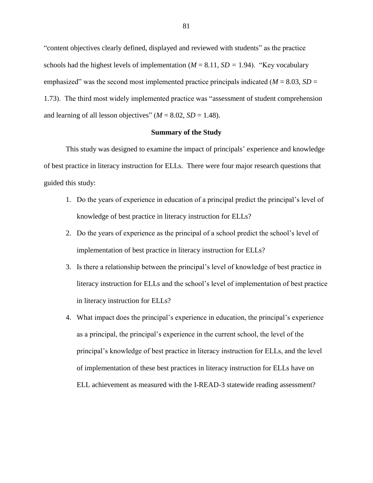"content objectives clearly defined, displayed and reviewed with students" as the practice schools had the highest levels of implementation  $(M = 8.11, SD = 1.94)$ . "Key vocabulary emphasized" was the second most implemented practice principals indicated  $(M = 8.03, SD =$ 1.73). The third most widely implemented practice was "assessment of student comprehension and learning of all lesson objectives"  $(M = 8.02, SD = 1.48)$ .

# **Summary of the Study**

This study was designed to examine the impact of principals' experience and knowledge of best practice in literacy instruction for ELLs. There were four major research questions that guided this study:

- 1. Do the years of experience in education of a principal predict the principal's level of knowledge of best practice in literacy instruction for ELLs?
- 2. Do the years of experience as the principal of a school predict the school's level of implementation of best practice in literacy instruction for ELLs?
- 3. Is there a relationship between the principal's level of knowledge of best practice in literacy instruction for ELLs and the school's level of implementation of best practice in literacy instruction for ELLs?
- 4. What impact does the principal's experience in education, the principal's experience as a principal, the principal's experience in the current school, the level of the principal's knowledge of best practice in literacy instruction for ELLs, and the level of implementation of these best practices in literacy instruction for ELLs have on ELL achievement as measured with the I-READ-3 statewide reading assessment?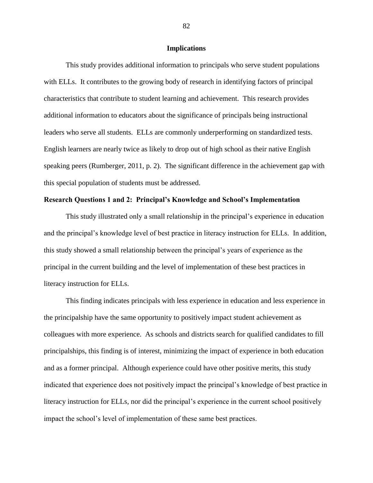#### **Implications**

This study provides additional information to principals who serve student populations with ELLs. It contributes to the growing body of research in identifying factors of principal characteristics that contribute to student learning and achievement. This research provides additional information to educators about the significance of principals being instructional leaders who serve all students. ELLs are commonly underperforming on standardized tests. English learners are nearly twice as likely to drop out of high school as their native English speaking peers (Rumberger, 2011, p. 2). The significant difference in the achievement gap with this special population of students must be addressed.

# **Research Questions 1 and 2: Principal's Knowledge and School's Implementation**

This study illustrated only a small relationship in the principal's experience in education and the principal's knowledge level of best practice in literacy instruction for ELLs. In addition, this study showed a small relationship between the principal's years of experience as the principal in the current building and the level of implementation of these best practices in literacy instruction for ELLs.

This finding indicates principals with less experience in education and less experience in the principalship have the same opportunity to positively impact student achievement as colleagues with more experience. As schools and districts search for qualified candidates to fill principalships, this finding is of interest, minimizing the impact of experience in both education and as a former principal. Although experience could have other positive merits, this study indicated that experience does not positively impact the principal's knowledge of best practice in literacy instruction for ELLs, nor did the principal's experience in the current school positively impact the school's level of implementation of these same best practices.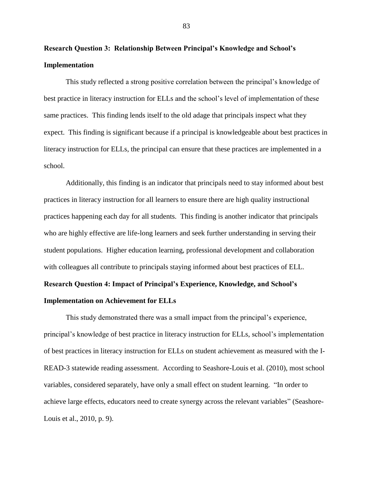**Research Question 3: Relationship Between Principal's Knowledge and School's Implementation**

This study reflected a strong positive correlation between the principal's knowledge of best practice in literacy instruction for ELLs and the school's level of implementation of these same practices. This finding lends itself to the old adage that principals inspect what they expect. This finding is significant because if a principal is knowledgeable about best practices in literacy instruction for ELLs, the principal can ensure that these practices are implemented in a school.

Additionally, this finding is an indicator that principals need to stay informed about best practices in literacy instruction for all learners to ensure there are high quality instructional practices happening each day for all students. This finding is another indicator that principals who are highly effective are life-long learners and seek further understanding in serving their student populations. Higher education learning, professional development and collaboration with colleagues all contribute to principals staying informed about best practices of ELL.

# **Research Question 4: Impact of Principal's Experience, Knowledge, and School's**

# **Implementation on Achievement for ELLs**

This study demonstrated there was a small impact from the principal's experience, principal's knowledge of best practice in literacy instruction for ELLs, school's implementation of best practices in literacy instruction for ELLs on student achievement as measured with the I-READ-3 statewide reading assessment. According to Seashore-Louis et al. (2010), most school variables, considered separately, have only a small effect on student learning. "In order to achieve large effects, educators need to create synergy across the relevant variables" (Seashore-Louis et al., 2010, p. 9).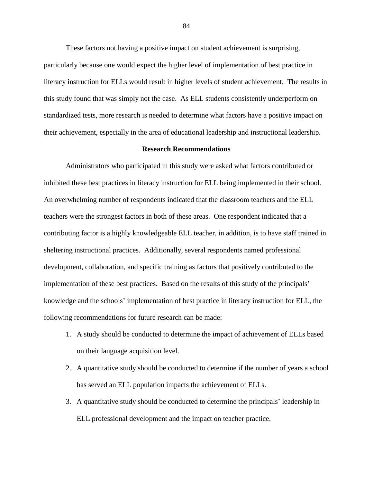These factors not having a positive impact on student achievement is surprising, particularly because one would expect the higher level of implementation of best practice in literacy instruction for ELLs would result in higher levels of student achievement. The results in this study found that was simply not the case. As ELL students consistently underperform on standardized tests, more research is needed to determine what factors have a positive impact on their achievement, especially in the area of educational leadership and instructional leadership.

#### **Research Recommendations**

Administrators who participated in this study were asked what factors contributed or inhibited these best practices in literacy instruction for ELL being implemented in their school. An overwhelming number of respondents indicated that the classroom teachers and the ELL teachers were the strongest factors in both of these areas. One respondent indicated that a contributing factor is a highly knowledgeable ELL teacher, in addition, is to have staff trained in sheltering instructional practices. Additionally, several respondents named professional development, collaboration, and specific training as factors that positively contributed to the implementation of these best practices. Based on the results of this study of the principals' knowledge and the schools' implementation of best practice in literacy instruction for ELL, the following recommendations for future research can be made:

- 1. A study should be conducted to determine the impact of achievement of ELLs based on their language acquisition level.
- 2. A quantitative study should be conducted to determine if the number of years a school has served an ELL population impacts the achievement of ELLs.
- 3. A quantitative study should be conducted to determine the principals' leadership in ELL professional development and the impact on teacher practice.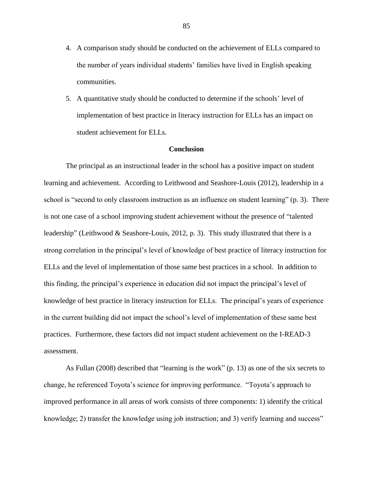- 4. A comparison study should be conducted on the achievement of ELLs compared to the number of years individual students' families have lived in English speaking communities.
- 5. A quantitative study should be conducted to determine if the schools' level of implementation of best practice in literacy instruction for ELLs has an impact on student achievement for ELLs.

# **Conclusion**

The principal as an instructional leader in the school has a positive impact on student learning and achievement. According to Leithwood and Seashore-Louis (2012), leadership in a school is "second to only classroom instruction as an influence on student learning" (p. 3). There is not one case of a school improving student achievement without the presence of "talented leadership" (Leithwood & Seashore-Louis, 2012, p. 3). This study illustrated that there is a strong correlation in the principal's level of knowledge of best practice of literacy instruction for ELLs and the level of implementation of those same best practices in a school. In addition to this finding, the principal's experience in education did not impact the principal's level of knowledge of best practice in literacy instruction for ELLs. The principal's years of experience in the current building did not impact the school's level of implementation of these same best practices. Furthermore, these factors did not impact student achievement on the I-READ-3 assessment.

As Fullan (2008) described that "learning is the work" (p. 13) as one of the six secrets to change, he referenced Toyota's science for improving performance. "Toyota's approach to improved performance in all areas of work consists of three components: 1) identify the critical knowledge; 2) transfer the knowledge using job instruction; and 3) verify learning and success"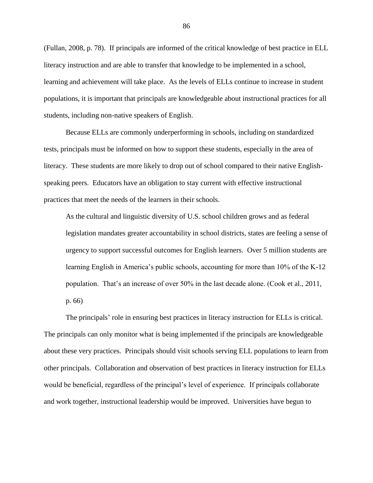(Fullan, 2008, p. 78). If principals are informed of the critical knowledge of best practice in ELL literacy instruction and are able to transfer that knowledge to be implemented in a school, learning and achievement will take place. As the levels of ELLs continue to increase in student populations, it is important that principals are knowledgeable about instructional practices for all students, including non-native speakers of English.

Because ELLs are commonly underperforming in schools, including on standardized tests, principals must be informed on how to support these students, especially in the area of literacy. These students are more likely to drop out of school compared to their native Englishspeaking peers. Educators have an obligation to stay current with effective instructional practices that meet the needs of the learners in their schools.

As the cultural and linguistic diversity of U.S. school children grows and as federal legislation mandates greater accountability in school districts, states are feeling a sense of urgency to support successful outcomes for English learners. Over 5 million students are learning English in America's public schools, accounting for more than 10% of the K-12 population. That's an increase of over 50% in the last decade alone. (Cook et al., 2011, p. 66)

The principals' role in ensuring best practices in literacy instruction for ELLs is critical. The principals can only monitor what is being implemented if the principals are knowledgeable about these very practices. Principals should visit schools serving ELL populations to learn from other principals. Collaboration and observation of best practices in literacy instruction for ELLs would be beneficial, regardless of the principal's level of experience. If principals collaborate and work together, instructional leadership would be improved. Universities have begun to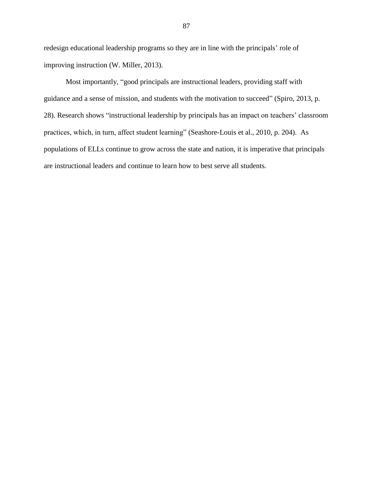redesign educational leadership programs so they are in line with the principals' role of improving instruction (W. Miller, 2013).

Most importantly, "good principals are instructional leaders, providing staff with guidance and a sense of mission, and students with the motivation to succeed" (Spiro, 2013, p. 28). Research shows "instructional leadership by principals has an impact on teachers' classroom practices, which, in turn, affect student learning" (Seashore-Louis et al., 2010, p. 204). As populations of ELLs continue to grow across the state and nation, it is imperative that principals are instructional leaders and continue to learn how to best serve all students.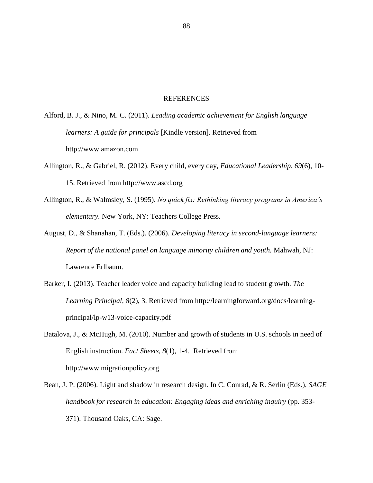#### REFERENCES

Alford, B. J., & Nino, M. C. (2011). *Leading academic achievement for English language learners: A guide for principals* [Kindle version]. Retrieved from http://www.amazon.com

- Allington, R., & Gabriel, R. (2012). Every child, every day, *Educational Leadership, 69*(6), 10- 15. Retrieved from http://www.ascd.org
- Allington, R., & Walmsley, S. (1995). *No quick fix: Rethinking literacy programs in America's elementary.* New York, NY: Teachers College Press.
- August, D., & Shanahan, T. (Eds.). (2006). *Developing literacy in second-language learners: Report of the national panel on language minority children and youth.* Mahwah, NJ: Lawrence Erlbaum.
- Barker, I. (2013). Teacher leader voice and capacity building lead to student growth. *The Learning Principal, 8*(2), 3. Retrieved from http://learningforward.org/docs/learningprincipal/lp-w13-voice-capacity.pdf
- Batalova, J., & McHugh, M. (2010). Number and growth of students in U.S. schools in need of English instruction. *Fact Sheets, 8*(1), 1-4. Retrieved from http://www.migrationpolicy.org
- Bean, J. P. (2006). Light and shadow in research design. In C. Conrad, & R. Serlin (Eds.), *SAGE handbook for research in education: Engaging ideas and enriching inquiry* (pp. 353- 371). Thousand Oaks, CA: Sage.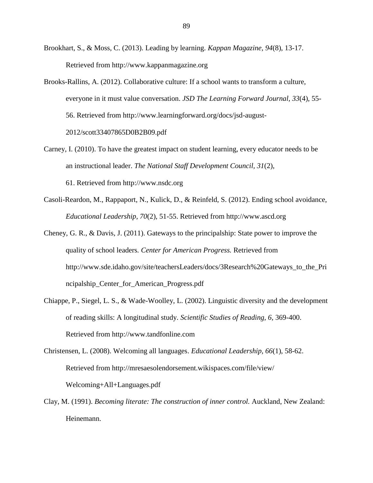Brookhart, S., & Moss, C. (2013). Leading by learning. *Kappan Magazine, 94*(8), 13-17. Retrieved from http://www.kappanmagazine.org

- Brooks-Rallins, A. (2012). Collaborative culture: If a school wants to transform a culture, everyone in it must value conversation. *JSD The Learning Forward Journal, 33*(4), 55- 56. Retrieved from http://www.learningforward.org/docs/jsd-august-2012/scott33407865D0B2B09.pdf
- Carney, I. (2010). To have the greatest impact on student learning, every educator needs to be an instructional leader. *The National Staff Development Council, 31*(2), 61. Retrieved from http://www.nsdc.org
- Casoli-Reardon, M., Rappaport, N., Kulick, D., & Reinfeld, S. (2012). Ending school avoidance, *Educational Leadership, 70*(2)*,* 51-55. Retrieved from [http://www.ascd.org](http://www.ascd.org/)
- Cheney, G. R., & Davis, J. (2011). Gateways to the principalship: State power to improve the quality of school leaders*. Center for American Progress.* Retrieved from [http://www.sde.idaho.gov/site/teachersLeaders/docs/3Research%20Gateways\\_to\\_the\\_Pri](http://www.sde.idaho.gov/site/teachersLeaders/docs/3Research%20Gateways_to_the_Principalship_Center_for_American_Progress.pdf) [ncipalship\\_Center\\_for\\_American\\_Progress.pdf](http://www.sde.idaho.gov/site/teachersLeaders/docs/3Research%20Gateways_to_the_Principalship_Center_for_American_Progress.pdf)
- Chiappe, P., Siegel, L. S., & Wade-Woolley, L. (2002). Linguistic diversity and the development of reading skills: A longitudinal study. *Scientific Studies of Reading, 6,* 369-400. Retrieved from http://www.tandfonline.com
- Christensen, L. (2008). Welcoming all languages. *Educational Leadership, 66*(1), 58-62. Retrieved from http://mresaesolendorsement.wikispaces.com/file/view/ Welcoming+All+Languages.pdf
- Clay, M. (1991). *Becoming literate: The construction of inner control.* Auckland, New Zealand: Heinemann.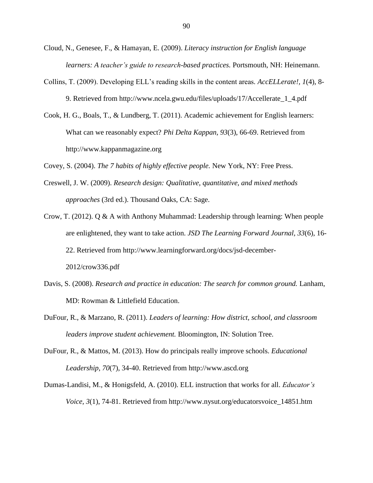- Cloud, N., Genesee, F., & Hamayan, E. (2009). *Literacy instruction for English language learners: A teacher's guide to research-based practices.* Portsmouth, NH: Heinemann.
- Collins, T. (2009). Developing ELL's reading skills in the content areas*. AccELLerate!, 1*(4), 8- 9. Retrieved from http://www.ncela.gwu.edu/files/uploads/17/Accellerate\_1\_4.pdf
- Cook, H. G., Boals, T., & Lundberg, T. (2011). Academic achievement for English learners: What can we reasonably expect? *Phi Delta Kappan, 93*(3), 66-69. Retrieved from http://www.kappanmagazine.org

Covey, S. (2004). *The 7 habits of highly effective people.* New York, NY: Free Press.

- Creswell, J. W. (2009). *Research design: Qualitative, quantitative, and mixed methods approaches* (3rd ed.). Thousand Oaks, CA: Sage.
- Crow, T. (2012). Q & A with Anthony Muhammad: Leadership through learning: When people are enlightened, they want to take action. *JSD The Learning Forward Journal, 33*(6), 16- 22. Retrieved from http://www.learningforward.org/docs/jsd-december-2012/crow336.pdf
- Davis, S. (2008). *Research and practice in education: The search for common ground.* Lanham, MD: Rowman & Littlefield Education.
- DuFour, R., & Marzano, R. (2011). *Leaders of learning: How district, school, and classroom leaders improve student achievement.* Bloomington, IN: Solution Tree.
- DuFour, R., & Mattos, M. (2013). How do principals really improve schools. *Educational Leadership, 70*(7), 34-40. Retrieved from http://www.ascd.org
- Dumas-Landisi, M., & Honigsfeld, A. (2010). ELL instruction that works for all. *Educator's Voice, 3*(1), 74-81. Retrieved from http://www.nysut.org/educatorsvoice\_14851.htm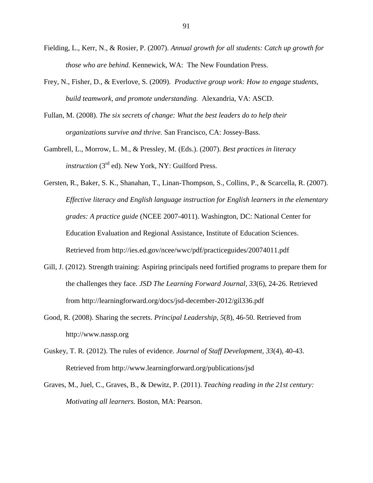- Fielding, L., Kerr, N., & Rosier, P. (2007). *Annual growth for all students: Catch up growth for those who are behind.* Kennewick, WA: The New Foundation Press.
- Frey, N., Fisher, D., & Everlove, S. (2009). *Productive group work: How to engage students, build teamwork, and promote understanding.* Alexandria, VA: ASCD.
- Fullan, M. (2008). *The six secrets of change: What the best leaders do to help their organizations survive and thrive.* San Francisco, CA: Jossey-Bass.
- Gambrell, L., Morrow, L. M., & Pressley, M. (Eds.). (2007). *Best practices in literacy instruction* (3<sup>rd</sup> ed). New York, NY: Guilford Press.
- Gersten, R., Baker, S. K., Shanahan, T., Linan-Thompson, S., Collins, P., & Scarcella, R. (2007). *Effective literacy and English language instruction for English learners in the elementary grades: A practice guide* (NCEE 2007-4011). Washington, DC: National Center for Education Evaluation and Regional Assistance, Institute of Education Sciences. Retrieved from http://ies.ed.gov/ncee/wwc/pdf/practiceguides/20074011.pdf
- Gill, J. (2012). Strength training: Aspiring principals need fortified programs to prepare them for the challenges they face*. JSD The Learning Forward Journal, 33*(6), 24-26. Retrieved from http://learningforward.org/docs/jsd-december-2012/gil336.pdf
- Good, R. (2008). Sharing the secrets. *Principal Leadership, 5*(8), 46-50. Retrieved from http://www.nassp.org
- Guskey, T. R. (2012). The rules of evidence. *Journal of Staff Development, 33*(4), 40-43. Retrieved from http://www.learningforward.org/publications/jsd
- Graves, M., Juel, C., Graves, B., & Dewitz, P. (2011). *Teaching reading in the 21st century: Motivating all learners.* Boston, MA: Pearson.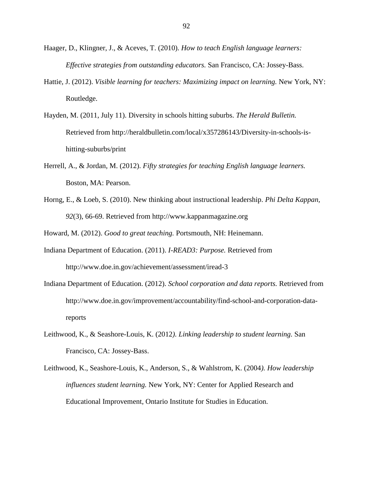- Haager, D., Klingner, J., & Aceves, T. (2010). *How to teach English language learners: Effective strategies from outstanding educators.* San Francisco, CA: Jossey-Bass.
- Hattie, J. (2012). *Visible learning for teachers: Maximizing impact on learning.* New York, NY: Routledge.
- Hayden, M. (2011, July 11). Diversity in schools hitting suburbs. *The Herald Bulletin.*  Retrieved from http://heraldbulletin.com/local/x357286143/Diversity-in-schools-ishitting-suburbs/print
- Herrell, A., & Jordan, M. (2012). *Fifty strategies for teaching English language learners.*  Boston, MA: Pearson.
- Horng, E., & Loeb, S. (2010). New thinking about instructional leadership. *Phi Delta Kappan, 92*(3), 66-69. Retrieved from http://www.kappanmagazine.org

Howard, M. (2012). *Good to great teaching.* Portsmouth, NH: Heinemann.

- Indiana Department of Education. (2011). *I-READ3: Purpose.* Retrieved from <http://www.doe.in.gov/achievement/assessment/iread-3>
- Indiana Department of Education. (2012). *School corporation and data reports.* Retrieved from http://www.doe.in.gov/improvement/accountability/find-school-and-corporation-datareports
- Leithwood, K., & Seashore-Louis, K. (2012*). Linking leadership to student learning.* San Francisco, CA: Jossey-Bass.
- Leithwood, K., Seashore-Louis, K., Anderson, S., & Wahlstrom, K. (2004*). How leadership influences student learning.* New York, NY: Center for Applied Research and Educational Improvement, Ontario Institute for Studies in Education.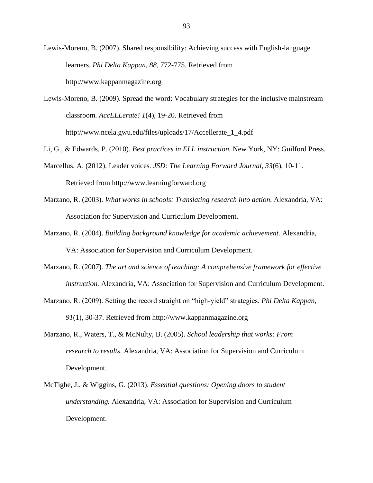Lewis-Moreno, B. (2007). Shared responsibility: Achieving success with English-language learners. *Phi Delta Kappan, 88,* 772-775. Retrieved from http://www.kappanmagazine.org

Lewis-Moreno, B. (2009). Spread the word: Vocabulary strategies for the inclusive mainstream classroom*. AccELLerate! 1*(4), 19-20. Retrieved from http://www.ncela.gwu.edu/files/uploads/17/Accellerate\_1\_4.pdf

Li, G., & Edwards, P. (2010). *Best practices in ELL instruction.* New York, NY: Guilford Press.

- Marcellus, A. (2012). Leader voices*. JSD: The Learning Forward Journal, 33*(6), 10-11. Retrieved from http://www.learningforward.org
- Marzano, R. (2003). *What works in schools: Translating research into action.* Alexandria, VA: Association for Supervision and Curriculum Development.
- Marzano, R. (2004). *Building background knowledge for academic achievement.* Alexandria, VA: Association for Supervision and Curriculum Development.
- Marzano, R. (2007). *The art and science of teaching: A comprehensive framework for effective instruction.* Alexandria, VA: Association for Supervision and Curriculum Development.
- Marzano, R. (2009). Setting the record straight on "high-yield" strategies. *Phi Delta Kappan*, *91*(1), 30-37. Retrieved from http://www.kappanmagazine.org
- Marzano, R., Waters, T., & McNulty, B. (2005). *School leadership that works: From research to results*. Alexandria, VA: Association for Supervision and Curriculum Development.
- McTighe, J., & Wiggins, G. (2013). *Essential questions: Opening doors to student understanding.* Alexandria, VA: Association for Supervision and Curriculum Development.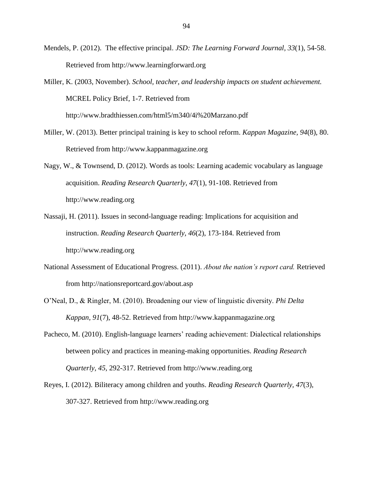- Mendels, P. (2012). The effective principal. *JSD: The Learning Forward Journal, 33*(1), 54-58. Retrieved from http://www.learningforward.org
- Miller, K. (2003, November). *School, teacher, and leadership impacts on student achievement.* MCREL Policy Brief, 1-7. Retrieved from http://www.bradthiessen.com/html5/m340/4i%20Marzano.pdf
- Miller, W. (2013). Better principal training is key to school reform. *Kappan Magazine, 94*(8), 80. Retrieved from http://www.kappanmagazine.org
- Nagy, W., & Townsend, D. (2012). Words as tools: Learning academic vocabulary as language acquisition. *Reading Research Quarterly, 47*(1), 91-108. Retrieved from http://www.reading.org
- Nassaji, H. (2011). Issues in second-language reading: Implications for acquisition and instruction. *Reading Research Quarterly, 46*(2), 173-184. Retrieved from http://www.reading.org
- National Assessment of Educational Progress. (2011). *About the nation's report card.* Retrieved from<http://nationsreportcard.gov/about.asp>
- O'Neal, D., & Ringler, M. (2010). Broadening our view of linguistic diversity. *Phi Delta Kappan, 91*(7), 48-52. Retrieved from http://www.kappanmagazine.org
- Pacheco, M. (2010). English-language learners' reading achievement: Dialectical relationships between policy and practices in meaning-making opportunities. *Reading Research Quarterly, 45,* 292-317. Retrieved from http://www.reading.org
- Reyes, I. (2012). Biliteracy among children and youths. *Reading Research Quarterly, 47*(3), 307-327. Retrieved from http://www.reading.org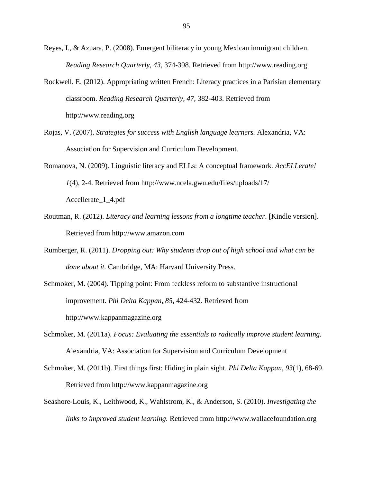- Reyes, I., & Azuara, P. (2008). Emergent biliteracy in young Mexican immigrant children. *Reading Research Quarterly, 43,* 374-398. Retrieved from http://www.reading.org
- Rockwell, E. (2012). Appropriating written French: Literacy practices in a Parisian elementary classroom. *Reading Research Quarterly, 47,* 382-403. Retrieved from http://www.reading.org
- Rojas, V. (2007). *Strategies for success with English language learners.* Alexandria, VA: Association for Supervision and Curriculum Development.
- Romanova, N. (2009). Linguistic literacy and ELLs: A conceptual framework*. AccELLerate! 1*(4), 2-4. Retrieved from http://www.ncela.gwu.edu/files/uploads/17/ Accellerate\_1\_4.pdf
- Routman, R. (2012). *Literacy and learning lessons from a longtime teacher*. [Kindle version]. Retrieved from http://www.amazon.com
- Rumberger, R. (2011). *Dropping out: Why students drop out of high school and what can be done about it.* Cambridge, MA: Harvard University Press.
- Schmoker, M. (2004). Tipping point: From feckless reform to substantive instructional improvement. *Phi Delta Kappan*, *85,* 424-432. Retrieved from http://www.kappanmagazine.org
- Schmoker, M. (2011a). *Focus: Evaluating the essentials to radically improve student learning.*  Alexandria, VA: Association for Supervision and Curriculum Development
- Schmoker, M. (2011b). First things first: Hiding in plain sight. *Phi Delta Kappan, 93*(1), 68-69. Retrieved from [http://www.kappanmagazine.org](http://www.kappanmagazine.org/)
- Seashore-Louis, K., Leithwood, K., Wahlstrom, K., & Anderson, S. (2010). *Investigating the links to improved student learning.* Retrieved from http://www.wallacefoundation.org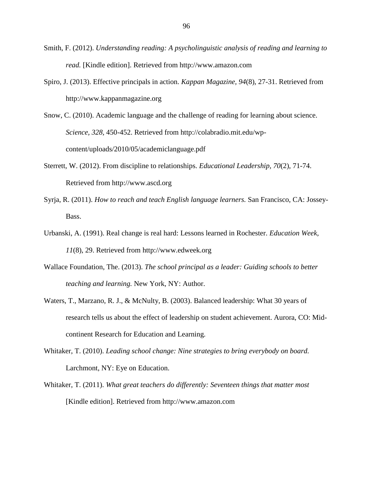- Smith, F. (2012). *Understanding reading: A psycholinguistic analysis of reading and learning to read.* [Kindle edition]. Retrieved from http://www.amazon.com
- Spiro, J. (2013). Effective principals in action. *Kappan Magazine, 94*(8), 27-31. Retrieved from [http://www.kappanmagazine.org](http://www.kappanmagazine.org/)
- Snow, C. (2010). Academic language and the challenge of reading for learning about science. *Science, 328,* 450-452. Retrieved from http://colabradio.mit.edu/wpcontent/uploads/2010/05/academiclanguage.pdf
- Sterrett, W. (2012). From discipline to relationships. *Educational Leadership, 70*(2), 71-74. Retrieved from http://www.ascd.org
- Syrja, R. (2011). *How to reach and teach English language learners.* San Francisco, CA: Jossey-Bass.
- Urbanski, A. (1991). Real change is real hard: Lessons learned in Rochester. *Education Week, 11*(8), 29. Retrieved from http://www.edweek.org
- Wallace Foundation, The. (2013). *The school principal as a leader: Guiding schools to better teaching and learning.* New York, NY: Author.
- Waters, T., Marzano, R. J., & McNulty, B. (2003). Balanced leadership: What 30 years of research tells us about the effect of leadership on student achievement. Aurora, CO: Midcontinent Research for Education and Learning.
- Whitaker, T. (2010). *Leading school change: Nine strategies to bring everybody on board.*  Larchmont, NY: Eye on Education.
- Whitaker, T. (2011). *What great teachers do differently: Seventeen things that matter most* [Kindle edition]. Retrieved from http://www.amazon.com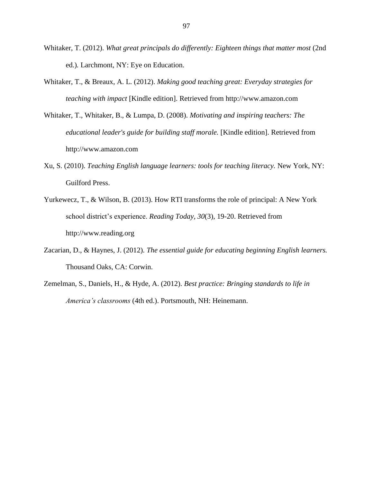- Whitaker, T. (2012). *What great principals do differently: Eighteen things that matter most* (2nd ed.)*.* Larchmont, NY: Eye on Education.
- Whitaker, T., & Breaux, A. L. (2012). *Making good teaching great: Everyday strategies for teaching with impact* [Kindle edition]. Retrieved from http://www.amazon.com
- Whitaker, T., Whitaker, B., & Lumpa, D. (2008). *Motivating and inspiring teachers: The*  educational leader's guide for building staff morale. [Kindle edition]. Retrieved from http://www.amazon.com
- Xu, S. (2010). *Teaching English language learners: tools for teaching literacy.* New York, NY: Guilford Press.
- Yurkewecz, T., & Wilson, B. (2013). How RTI transforms the role of principal: A New York school district's experience. *Reading Today, 30*(3), 19-20. Retrieved from http://www.reading.org
- Zacarian, D., & Haynes, J. (2012). *The essential guide for educating beginning English learners.*  Thousand Oaks, CA: Corwin.
- Zemelman, S., Daniels, H., & Hyde, A. (2012). *Best practice: Bringing standards to life in America's classrooms* (4th ed.). Portsmouth, NH: Heinemann.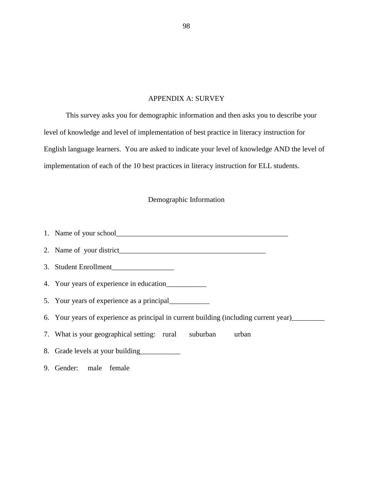# APPENDIX A: SURVEY

This survey asks you for demographic information and then asks you to describe your level of knowledge and level of implementation of best practice in literacy instruction for English language learners. You are asked to indicate your level of knowledge AND the level of implementation of each of the 10 best practices in literacy instruction for ELL students.

# Demographic Information

- 1. Name of your school\_\_\_\_\_\_\_\_\_\_\_\_\_\_\_\_\_\_\_\_\_\_\_\_\_\_\_\_\_\_\_\_\_\_\_\_\_\_\_\_\_\_\_\_\_\_\_
- 2. Name of your district\_\_\_\_\_\_\_\_\_\_\_\_\_\_\_\_\_\_\_\_\_\_\_\_\_\_\_\_\_\_\_\_\_\_\_\_\_\_\_\_
- 3. Student Enrollment\_\_\_\_\_\_\_\_\_\_\_\_\_\_\_\_\_
- 4. Your years of experience in education\_\_\_\_\_\_\_\_\_\_\_
- 5. Your years of experience as a principal\_\_\_\_\_\_\_\_\_\_\_
- 6. Your years of experience as principal in current building (including current year)\_\_\_\_\_\_\_\_\_
- 7. What is your geographical setting: rural suburban urban
- 8. Grade levels at your building
- 9. Gender: male female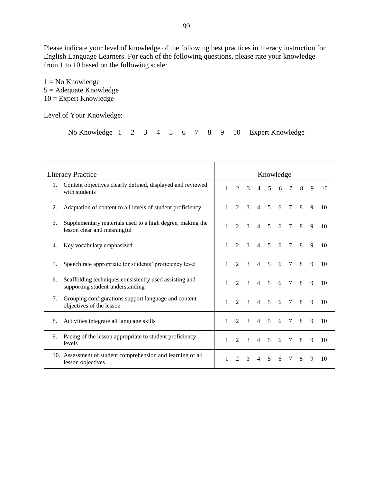Please indicate your level of knowledge of the following best practices in literacy instruction for English Language Learners. For each of the following questions, please rate your knowledge from 1 to 10 based on the following scale:

 $1 = No$  Knowledge  $5 =$  Adequate Knowledge  $10 =$  Expert Knowledge

Level of Your Knowledge:

|  |  |  |  |  |  |  |  |  |  |  | No Knowledge 1 2 3 4 5 6 7 8 9 10 Expert Knowledge |
|--|--|--|--|--|--|--|--|--|--|--|----------------------------------------------------|
|--|--|--|--|--|--|--|--|--|--|--|----------------------------------------------------|

| <b>Literacy Practice</b> |                                                                                            |              | Knowledge                   |               |                          |                |   |        |   |   |    |  |  |  |
|--------------------------|--------------------------------------------------------------------------------------------|--------------|-----------------------------|---------------|--------------------------|----------------|---|--------|---|---|----|--|--|--|
| 1.                       | Content objectives clearly defined, displayed and reviewed<br>with students                | $\mathbf{1}$ | $\mathfrak{D}$              | $\mathcal{E}$ | $\overline{4}$           | 5              | 6 | $\tau$ | 8 | 9 | 10 |  |  |  |
| 2.                       | Adaptation of content to all levels of student proficiency                                 |              | $\mathcal{D}_{\mathcal{L}}$ | 3             | 4                        | 5              | 6 | 7      | 8 | 9 | 10 |  |  |  |
| 3.                       | Supplementary materials used to a high degree, making the<br>lesson clear and meaningful   |              |                             |               | 4                        | 5              | 6 | 7      | 8 | 9 | 10 |  |  |  |
| 4.                       | Key vocabulary emphasized                                                                  | 1            | $\mathfrak{D}$              | 3             | $\overline{4}$           | $\overline{5}$ | 6 | $\tau$ | 8 | 9 | 10 |  |  |  |
| 5.                       | Speech rate appropriate for students' proficiency level                                    |              | $\mathcal{D}_{\mathcal{L}}$ | 3             | $\overline{\mathcal{A}}$ | 5              | 6 | 7      | 8 | 9 | 10 |  |  |  |
| 6.                       | Scaffolding techniques consistently used assisting and<br>supporting student understanding | 1            | $\mathcal{D}_{\mathcal{L}}$ | $\mathcal{R}$ | $\overline{4}$           | 5              | 6 | $\tau$ | 8 | 9 | 10 |  |  |  |
| 7.                       | Grouping configurations support language and content<br>objectives of the lesson           | 1            | $\mathcal{D}_{\mathcal{L}}$ | 3             | 4                        | 5              | 6 | 7      | 8 | 9 | 10 |  |  |  |
| 8.                       | Activities integrate all language skills                                                   | $\mathbf{1}$ | $\mathfrak{D}$              | 3             | 4                        | $\overline{5}$ | 6 | 7      | 8 | 9 | 10 |  |  |  |
| 9.                       | Pacing of the lesson appropriate to student proficiency<br>levels                          | $\mathbf{1}$ | $\mathfrak{D}$              | 3             | $\overline{4}$           | $\overline{5}$ | 6 | $\tau$ | 8 | 9 | 10 |  |  |  |
|                          | 10. Assessment of student comprehension and learning of all<br>lesson objectives           |              | $\mathfrak{D}$              | 3             |                          | 5              | 6 | 7      | 8 | 9 | 10 |  |  |  |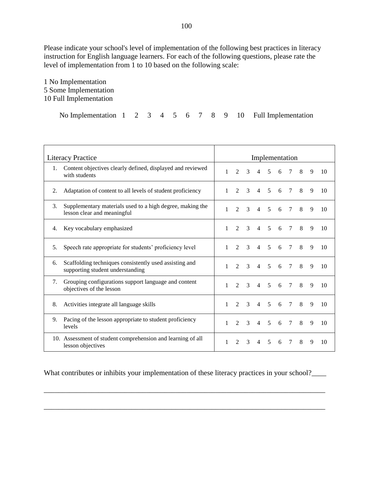Please indicate your school's level of implementation of the following best practices in literacy instruction for English language learners. For each of the following questions, please rate the level of implementation from 1 to 10 based on the following scale:

1 No Implementation 5 Some Implementation 10 Full Implementation

No Implementation 1 2 3 4 5 6 7 8 9 10 Full Implementation

| <b>Literacy Practice</b>                                                                         |              |                             | Implementation |                          |                |   |        |   |              |    |  |  |  |  |
|--------------------------------------------------------------------------------------------------|--------------|-----------------------------|----------------|--------------------------|----------------|---|--------|---|--------------|----|--|--|--|--|
| Content objectives clearly defined, displayed and reviewed<br>1.<br>with students                | 1            | $\mathcal{D}_{\alpha}$      | 3              | $\overline{\mathcal{A}}$ | 5              | 6 | $\tau$ | 8 | 9            | 10 |  |  |  |  |
| Adaptation of content to all levels of student proficiency<br>2.                                 | $\mathbf{1}$ | $\mathfrak{D}$              | 3              | $\overline{4}$           | 5              | 6 | 7      | 8 | 9            | 10 |  |  |  |  |
| Supplementary materials used to a high degree, making the<br>3.<br>lesson clear and meaningful   | 1            | $\mathcal{D}_{\alpha}$      | 3              | 4                        | 5              | 6 | 7      | 8 | 9            | 10 |  |  |  |  |
| Key vocabulary emphasized<br>4.                                                                  | 1            | $\mathfrak{D}$              | 3              | $\overline{4}$           | $\overline{5}$ | 6 | $\tau$ | 8 | 9            | 10 |  |  |  |  |
| Speech rate appropriate for students' proficiency level<br>5.                                    | 1            | $\mathcal{D}_{\mathcal{L}}$ | $\mathcal{F}$  | 4                        | 5              | 6 | 7      | 8 | 9            | 10 |  |  |  |  |
| Scaffolding techniques consistently used assisting and<br>6.<br>supporting student understanding | 1            | $\mathcal{D}_{\mathcal{L}}$ | 3              | $\overline{4}$           | 5              | 6 | $\tau$ | 8 | 9            | 10 |  |  |  |  |
| Grouping configurations support language and content<br>7.<br>objectives of the lesson           | 1            | $\mathfrak{D}$              | 3              | $\overline{\mathcal{A}}$ | 5              | 6 | 7      | 8 | 9            | 10 |  |  |  |  |
| Activities integrate all language skills<br>8.                                                   | $\mathbf{1}$ | $\mathfrak{D}$              | $\mathcal{F}$  | $\overline{\mathcal{A}}$ | 5              | 6 | 7      | 8 | 9            | 10 |  |  |  |  |
| Pacing of the lesson appropriate to student proficiency<br>9.<br>levels                          | $\mathbf{1}$ | $\mathfrak{D}$              | 3              | $\overline{4}$           | 5              | 6 | $\tau$ | 8 | $\mathbf{Q}$ | 10 |  |  |  |  |
| 10. Assessment of student comprehension and learning of all<br>lesson objectives                 | 1            | $\mathcal{D}_{\mathcal{L}}$ | 3              | 4                        | 5              | 6 | 7      | 8 | 9            | 10 |  |  |  |  |

What contributes or inhibits your implementation of these literacy practices in your school?

\_\_\_\_\_\_\_\_\_\_\_\_\_\_\_\_\_\_\_\_\_\_\_\_\_\_\_\_\_\_\_\_\_\_\_\_\_\_\_\_\_\_\_\_\_\_\_\_\_\_\_\_\_\_\_\_\_\_\_\_\_\_\_\_\_\_\_\_\_\_\_\_\_\_\_\_\_

\_\_\_\_\_\_\_\_\_\_\_\_\_\_\_\_\_\_\_\_\_\_\_\_\_\_\_\_\_\_\_\_\_\_\_\_\_\_\_\_\_\_\_\_\_\_\_\_\_\_\_\_\_\_\_\_\_\_\_\_\_\_\_\_\_\_\_\_\_\_\_\_\_\_\_\_\_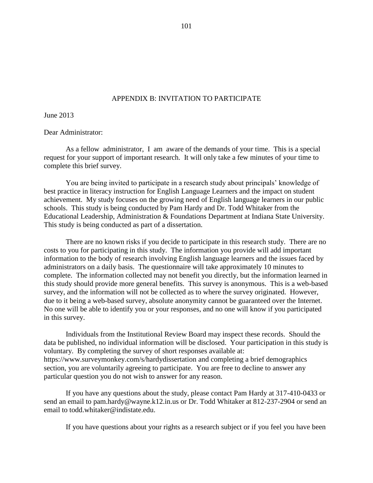## APPENDIX B: INVITATION TO PARTICIPATE

June 2013

Dear Administrator:

As a fellow administrator, I am aware of the demands of your time. This is a special request for your support of important research. It will only take a few minutes of your time to complete this brief survey.

You are being invited to participate in a research study about principals' knowledge of best practice in literacy instruction for English Language Learners and the impact on student achievement. My study focuses on the growing need of English language learners in our public schools. This study is being conducted by Pam Hardy and Dr. Todd Whitaker from the Educational Leadership, Administration & Foundations Department at Indiana State University. This study is being conducted as part of a dissertation.

There are no known risks if you decide to participate in this research study. There are no costs to you for participating in this study. The information you provide will add important information to the body of research involving English language learners and the issues faced by administrators on a daily basis. The questionnaire will take approximately 10 minutes to complete. The information collected may not benefit you directly, but the information learned in this study should provide more general benefits. This survey is anonymous. This is a web-based survey, and the information will not be collected as to where the survey originated. However, due to it being a web-based survey, absolute anonymity cannot be guaranteed over the Internet. No one will be able to identify you or your responses, and no one will know if you participated in this survey.

Individuals from the Institutional Review Board may inspect these records. Should the data be published, no individual information will be disclosed. Your participation in this study is voluntary. By completing the survey of short responses available at: <https://www.surveymonkey.com/s/hardydissertation> and completing a brief demographics section, you are voluntarily agreeing to participate. You are free to decline to answer any particular question you do not wish to answer for any reason.

If you have any questions about the study, please contact Pam Hardy at 317-410-0433 or send an email to pam.hardy@wayne.k12.in.us or Dr. Todd Whitaker at 812-237-2904 or send an email to [todd.whitaker@indistate.edu.](mailto:todd.whitaker@indistate.edu)

If you have questions about your rights as a research subject or if you feel you have been